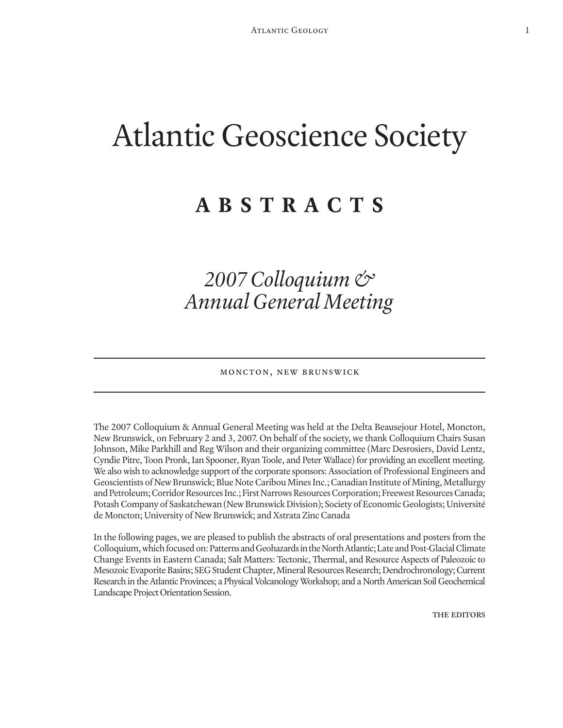# Atlantic Geoscience Society

# **A B S T R A C T S**

# *2007 Colloquium & Annual General Meeting*

#### MONCTON, NEW BRUNSWICK

The 2007 Colloquium & Annual General Meeting was held at the Delta Beausejour Hotel, Moncton, New Brunswick, on February 2 and 3, 2007. On behalf of the society, we thank Colloquium Chairs Susan Johnson, Mike Parkhill and Reg Wilson and their organizing committee (Marc Desrosiers, David Lentz, Cyndie Pitre, Toon Pronk, Ian Spooner, Ryan Toole, and Peter Wallace) for providing an excellent meeting. We also wish to acknowledge support of the corporate sponsors: Association of Professional Engineers and Geoscientists of New Brunswick; Blue Note Caribou Mines Inc.; Canadian Institute of Mining, Metallurgy and Petroleum; Corridor Resources Inc.; First Narrows Resources Corporation; Freewest Resources Canada; Potash Company of Saskatchewan (New Brunswick Division); Society of Economic Geologists; Université de Moncton; University of New Brunswick; and Xstrata Zinc Canada

In the following pages, we are pleased to publish the abstracts of oral presentations and posters from the Colloquium, which focused on: Patterns and Geohazards in the North Atlantic; Late and Post-Glacial Climate Change Events in Eastern Canada; Salt Matters: Tectonic, Thermal, and Resource Aspects of Paleozoic to Mesozoic Evaporite Basins; SEG Student Chapter, Mineral Resources Research; Dendrochronology; Current Research in the Atlantic Provinces; a Physical Volcanology Workshop; and a North American Soil Geochemical Landscape Project Orientation Session.

THE EDITORS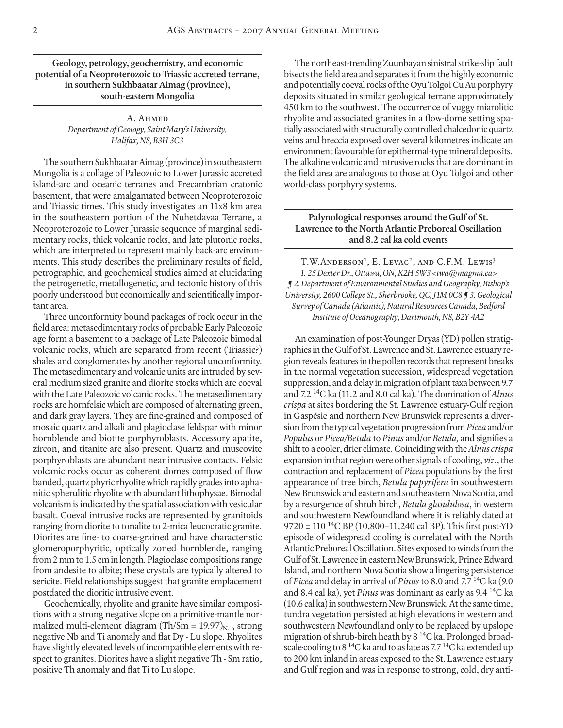**Geology, petrology, geochemistry, and economic potential of a Neoproterozoic to Triassic accreted terrane, in southern Sukhbaatar Aimag (province), south-eastern Mongolia**

> A. Ahmed *Department of Geology, Saint Mary's University, Halifax, NS, B3H 3C3*

The southern Sukhbaatar Aimag (province) in southeastern Mongolia is a collage of Paleozoic to Lower Jurassic accreted island-arc and oceanic terranes and Precambrian cratonic basement, that were amalgamated between Neoproterozoic and Triassic times. This study investigates an 11x8 km area in the southeastern portion of the Nuhetdavaa Terrane, a Neoproterozoic to Lower Jurassic sequence of marginal sedimentary rocks, thick volcanic rocks, and late plutonic rocks, which are interpreted to represent mainly back-arc environments. This study describes the preliminary results of field, petrographic, and geochemical studies aimed at elucidating the petrogenetic, metallogenetic, and tectonic history of this poorly understood but economically and scientifically important area.

Three unconformity bound packages of rock occur in the field area: metasedimentary rocks of probable Early Paleozoic age form a basement to a package of Late Paleozoic bimodal volcanic rocks, which are separated from recent (Triassic?) shales and conglomerates by another regional unconformity. The metasedimentary and volcanic units are intruded by several medium sized granite and diorite stocks which are coeval with the Late Paleozoic volcanic rocks. The metasedimentary rocks are hornfelsic which are composed of alternating green, and dark gray layers. They are fine-grained and composed of mosaic quartz and alkali and plagioclase feldspar with minor hornblende and biotite porphyroblasts. Accessory apatite, zircon, and titanite are also present. Quartz and muscovite porphyroblasts are abundant near intrusive contacts. Felsic volcanic rocks occur as coherent domes composed of flow banded, quartz phyric rhyolite which rapidly grades into aphanitic spherulitic rhyolite with abundant lithophysae. Bimodal volcanism is indicated by the spatial association with vesicular basalt. Coeval intrusive rocks are represented by granitoids ranging from diorite to tonalite to 2-mica leucocratic granite. Diorites are fine- to coarse-grained and have characteristic glomeroporphyritic, optically zoned hornblende, ranging from 2 mm to 1.5 cm in length. Plagioclase compositions range from andesite to albite; these crystals are typically altered to sericite. Field relationships suggest that granite emplacement postdated the dioritic intrusive event.

Geochemically, rhyolite and granite have similar compositions with a strong negative slope on a primitive-mantle normalized multi-element diagram (Th/Sm =  $19.97$ )<sub>N, a</sub> strong negative Nb and Ti anomaly and flat Dy - Lu slope. Rhyolites have slightly elevated levels of incompatible elements with respect to granites. Diorites have a slight negative Th - Sm ratio, positive Th anomaly and flat Ti to Lu slope.

The northeast-trending Zuunbayan sinistral strike-slip fault bisects the field area and separates it from the highly economic and potentially coeval rocks of the Oyu Tolgoi Cu Au porphyry deposits situated in similar geological terrane approximately 450 km to the southwest. The occurrence of vuggy miarolitic rhyolite and associated granites in a flow-dome setting spatially associated with structurally controlled chalcedonic quartz veins and breccia exposed over several kilometres indicate an environment favourable for epithermal-type mineral deposits. The alkaline volcanic and intrusive rocks that are dominant in the field area are analogous to those at Oyu Tolgoi and other world-class porphyry systems.

# **Palynological responses around the Gulf of St. Lawrence to the North Atlantic Preboreal Oscillation and 8.2 cal ka cold events**

T.W.ANDERSON<sup>1</sup>, E. LEVAC<sup>2</sup>, AND C.F.M. LEWIS<sup>3</sup> *1. 25 Dexter Dr., Ottawa, ON, K2H 5W3 <twa@magma.ca> ¶ 2. Department of Environmental Studies and Geography, Bishop's University, 2600 College St., Sherbrooke, QC, J1M 0C8 ¶ 3. Geological Survey of Canada (Atlantic), Natural Resources Canada, Bedford Institute of Oceanography, Dartmouth, NS, B2Y 4A2*

An examination of post-Younger Dryas (YD) pollen stratigraphies in the Gulf of St. Lawrence and St. Lawrence estuary region reveals features in the pollen records that represent breaks in the normal vegetation succession, widespread vegetation suppression, and a delay in migration of plant taxa between 9.7 and 7.2 14C ka (11.2 and 8.0 cal ka). The domination of *Alnus crispa* at sites bordering the St. Lawrence estuary-Gulf region in Gaspésie and northern New Brunswick represents a diversion from the typical vegetation progression from *Picea* and/or *Populus* or *Picea/Betula* to *Pinus* and/or *Betula,* and signifies a shift to a cooler, drier climate. Coinciding with the *Alnus crispa* expansion in that region were other signals of cooling, *viz*., the contraction and replacement of *Picea* populations by the first appearance of tree birch, *Betula papyrifera* in southwestern New Brunswick and eastern and southeastern Nova Scotia, and by a resurgence of shrub birch, *Betula glandulosa*, in western and southwestern Newfoundland where it is reliably dated at 9720 ± 110 14C BP (10,800–11,240 cal BP)*.* This first post-YD episode of widespread cooling is correlated with the North Atlantic Preboreal Oscillation. Sites exposed to winds from the Gulf of St. Lawrence in eastern New Brunswick, Prince Edward Island, and northern Nova Scotia show a lingering persistence of *Picea* and delay in arrival of *Pinus* to 8.0 and 7.7 14C ka (9.0 and 8.4 cal ka), yet *Pinus* was dominant as early as 9.4 14C ka (10.6 cal ka) in southwestern New Brunswick. At the same time, tundra vegetation persisted at high elevations in western and southwestern Newfoundland only to be replaced by upslope migration of shrub-birch heath by 8 14C ka. Prolonged broadscale cooling to 8<sup>14</sup>C ka and to as late as 7.7<sup>14</sup>C ka extended up to 200 km inland in areas exposed to the St. Lawrence estuary and Gulf region and was in response to strong, cold, dry anti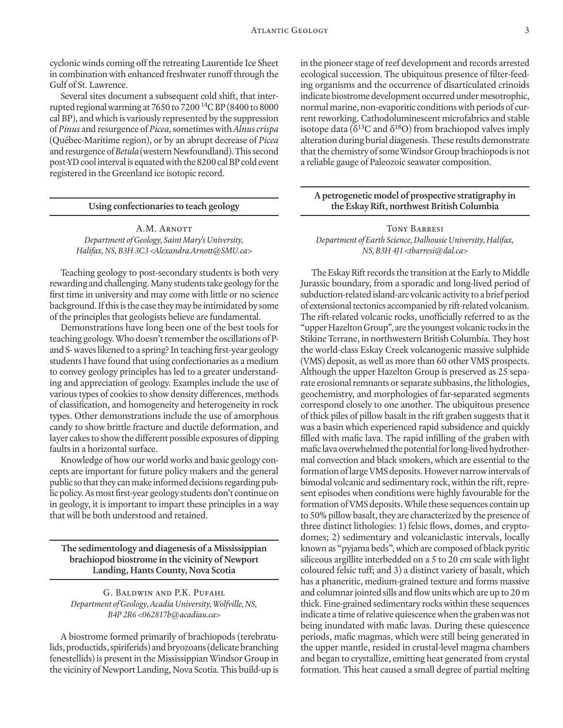cyclonic winds coming off the retreating Laurentide Ice Sheet in combination with enhanced freshwater runoff through the Gulf of St. Lawrence.

Several sites document a subsequent cold shift, that interrupted regional warming at 7650 to 7200 14C BP (8400 to 8000 cal BP), and which is variously represented by the suppression of *Pinus* and resurgence of *Picea,* sometimes with *Alnus crispa* (Québec-Maritime region), or by an abrupt decrease of *Picea* and resurgence of *Betula* (western Newfoundland). This second post-YD cool interval is equated with the 8200 cal BP cold event registered in the Greenland ice isotopic record.

#### **Using confectionaries to teach geology**

A.M. ARNOTT *Department of Geology, Saint Mary's University, Halifax, NS, B3H 3C3 <Alexandra.Arnott@SMU.ca>*

Teaching geology to post-secondary students is both very rewarding and challenging. Many students take geology for the first time in university and may come with little or no science background. If this is the case they may be intimidated by some of the principles that geologists believe are fundamental.

Demonstrations have long been one of the best tools for teaching geology. Who doesn't remember the oscillations of Pand S- waves likened to a spring? In teaching first-year geology students I have found that using confectionaries as a medium to convey geology principles has led to a greater understanding and appreciation of geology. Examples include the use of various types of cookies to show density differences, methods of classification, and homogeneity and heterogeneity in rock types. Other demonstrations include the use of amorphous candy to show brittle fracture and ductile deformation, and layer cakes to show the different possible exposures of dipping faults in a horizontal surface.

Knowledge of how our world works and basic geology concepts are important for future policy makers and the general public so that they can make informed decisions regarding public policy. As most first-year geology students don't continue on in geology, it is important to impart these principles in a way that will be both understood and retained.

**The sedimentology and diagenesis of a Mississippian brachiopod biostrome in the vicinity of Newport Landing, Hants County, Nova Scotia**

G. Baldwin and P.K. Pufahl *Department of Geology, Acadia University, Wolfville, NS, B4P 2R6 <062817b@acadiau.ca>*

A biostrome formed primarily of brachiopods (terebratulids, productids, spiriferids) and bryozoans(delicate branching fenestellids) is present in the Mississippian Windsor Group in the vicinity of Newport Landing, Nova Scotia. This build-up is in the pioneer stage of reef development and records arrested ecological succession. The ubiquitous presence of filter-feeding organisms and the occurrence of disarticulated crinoids indicate biostrome development occurred under mesotrophic, normal marine, non-evaporitic conditions with periods of current reworking. Cathodoluminescent microfabrics and stable isotope data ( $\delta^{13}$ C and  $\delta^{18}$ O) from brachiopod valves imply alteration during burial diagenesis. These results demonstrate that the chemistry of some Windsor Group brachiopods is not a reliable gauge of Paleozoic seawater composition.

#### **A petrogenetic model of prospective stratigraphy in the Eskay Rift, northwest British Columbia**

Tony Barresi *Department of Earth Science, Dalhousie University, Halifax, NS, B3H 4J1 <tbarresi@dal.ca>*

The Eskay Rift records the transition at the Early to Middle Jurassic boundary, from a sporadic and long-lived period of subduction-related island-arc volcanic activity to a brief period of extensional tectonics accompanied by rift-related volcanism. The rift-related volcanic rocks, unofficially referred to as the "upper Hazelton Group", are the youngest volcanic rocks in the Stikine Terrane, in northwestern British Columbia. They host the world-class Eskay Creek volcanogenic massive sulphide (VMS) deposit, as well as more than 60 other VMS prospects. Although the upper Hazelton Group is preserved as 25 separate erosional remnants or separate subbasins, the lithologies, geochemistry, and morphologies of far-separated segments correspond closely to one another. The ubiquitous presence of thick piles of pillow basalt in the rift graben suggests that it was a basin which experienced rapid subsidence and quickly filled with mafic lava. The rapid infilling of the graben with mafic lava overwhelmed the potential for long-lived hydrothermal convection and black smokers, which are essential to the formation of large VMS deposits. However narrow intervals of bimodal volcanic and sedimentary rock, within the rift, represent episodes when conditions were highly favourable for the formation of VMS deposits. While these sequences contain up to 50% pillow basalt, they are characterized by the presence of three distinct lithologies: 1) felsic flows, domes, and cryptodomes; 2) sedimentary and volcaniclastic intervals, locally known as "pyjama beds", which are composed of black pyritic siliceous argillite interbedded on a 5 to 20 cm scale with light coloured felsic tuff; and 3) a distinct variety of basalt, which has a phaneritic, medium-grained texture and forms massive and columnar jointed sills and flow units which are up to 20 m thick. Fine-grained sedimentary rocks within these sequences indicate a time of relative quiescence when the graben was not being inundated with mafic lavas. During these quiescence periods, mafic magmas, which were still being generated in the upper mantle, resided in crustal-level magma chambers and began to crystallize, emitting heat generated from crystal formation. This heat caused a small degree of partial melting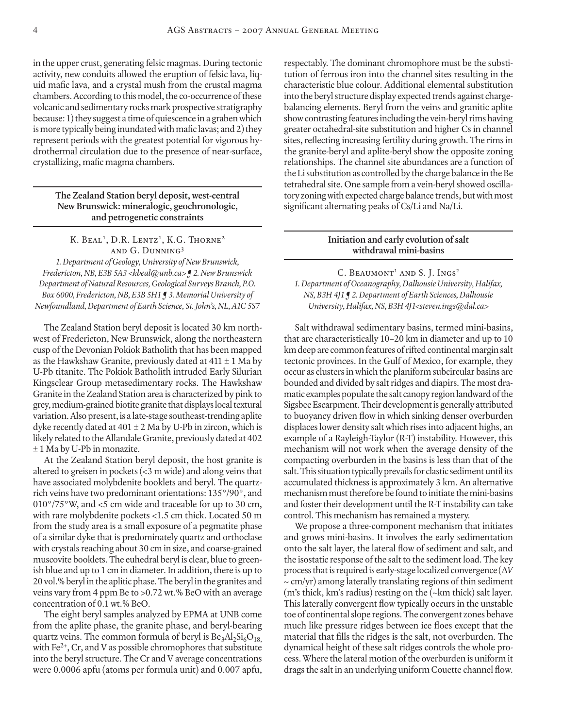in the upper crust, generating felsic magmas. During tectonic activity, new conduits allowed the eruption of felsic lava, liquid mafic lava, and a crystal mush from the crustal magma chambers. According to this model, the co-occurrence of these volcanic and sedimentary rocks mark prospective stratigraphy because: 1) they suggest a time of quiescence in a graben which is more typically being inundated with mafic lavas; and 2) they represent periods with the greatest potential for vigorous hydrothermal circulation due to the presence of near-surface, crystallizing, mafic magma chambers.

# **The Zealand Station beryl deposit, west-central New Brunswick: mineralogic, geochronologic, and petrogenetic constraints**

K. Beal<sup>1</sup>, D.R. Lentz<sup>1</sup>, K.G. Thorne<sup>2</sup> and G. Dunning3 *1. Department of Geology, University of New Brunswick, Fredericton, NB, E3B 5A3 <kbeal@unb.ca> ¶ 2. New Brunswick* 

*Department of Natural Resources, Geological Surveys Branch, P.O. Box 6000, Fredericton, NB, E3B 5H1 ¶ 3. Memorial University of Newfoundland, Department of Earth Science, St. John's, NL, A1C 5S7*

The Zealand Station beryl deposit is located 30 km northwest of Fredericton, New Brunswick, along the northeastern cusp of the Devonian Pokiok Batholith that has been mapped as the Hawkshaw Granite, previously dated at  $411 \pm 1$  Ma by U-Pb titanite. The Pokiok Batholith intruded Early Silurian Kingsclear Group metasedimentary rocks. The Hawkshaw Granite in the Zealand Station area is characterized by pink to grey, medium-grained biotite granite that displays local textural variation. Also present, is a late-stage southeast-trending aplite dyke recently dated at  $401 \pm 2$  Ma by U-Pb in zircon, which is likely related to the Allandale Granite, previously dated at 402 ± 1 Ma by U-Pb in monazite.

At the Zealand Station beryl deposit, the host granite is altered to greisen in pockets (<3 m wide) and along veins that have associated molybdenite booklets and beryl. The quartzrich veins have two predominant orientations: 135°/90°, and 010°/75°W, and <5 cm wide and traceable for up to 30 cm, with rare molybdenite pockets <1.5 cm thick. Located 50 m from the study area is a small exposure of a pegmatite phase of a similar dyke that is predominately quartz and orthoclase with crystals reaching about 30 cm in size, and coarse-grained muscovite booklets. The euhedral beryl is clear, blue to greenish blue and up to 1 cm in diameter. In addition, there is up to 20 vol.% beryl in the aplitic phase. The beryl in the granites and veins vary from 4 ppm Be to >0.72 wt.% BeO with an average concentration of 0.1 wt.% BeO.

The eight beryl samples analyzed by EPMA at UNB come from the aplite phase, the granite phase, and beryl-bearing quartz veins. The common formula of beryl is  $Be_3Al_2Si_6O_{18}$ , with  $Fe<sup>2+</sup>$ , Cr, and V as possible chromophores that substitute into the beryl structure. The Cr and V average concentrations were 0.0006 apfu (atoms per formula unit) and 0.007 apfu,

respectably. The dominant chromophore must be the substitution of ferrous iron into the channel sites resulting in the characteristic blue colour. Additional elemental substitution into the beryl structure display expected trends against chargebalancing elements. Beryl from the veins and granitic aplite show contrasting features including the vein-beryl rims having greater octahedral-site substitution and higher Cs in channel sites, reflecting increasing fertility during growth. The rims in the granite-beryl and aplite-beryl show the opposite zoning relationships. The channel site abundances are a function of the Li substitution as controlled by the charge balance in the Be tetrahedral site. One sample from a vein-beryl showed oscillatory zoning with expected charge balance trends, but with most significant alternating peaks of Cs/Li and Na/Li.

### **Initiation and early evolution of salt withdrawal mini-basins**

C. BEAUMONT<sup>1</sup> AND S. J. INGS<sup>2</sup> *1. Department of Oceanography, Dalhousie University, Halifax, NS, B3H 4J1 ¶ 2. Department of Earth Sciences, Dalhousie University, Halifax, NS, B3H 4J1<steven.ings@dal.ca>*

Salt withdrawal sedimentary basins, termed mini-basins, that are characteristically 10–20 km in diameter and up to 10 km deep are common features of rifted continental margin salt tectonic provinces. In the Gulf of Mexico, for example, they occur as clusters in which the planiform subcircular basins are bounded and divided by salt ridges and diapirs. The most dramatic examples populate the salt canopy region landward of the Sigsbee Escarpment. Their development is generally attributed to buoyancy driven flow in which sinking denser overburden displaces lower density salt which rises into adjacent highs, an example of a Rayleigh-Taylor (R-T) instability. However, this mechanism will not work when the average density of the compacting overburden in the basins is less than that of the salt. This situation typically prevails for clastic sediment until its accumulated thickness is approximately 3 km. An alternative mechanism must therefore be found to initiate the mini-basins and foster their development until the R-T instability can take control. This mechanism has remained a mystery.

We propose a three-component mechanism that initiates and grows mini-basins. It involves the early sedimentation onto the salt layer, the lateral flow of sediment and salt, and the isostatic response of the salt to the sediment load. The key process that is required is early-stage localized convergence (∆*V*  $\sim$  cm/yr) among laterally translating regions of thin sediment (m's thick, km's radius) resting on the (~km thick) salt layer. This laterally convergent flow typically occurs in the unstable toe of continental slope regions. The convergent zones behave much like pressure ridges between ice floes except that the material that fills the ridges is the salt, not overburden. The dynamical height of these salt ridges controls the whole process. Where the lateral motion of the overburden is uniform it drags the salt in an underlying uniform Couette channel flow.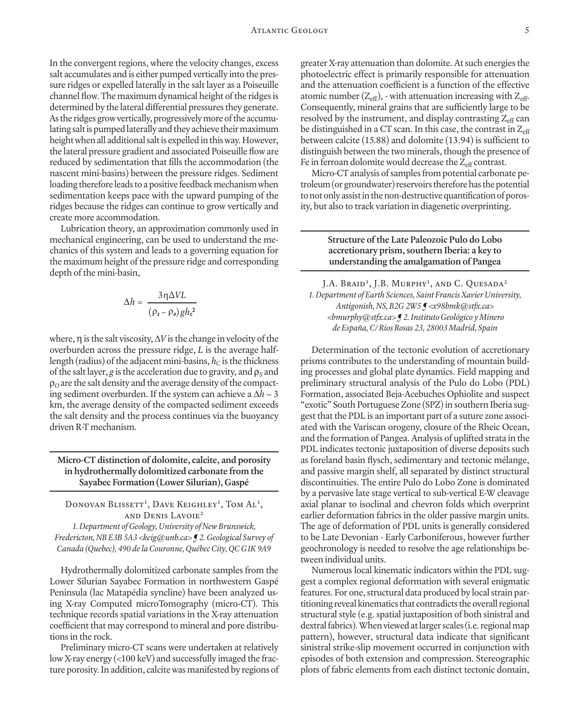In the convergent regions, where the velocity changes, excess salt accumulates and is either pumped vertically into the pressure ridges or expelled laterally in the salt layer as a Poiseuille channel flow. The maximum dynamical height of the ridges is determined by the lateral differential pressures they generate. As the ridges grow vertically, progressively more of the accumulating salt is pumped laterally and they achieve their maximum height when all additional salt is expelled in this way. However, the lateral pressure gradient and associated Poiseuille flow are reduced by sedimentation that fills the accommodation (the nascent mini-basins) between the pressure ridges. Sediment loading therefore leads to a positive feedback mechanism when sedimentation keeps pace with the upward pumping of the ridges because the ridges can continue to grow vertically and create more accommodation.

Lubrication theory, an approximation commonly used in mechanical engineering, can be used to understand the mechanics of this system and leads to a governing equation for the maximum height of the pressure ridge and corresponding depth of the mini-basin,

$$
\Delta h = \frac{3 \eta \Delta V L}{(\rho_s - \rho_o) g h_c^2}
$$

where, η is the salt viscosity, ∆*V* is the change in velocity of the overburden across the pressure ridge, *L* is the average halflength (radius) of the adjacent mini-basins,  $h<sub>C</sub>$  is the thickness of the salt layer, *g* is the acceleration due to gravity, and  $\rho_s$  and  $\rho$ <sup>o</sup> are the salt density and the average density of the compacting sediment overburden. If the system can achieve a ∆*h* ~ 3 km, the average density of the compacted sediment exceeds the salt density and the process continues via the buoyancy driven R-T mechanism.

**Micro-CT distinction of dolomite, calcite, and porosity in hydrothermally dolomitized carbonate from the Sayabec Formation (Lower Silurian), Gaspé**

# DONOVAN BLISSETT<sup>1</sup>, DAVE KEIGHLEY<sup>1</sup>, TOM AL<sup>1</sup>, and Denis Lavoie<sup>2</sup>

*1. Department of Geology, University of New Brunswick, Fredericton, NB E3B 5A3 <keig@unb.ca> ¶ 2. Geological Survey of Canada (Quebec), 490 de la Couronne, Québec City, QC G1K 9A9*

Hydrothermally dolomitized carbonate samples from the Lower Silurian Sayabec Formation in northwestern Gaspé Peninsula (lac Matapédia syncline) have been analyzed using X-ray Computed microTomography (micro-CT). This technique records spatial variations in the X-ray attenuation coefficient that may correspond to mineral and pore distributions in the rock.

Preliminary micro-CT scans were undertaken at relatively low X-ray energy (<100 keV) and successfully imaged the fracture porosity. In addition, calcite was manifested by regions of greater X-ray attenuation than dolomite. At such energies the photoelectric effect is primarily responsible for attenuation and the attenuation coefficient is a function of the effective atomic number  $(Z_{\text{eff}})$ , - with attenuation increasing with  $Z_{\text{eff}}$ . Consequently, mineral grains that are sufficiently large to be resolved by the instrument, and display contrasting  $Z_{\text{eff}}$  can be distinguished in a CT scan. In this case, the contrast in  $Z_{\text{eff}}$ between calcite (15.88) and dolomite (13.94) is sufficient to distinguish between the two minerals, though the presence of Fe in ferroan dolomite would decrease the  $Z_{\text{eff}}$  contrast.

Micro-CT analysis of samples from potential carbonate petroleum (or groundwater) reservoirs therefore has the potential to not only assist in the non-destructive quantification of porosity, but also to track variation in diagenetic overprinting.

#### **Structure of the Late Paleozoic Pulo do Lobo accretionary prism, southern Iberia: a key to understanding the amalgamation of Pangea**

J.A. Braid<sup>1</sup>, J.B. Murphy<sup>1</sup>, and C. Quesada<sup>2</sup> *1. Department of Earth Sciences, Saint Francis Xavier University, Antigonish, NS, B2G 2W5 ¶ <x98bmk@stfx.ca> <bmurphy@stfx.ca> ¶ 2. Instituto Geológico y Minero de España, C/ Ríos Rosas 23, 28003 Madrid, Spain*

Determination of the tectonic evolution of accretionary prisms contributes to the understanding of mountain building processes and global plate dynamics. Field mapping and preliminary structural analysis of the Pulo do Lobo (PDL) Formation, associated Beja-Acebuches Ophiolite and suspect "exotic" South Portuguese Zone (SPZ) in southern Iberia suggest that the PDL is an important part of a suture zone associated with the Variscan orogeny, closure of the Rheic Ocean, and the formation of Pangea. Analysis of uplifted strata in the PDL indicates tectonic juxtaposition of diverse deposits such as foreland basin flysch, sedimentary and tectonic mélange, and passive margin shelf, all separated by distinct structural discontinuities. The entire Pulo do Lobo Zone is dominated by a pervasive late stage vertical to sub-vertical E-W cleavage axial planar to isoclinal and chevron folds which overprint earlier deformation fabrics in the older passive margin units. The age of deformation of PDL units is generally considered to be Late Devonian - Early Carboniferous, however further geochronology is needed to resolve the age relationships between individual units.

Numerous local kinematic indicators within the PDL suggest a complex regional deformation with several enigmatic features. For one, structural data produced by local strain partitioning reveal kinematics that contradicts the overall regional structural style (e.g. spatial juxtaposition of both sinistral and dextral fabrics). When viewed at larger scales (i.e. regional map pattern), however, structural data indicate that significant sinistral strike-slip movement occurred in conjunction with episodes of both extension and compression. Stereographic plots of fabric elements from each distinct tectonic domain,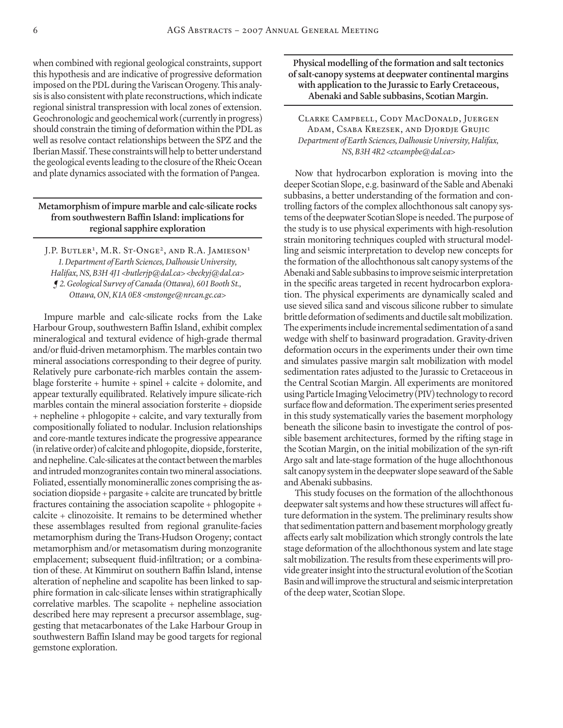when combined with regional geological constraints, support this hypothesis and are indicative of progressive deformation imposed on the PDL during the Variscan Orogeny. This analysis is also consistent with plate reconstructions, which indicate regional sinistral transpression with local zones of extension. Geochronologic and geochemical work (currently in progress) should constrain the timing of deformation within the PDL as well as resolve contact relationships between the SPZ and the Iberian Massif. These constraints will help to better understand the geological events leading to the closure of the Rheic Ocean and plate dynamics associated with the formation of Pangea.

# **Metamorphism of impure marble and calc-silicate rocks from southwestern Baffin Island: implications for regional sapphire exploration**

J.P. Butler<sup>1</sup>, M.R. St-Onge<sup>2</sup>, and R.A. Jamieson<sup>1</sup> *1. Department of Earth Sciences, Dalhousie University, Halifax, NS, B3H 4J1 <butlerjp@dal.ca> <beckyj@dal.ca> ¶ 2. Geological Survey of Canada (Ottawa), 601 Booth St., Ottawa, ON, K1A 0E8 <mstonge@nrcan.gc.ca>*

Impure marble and calc-silicate rocks from the Lake Harbour Group, southwestern Baffin Island, exhibit complex mineralogical and textural evidence of high-grade thermal and/or fluid-driven metamorphism. The marbles contain two mineral associations corresponding to their degree of purity. Relatively pure carbonate-rich marbles contain the assemblage forsterite + humite + spinel + calcite + dolomite, and appear texturally equilibrated. Relatively impure silicate-rich marbles contain the mineral association forsterite + diopside + nepheline + phlogopite + calcite, and vary texturally from compositionally foliated to nodular. Inclusion relationships and core-mantle textures indicate the progressive appearance (in relative order) of calcite and phlogopite, diopside, forsterite, and nepheline. Calc-silicates at the contact between the marbles and intruded monzogranites contain two mineral associations. Foliated, essentially monominerallic zones comprising the association diopside + pargasite + calcite are truncated by brittle fractures containing the association scapolite + phlogopite + calcite + clinozoisite. It remains to be determined whether these assemblages resulted from regional granulite-facies metamorphism during the Trans-Hudson Orogeny; contact metamorphism and/or metasomatism during monzogranite emplacement; subsequent fluid-infiltration; or a combination of these. At Kimmirut on southern Baffin Island, intense alteration of nepheline and scapolite has been linked to sapphire formation in calc-silicate lenses within stratigraphically correlative marbles. The scapolite + nepheline association described here may represent a precursor assemblage, suggesting that metacarbonates of the Lake Harbour Group in southwestern Baffin Island may be good targets for regional gemstone exploration.

**Physical modelling of the formation and salt tectonics of salt-canopy systems at deepwater continental margins with application to the Jurassic to Early Cretaceous, Abenaki and Sable subbasins, Scotian Margin.**

Clarke Campbell, Cody MacDonald, Juergen Adam, Csaba Krezsek, and Djordje Grujic *Department of Earth Sciences, Dalhousie University, Halifax, NS, B3H 4R2 <ctcampbe@dal.ca>*

Now that hydrocarbon exploration is moving into the deeper Scotian Slope, e.g. basinward of the Sable and Abenaki subbasins, a better understanding of the formation and controlling factors of the complex allochthonous salt canopy systems of the deepwater Scotian Slope is needed. The purpose of the study is to use physical experiments with high-resolution strain monitoring techniques coupled with structural modelling and seismic interpretation to develop new concepts for the formation of the allochthonous salt canopy systems of the Abenaki and Sable subbasins to improve seismic interpretation in the specific areas targeted in recent hydrocarbon exploration. The physical experiments are dynamically scaled and use sieved silica sand and viscous silicone rubber to simulate brittle deformation of sediments and ductile salt mobilization. The experiments include incremental sedimentation of a sand wedge with shelf to basinward progradation. Gravity-driven deformation occurs in the experiments under their own time and simulates passive margin salt mobilization with model sedimentation rates adjusted to the Jurassic to Cretaceous in the Central Scotian Margin. All experiments are monitored using Particle Imaging Velocimetry (PIV) technology to record surface flow and deformation. The experiment series presented in this study systematically varies the basement morphology beneath the silicone basin to investigate the control of possible basement architectures, formed by the rifting stage in the Scotian Margin, on the initial mobilization of the syn-rift Argo salt and late-stage formation of the huge allochthonous salt canopy system in the deepwater slope seaward of the Sable and Abenaki subbasins.

This study focuses on the formation of the allochthonous deepwater salt systems and how these structures will affect future deformation in the system. The preliminary results show that sedimentation pattern and basement morphology greatly affects early salt mobilization which strongly controls the late stage deformation of the allochthonous system and late stage salt mobilization. The results from these experiments will provide greater insight into the structural evolution of the Scotian Basin and will improve the structural and seismic interpretation of the deep water, Scotian Slope.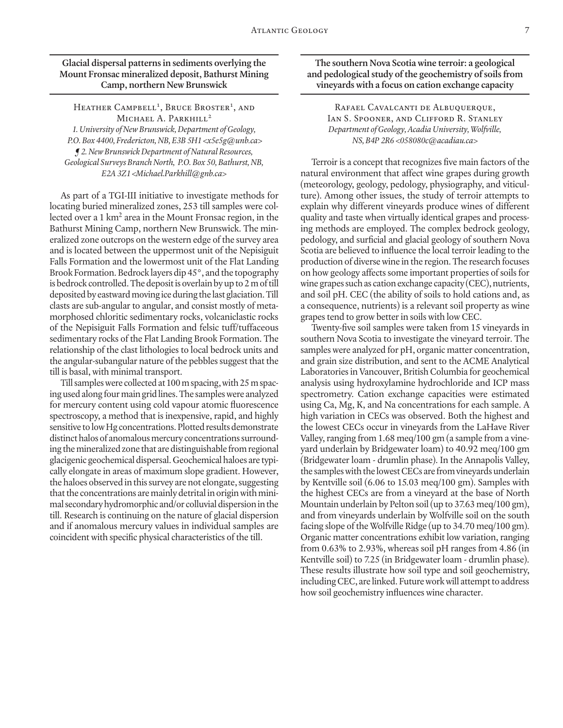# **Glacial dispersal patterns in sediments overlying the Mount Fronsac mineralized deposit, Bathurst Mining Camp, northern New Brunswick**

HEATHER CAMPBELL<sup>1</sup>, BRUCE BROSTER<sup>1</sup>, AND MICHAEL A. PARKHILL<sup>2</sup> *1. University of New Brunswick, Department of Geology, P.O. Box 4400, Fredericton, NB, E3B 5H1 <x5e5g@unb.ca> ¶ 2. New Brunswick Department of Natural Resources, Geological Surveys Branch North, P.O. Box 50, Bathurst, NB, E2A 3Z1 <Michael.Parkhill@gnb.ca>*

As part of a TGI-III initiative to investigate methods for locating buried mineralized zones, 253 till samples were collected over a 1 km2 area in the Mount Fronsac region, in the Bathurst Mining Camp, northern New Brunswick. The mineralized zone outcrops on the western edge of the survey area and is located between the uppermost unit of the Nepisiguit Falls Formation and the lowermost unit of the Flat Landing Brook Formation. Bedrock layers dip 45°, and the topography is bedrock controlled. The deposit is overlain by up to 2 m of till deposited by eastward moving ice during the last glaciation. Till clasts are sub-angular to angular, and consist mostly of metamorphosed chloritic sedimentary rocks, volcaniclastic rocks of the Nepisiguit Falls Formation and felsic tuff/tuffaceous sedimentary rocks of the Flat Landing Brook Formation. The relationship of the clast lithologies to local bedrock units and the angular-subangular nature of the pebbles suggest that the till is basal, with minimal transport.

Till samples were collected at 100 m spacing, with 25 m spacing used along four main grid lines. The samples were analyzed for mercury content using cold vapour atomic fluorescence spectroscopy, a method that is inexpensive, rapid, and highly sensitive to low Hg concentrations. Plotted results demonstrate distinct halos of anomalous mercury concentrations surrounding the mineralized zone that are distinguishable from regional glacigenic geochemical dispersal. Geochemical haloes are typically elongate in areas of maximum slope gradient. However, the haloes observed in this survey are not elongate, suggesting that the concentrations are mainly detrital in origin with minimal secondary hydromorphic and/or colluvial dispersion in the till. Research is continuing on the nature of glacial dispersion and if anomalous mercury values in individual samples are coincident with specific physical characteristics of the till.

**The southern Nova Scotia wine terroir: a geological and pedological study of the geochemistry of soils from vineyards with a focus on cation exchange capacity**

Rafael Cavalcanti de Albuquerque, Ian S. Spooner, and Clifford R. Stanley *Department of Geology, Acadia University, Wolfville, NS, B4P 2R6 <058080c@acadiau.ca>*

Terroir is a concept that recognizes five main factors of the natural environment that affect wine grapes during growth (meteorology, geology, pedology, physiography, and viticulture). Among other issues, the study of terroir attempts to explain why different vineyards produce wines of different quality and taste when virtually identical grapes and processing methods are employed. The complex bedrock geology, pedology, and surficial and glacial geology of southern Nova Scotia are believed to influence the local terroir leading to the production of diverse wine in the region. The research focuses on how geology affects some important properties of soils for wine grapes such as cation exchange capacity (CEC), nutrients, and soil pH. CEC (the ability of soils to hold cations and, as a consequence, nutrients) is a relevant soil property as wine grapes tend to grow better in soils with low CEC.

Twenty-five soil samples were taken from 15 vineyards in southern Nova Scotia to investigate the vineyard terroir. The samples were analyzed for pH, organic matter concentration, and grain size distribution, and sent to the ACME Analytical Laboratories in Vancouver, British Columbia for geochemical analysis using hydroxylamine hydrochloride and ICP mass spectrometry. Cation exchange capacities were estimated using Ca, Mg, K, and Na concentrations for each sample. A high variation in CECs was observed. Both the highest and the lowest CECs occur in vineyards from the LaHave River Valley, ranging from 1.68 meq/100 gm (a sample from a vineyard underlain by Bridgewater loam) to 40.92 meq/100 gm (Bridgewater loam - drumlin phase). In the Annapolis Valley, the samples with the lowest CECs are from vineyards underlain by Kentville soil (6.06 to 15.03 meq/100 gm). Samples with the highest CECs are from a vineyard at the base of North Mountain underlain by Pelton soil (up to 37.63 meq/100 gm), and from vineyards underlain by Wolfville soil on the south facing slope of the Wolfville Ridge (up to 34.70 meq/100 gm). Organic matter concentrations exhibit low variation, ranging from 0.63% to 2.93%, whereas soil pH ranges from 4.86 (in Kentville soil) to 7.25 (in Bridgewater loam - drumlin phase). These results illustrate how soil type and soil geochemistry, including CEC, are linked. Future work will attempt to address how soil geochemistry influences wine character.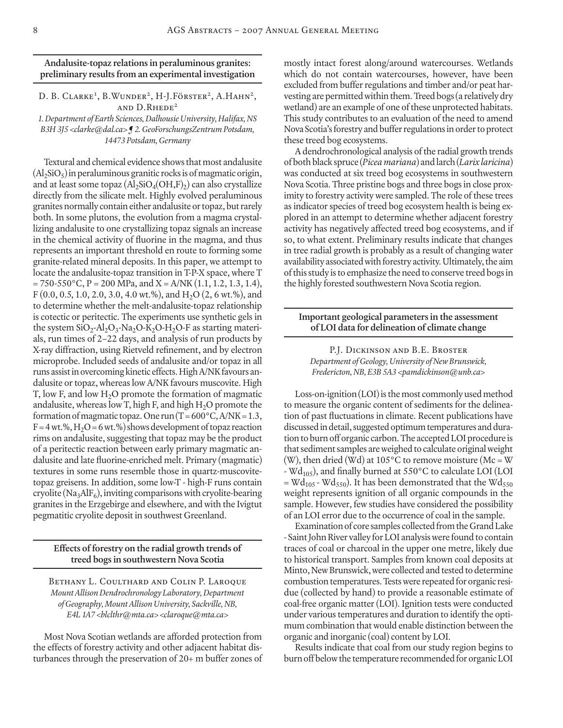**Andalusite-topaz relations in peraluminous granites: preliminary results from an experimental investigation**

D. B. Clarke<sup>1</sup>, B.Wunder<sup>2</sup>, H-J.Förster<sup>2</sup>, A.Hahn<sup>2</sup>, and D.Rhede2

*1. Department of Earth Sciences, Dalhousie University, Halifax, NS B3H 3J5 <clarke@dal.ca> ¶ 2. GeoForschungsZentrum Potsdam, 14473 Potsdam, Germany*

Textural and chemical evidence shows that most andalusite  $(Al_2SiO_5)$  in peraluminous granitic rocks is of magmatic origin, and at least some topaz  $\left( \text{Al}_2 \text{SiO}_4(\text{OH}, \text{F})_2 \right)$  can also crystallize directly from the silicate melt. Highly evolved peraluminous granites normally contain either andalusite or topaz, but rarely both. In some plutons, the evolution from a magma crystallizing andalusite to one crystallizing topaz signals an increase in the chemical activity of fluorine in the magma, and thus represents an important threshold en route to forming some granite-related mineral deposits. In this paper, we attempt to locate the andalusite-topaz transition in T-P-X space, where T  $= 750-550$ °C, P = 200 MPa, and X = A/NK (1.1, 1.2, 1.3, 1.4), F (0.0, 0.5, 1.0, 2.0, 3.0, 4.0 wt.%), and H<sub>2</sub>O (2, 6 wt.%), and to determine whether the melt-andalusite-topaz relationship is cotectic or peritectic. The experiments use synthetic gels in the system  $SiO_2$ - $Al_2O_3$ -Na<sub>2</sub>O-K<sub>2</sub>O-H<sub>2</sub>O-F as starting materials, run times of 2–22 days, and analysis of run products by X-ray diffraction, using Rietveld refinement, and by electron microprobe. Included seeds of andalusite and/or topaz in all runs assist in overcoming kinetic effects. High A/NK favours andalusite or topaz, whereas low A/NK favours muscovite. High T, low F, and low  $H_2O$  promote the formation of magmatic andalusite, whereas low T, high F, and high  $H_2O$  promote the formation of magmatic topaz. One run  $(T = 600\degree C, A/NK = 1.3,$  $F = 4$  wt.%,  $H_2O = 6$  wt.%) shows development of topaz reaction rims on andalusite, suggesting that topaz may be the product of a peritectic reaction between early primary magmatic andalusite and late fluorine-enriched melt. Primary (magmatic) textures in some runs resemble those in quartz-muscovitetopaz greisens. In addition, some low-T - high-F runs contain cryolite (Na<sub>3</sub>AlF<sub>6</sub>), inviting comparisons with cryolite-bearing granites in the Erzgebirge and elsewhere, and with the Ivigtut pegmatitic cryolite deposit in southwest Greenland.

**Effects of forestry on the radial growth trends of treed bogs in southwestern Nova Scotia**

Bethany L. Coulthard and Colin P. Laroque *Mount Allison Dendrochronology Laboratory, Department of Geography, Mount Allison University, Sackville, NB, E4L 1A7 <blclthr@mta.ca> <claroque@mta.ca>*

Most Nova Scotian wetlands are afforded protection from the effects of forestry activity and other adjacent habitat disturbances through the preservation of 20+ m buffer zones of mostly intact forest along/around watercourses. Wetlands which do not contain watercourses, however, have been excluded from buffer regulations and timber and/or peat harvesting are permitted within them. Treed bogs (a relatively dry wetland) are an example of one of these unprotected habitats. This study contributes to an evaluation of the need to amend Nova Scotia's forestry and buffer regulations in order to protect these treed bog ecosystems.

A dendrochronological analysis of the radial growth trends of both black spruce (*Picea mariana*) and larch (*Larix laricina*) was conducted at six treed bog ecosystems in southwestern Nova Scotia. Three pristine bogs and three bogs in close proximity to forestry activity were sampled. The role of these trees as indicator species of treed bog ecosystem health is being explored in an attempt to determine whether adjacent forestry activity has negatively affected treed bog ecosystems, and if so, to what extent. Preliminary results indicate that changes in tree radial growth is probably as a result of changing water availability associated with forestry activity. Ultimately, the aim of this study is to emphasize the need to conserve treed bogs in the highly forested southwestern Nova Scotia region.

#### **Important geological parameters in the assessment of LOI data for delineation of climate change**

P.J. Dickinson and B.E. Broster *Department of Geology, University of New Brunswick, Fredericton, NB, E3B 5A3 <pamdickinson@unb.ca>*

Loss-on-ignition (LOI) is the most commonly used method to measure the organic content of sediments for the delineation of past fluctuations in climate. Recent publications have discussed in detail, suggested optimum temperatures and duration to burn off organic carbon. The accepted LOI procedure is that sediment samples are weighed to calculate original weight (W), then dried (Wd) at  $105^{\circ}$ C to remove moisture (Mc = W - Wd<sub>105</sub>), and finally burned at 550°C to calculate LOI (LOI = Wd<sub>105</sub> - Wd<sub>550</sub>). It has been demonstrated that the Wd<sub>550</sub> weight represents ignition of all organic compounds in the sample. However, few studies have considered the possibility of an LOI error due to the occurrence of coal in the sample.

Examination of core samples collected from the Grand Lake - Saint John River valley for LOI analysis were found to contain traces of coal or charcoal in the upper one metre, likely due to historical transport. Samples from known coal deposits at Minto, New Brunswick, were collected and tested to determine combustion temperatures. Tests were repeated for organic residue (collected by hand) to provide a reasonable estimate of coal-free organic matter (LOI). Ignition tests were conducted under various temperatures and duration to identify the optimum combination that would enable distinction between the organic and inorganic (coal) content by LOI.

Results indicate that coal from our study region begins to burn off below the temperature recommended for organic LOI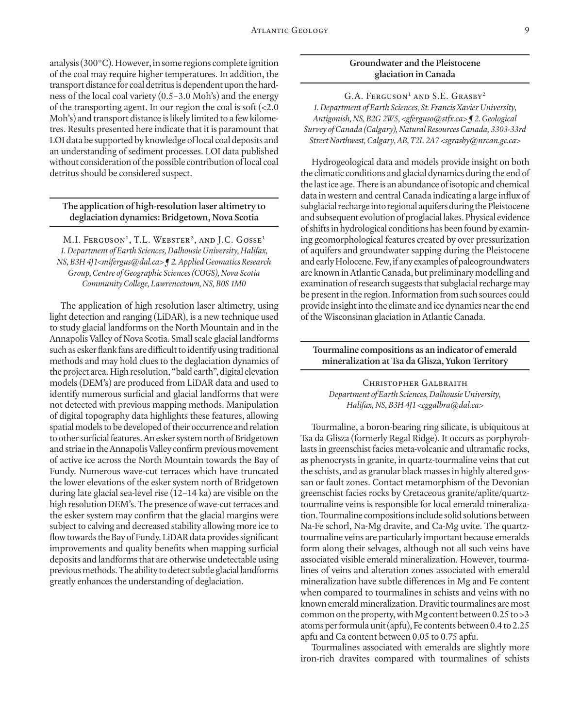analysis (300°C). However, in some regions complete ignition of the coal may require higher temperatures. In addition, the transport distance for coal detritus is dependent upon the hardness of the local coal variety (0.5–3.0 Moh's) and the energy of the transporting agent. In our region the coal is soft  $\left( < 2.0 \right)$ Moh's) and transport distance is likely limited to a few kilometres. Results presented here indicate that it is paramount that LOI data be supported by knowledge of local coal deposits and an understanding of sediment processes. LOI data published without consideration of the possible contribution of local coal detritus should be considered suspect.

# **The application of high-resolution laser altimetry to deglaciation dynamics: Bridgetown, Nova Scotia**

M.I. Ferguson<sup>1</sup>, T.L. Webster<sup>2</sup>, and J.C. Gosse<sup>1</sup> *1. Department of Earth Sciences, Dalhousie University, Halifax, NS, B3H 4J1<mifergus@dal.ca> ¶ 2. Applied Geomatics Research Group, Centre of Geographic Sciences (COGS), Nova Scotia Community College, Lawrencetown, NS, B0S 1M0*

The application of high resolution laser altimetry, using light detection and ranging (LiDAR), is a new technique used to study glacial landforms on the North Mountain and in the Annapolis Valley of Nova Scotia. Small scale glacial landforms such as esker flank fans are difficult to identify using traditional methods and may hold clues to the deglaciation dynamics of the project area. High resolution, "bald earth", digital elevation models (DEM's) are produced from LiDAR data and used to identify numerous surficial and glacial landforms that were not detected with previous mapping methods. Manipulation of digital topography data highlights these features, allowing spatial models to be developed of their occurrence and relation to other surficial features. An esker system north of Bridgetown and striae in the Annapolis Valley confirm previous movement of active ice across the North Mountain towards the Bay of Fundy. Numerous wave-cut terraces which have truncated the lower elevations of the esker system north of Bridgetown during late glacial sea-level rise (12–14 ka) are visible on the high resolution DEM's. The presence of wave-cut terraces and the esker system may confirm that the glacial margins were subject to calving and decreased stability allowing more ice to flow towards the Bay of Fundy. LiDAR data provides significant improvements and quality benefits when mapping surficial deposits and landforms that are otherwise undetectable using previous methods. The ability to detect subtle glacial landforms greatly enhances the understanding of deglaciation.

# **Groundwater and the Pleistocene glaciation in Canada**

G.A. FERGUSON<sup>1</sup> AND S.E. GRASBY<sup>2</sup> *1. Department of Earth Sciences, St. Francis Xavier University, Antigonish, NS, B2G 2W5, <gferguso@stfx.ca> ¶ 2. Geological Survey of Canada (Calgary), Natural Resources Canada, 3303-33rd Street Northwest, Calgary, AB, T2L 2A7 <sgrasby@nrcan.gc.ca>*

Hydrogeological data and models provide insight on both the climatic conditions and glacial dynamics during the end of the last ice age. There is an abundance of isotopic and chemical data in western and central Canada indicating a large influx of subglacial recharge into regional aquifers during the Pleistocene and subsequent evolution of proglacial lakes. Physical evidence of shifts in hydrological conditions has been found by examining geomorphological features created by over pressurization of aquifers and groundwater sapping during the Pleistocene and early Holocene. Few, if any examples of paleogroundwaters are known in Atlantic Canada, but preliminary modelling and examination of research suggests that subglacial recharge may be present in the region. Information from such sources could provide insight into the climate and ice dynamics near the end of the Wisconsinan glaciation in Atlantic Canada.

# **Tourmaline compositions as an indicator of emerald mineralization at Tsa da Glisza, Yukon Territory**

Christopher Galbraith *Department of Earth Sciences, Dalhousie University, Halifax, NS, B3H 4J1 <cggalbra@dal.ca>*

Tourmaline, a boron-bearing ring silicate, is ubiquitous at Tsa da Glisza (formerly Regal Ridge). It occurs as porphyroblasts in greenschist facies meta-volcanic and ultramafic rocks, as phenocrysts in granite, in quartz-tourmaline veins that cut the schists, and as granular black masses in highly altered gossan or fault zones. Contact metamorphism of the Devonian greenschist facies rocks by Cretaceous granite/aplite/quartztourmaline veins is responsible for local emerald mineralization. Tourmaline compositions include solid solutions between Na-Fe schorl, Na-Mg dravite, and Ca-Mg uvite. The quartztourmaline veins are particularly important because emeralds form along their selvages, although not all such veins have associated visible emerald mineralization. However, tourmalines of veins and alteration zones associated with emerald mineralization have subtle differences in Mg and Fe content when compared to tourmalines in schists and veins with no known emerald mineralization. Dravitic tourmalines are most common on the property, with Mg content between 0.25 to >3 atoms per formula unit (apfu), Fe contents between 0.4 to 2.25 apfu and Ca content between 0.05 to 0.75 apfu.

Tourmalines associated with emeralds are slightly more iron-rich dravites compared with tourmalines of schists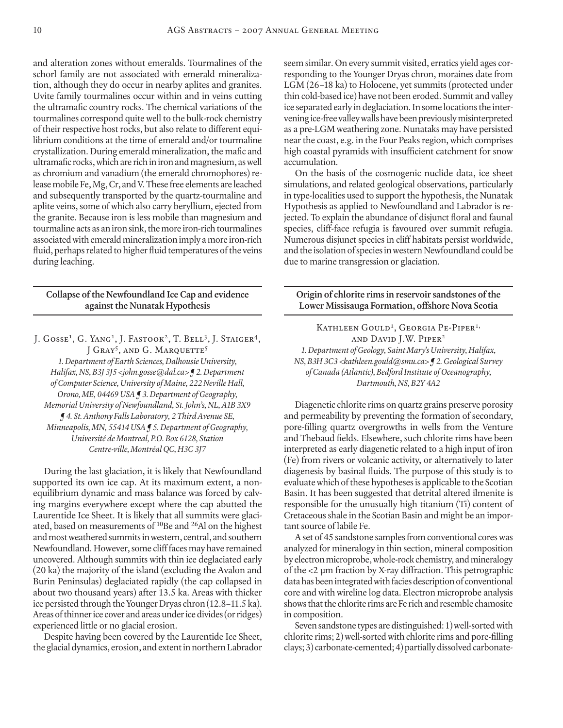and alteration zones without emeralds. Tourmalines of the schorl family are not associated with emerald mineralization, although they do occur in nearby aplites and granites. Uvite family tourmalines occur within and in veins cutting the ultramafic country rocks. The chemical variations of the tourmalines correspond quite well to the bulk-rock chemistry of their respective host rocks, but also relate to different equilibrium conditions at the time of emerald and/or tourmaline crystallization. During emerald mineralization, the mafic and ultramafic rocks, which are rich in iron and magnesium, as well as chromium and vanadium (the emerald chromophores) release mobile Fe, Mg, Cr, and V. These free elements are leached and subsequently transported by the quartz-tourmaline and aplite veins, some of which also carry beryllium, ejected from the granite. Because iron is less mobile than magnesium and tourmaline acts as an iron sink, the more iron-rich tourmalines associated with emerald mineralization imply a more iron-rich fluid, perhaps related to higher fluid temperatures of the veins during leaching.

# **Collapse of the Newfoundland Ice Cap and evidence against the Nunatak Hypothesis**

J. Gosse<sup>1</sup>, G. Yang<sup>1</sup>, J. Fastook<sup>2</sup>, T. Bell<sup>3</sup>, J. Staiger<sup>4</sup>, J GRAY<sup>5</sup>, AND G. MARQUETTE<sup>5</sup> *1. Department of Earth Sciences, Dalhousie University, Halifax, NS, B3J 3J5 <john.gosse@dal.ca> ¶ 2. Department of Computer Science, University of Maine, 222 Neville Hall, Orono, ME, 04469 USA ¶ 3. Department of Geography, Memorial University of Newfoundland, St. John's, NL, A1B 3X9 ¶ 4. St. Anthony Falls Laboratory, 2 Third Avenue SE, Minneapolis, MN, 55414 USA ¶ 5. Department of Geography, Université de Montreal, P.O. Box 6128, Station Centre-ville, Montréal QC, H3C 3J7*

During the last glaciation, it is likely that Newfoundland supported its own ice cap. At its maximum extent, a nonequilibrium dynamic and mass balance was forced by calving margins everywhere except where the cap abutted the Laurentide Ice Sheet. It is likely that all summits were glaciated, based on measurements of <sup>10</sup>Be and <sup>26</sup>Al on the highest and most weathered summits in western, central, and southern Newfoundland. However, some cliff faces may have remained uncovered. Although summits with thin ice deglaciated early (20 ka) the majority of the island (excluding the Avalon and Burin Peninsulas) deglaciated rapidly (the cap collapsed in about two thousand years) after 13.5 ka. Areas with thicker ice persisted through the Younger Dryas chron (12.8–11.5 ka). Areas of thinner ice cover and areas under ice divides (or ridges) experienced little or no glacial erosion.

Despite having been covered by the Laurentide Ice Sheet, the glacial dynamics, erosion, and extent in northern Labrador seem similar. On every summit visited, erratics yield ages corresponding to the Younger Dryas chron, moraines date from LGM (26–18 ka) to Holocene, yet summits (protected under thin cold-based ice) have not been eroded. Summit and valley ice separated early in deglaciation. In some locations the intervening ice-free valley walls have been previously misinterpreted as a pre-LGM weathering zone. Nunataks may have persisted near the coast, e.g. in the Four Peaks region, which comprises high coastal pyramids with insufficient catchment for snow accumulation.

On the basis of the cosmogenic nuclide data, ice sheet simulations, and related geological observations, particularly in type-localities used to support the hypothesis, the Nunatak Hypothesis as applied to Newfoundland and Labrador is rejected. To explain the abundance of disjunct floral and faunal species, cliff-face refugia is favoured over summit refugia. Numerous disjunct species in cliff habitats persist worldwide, and the isolation of species in western Newfoundland could be due to marine transgression or glaciation.

**Origin of chlorite rims in reservoir sandstones of the Lower Missisauga Formation, offshore Nova Scotia**

Kathleen Gould<sup>1</sup>, Georgia Pe-Piper<sup>1,</sup> and David J.W. Piper2 *1. Department of Geology, Saint Mary's University, Halifax, NS, B3H 3C3 <kathleen.gould@smu.ca> ¶ 2. Geological Survey of Canada (Atlantic), Bedford Institute of Oceanography, Dartmouth, NS, B2Y 4A2*

Diagenetic chlorite rims on quartz grains preserve porosity and permeability by preventing the formation of secondary, pore-filling quartz overgrowths in wells from the Venture and Thebaud fields. Elsewhere, such chlorite rims have been interpreted as early diagenetic related to a high input of iron (Fe) from rivers or volcanic activity, or alternatively to later diagenesis by basinal fluids. The purpose of this study is to evaluate which of these hypotheses is applicable to the Scotian Basin. It has been suggested that detrital altered ilmenite is responsible for the unusually high titanium (Ti) content of Cretaceous shale in the Scotian Basin and might be an important source of labile Fe.

A set of 45 sandstone samples from conventional cores was analyzed for mineralogy in thin section, mineral composition by electron microprobe, whole-rock chemistry, and mineralogy of the <2 µm fraction by X-ray diffraction. This petrographic data has been integrated with facies description of conventional core and with wireline log data. Electron microprobe analysis shows that the chlorite rims are Fe rich and resemble chamosite in composition.

Seven sandstone types are distinguished: 1) well-sorted with chlorite rims; 2) well-sorted with chlorite rims and pore-filling clays; 3) carbonate-cemented; 4) partially dissolved carbonate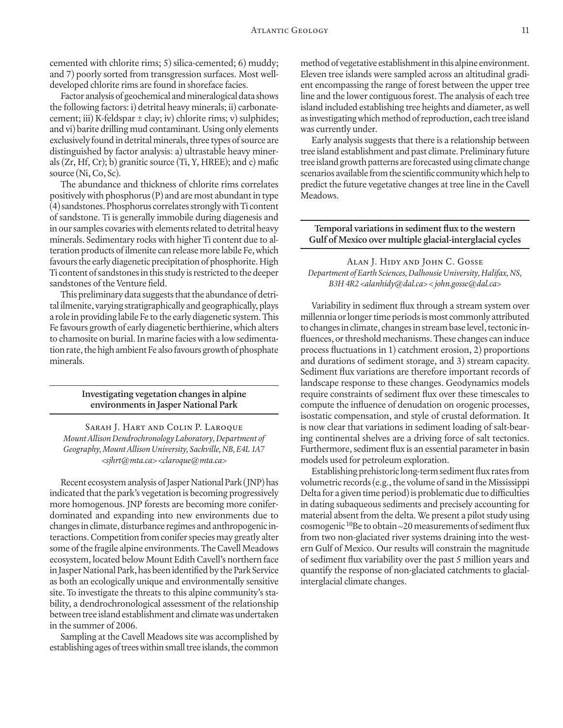cemented with chlorite rims; 5) silica-cemented; 6) muddy; and 7) poorly sorted from transgression surfaces. Most welldeveloped chlorite rims are found in shoreface facies.

Factor analysis of geochemical and mineralogical data shows the following factors: i) detrital heavy minerals; ii) carbonatecement; iii) K-feldspar  $\pm$  clay; iv) chlorite rims; v) sulphides; and vi) barite drilling mud contaminant. Using only elements exclusively found in detrital minerals, three types of source are distinguished by factor analysis: a) ultrastable heavy minerals (Zr, Hf, Cr); b) granitic source (Ti, Y, HREE); and c) mafic source (Ni, Co, Sc).

The abundance and thickness of chlorite rims correlates positively with phosphorus (P) and are most abundant in type (4) sandstones. Phosphorus correlates strongly with Ti content of sandstone. Ti is generally immobile during diagenesis and in our samples covaries with elements related to detrital heavy minerals. Sedimentary rocks with higher Ti content due to alteration products of ilmenite can release more labile Fe, which favours the early diagenetic precipitation of phosphorite. High Ti content of sandstones in this study is restricted to the deeper sandstones of the Venture field.

This preliminary data suggests that the abundance of detrital ilmenite, varying stratigraphically and geographically, plays a role in providing labile Fe to the early diagenetic system. This Fe favours growth of early diagenetic berthierine, which alters to chamosite on burial. In marine facies with a low sedimentation rate, the high ambient Fe also favours growth of phosphate minerals.

> **Investigating vegetation changes in alpine environments in Jasper National Park**

Sarah J. Hart and Colin P. Laroque *Mount Allison Dendrochronology Laboratory, Department of Geography, Mount Allison University, Sackville, NB, E4L 1A7 <sjhrt@mta.ca> <claroque@mta.ca>*

Recent ecosystem analysis of Jasper National Park (JNP) has indicated that the park's vegetation is becoming progressively more homogenous. JNP forests are becoming more coniferdominated and expanding into new environments due to changes in climate, disturbance regimes and anthropogenic interactions. Competition from conifer species may greatly alter some of the fragile alpine environments. The Cavell Meadows ecosystem, located below Mount Edith Cavell's northern face in Jasper National Park, has been identified by the Park Service as both an ecologically unique and environmentally sensitive site. To investigate the threats to this alpine community's stability, a dendrochronological assessment of the relationship between tree island establishment and climate was undertaken in the summer of 2006.

Sampling at the Cavell Meadows site was accomplished by establishing ages of trees within small tree islands, the common method of vegetative establishment in this alpine environment. Eleven tree islands were sampled across an altitudinal gradient encompassing the range of forest between the upper tree line and the lower contiguous forest. The analysis of each tree island included establishing tree heights and diameter, as well as investigating which method of reproduction, each tree island was currently under.

Early analysis suggests that there is a relationship between tree island establishment and past climate. Preliminary future tree island growth patterns are forecasted using climate change scenarios available from the scientific community which help to predict the future vegetative changes at tree line in the Cavell Meadows.

# **Temporal variations in sediment flux to the western Gulf of Mexico over multiple glacial-interglacial cycles**

#### Alan J. Hidy and John C. Gosse *Department of Earth Sciences, Dalhousie University, Halifax, NS, B3H 4R2 <alanhidy@dal.ca> < john.gosse@dal.ca>*

Variability in sediment flux through a stream system over millennia or longer time periods is most commonly attributed to changes in climate, changes in stream base level, tectonic influences, or threshold mechanisms. These changes can induce process fluctuations in 1) catchment erosion, 2) proportions and durations of sediment storage, and 3) stream capacity. Sediment flux variations are therefore important records of landscape response to these changes. Geodynamics models require constraints of sediment flux over these timescales to compute the influence of denudation on orogenic processes, isostatic compensation, and style of crustal deformation. It is now clear that variations in sediment loading of salt-bearing continental shelves are a driving force of salt tectonics. Furthermore, sediment flux is an essential parameter in basin models used for petroleum exploration.

Establishing prehistoric long-term sediment flux rates from volumetric records (e.g., the volume of sand in the Mississippi Delta for a given time period) is problematic due to difficulties in dating subaqueous sediments and precisely accounting for material absent from the delta. We present a pilot study using cosmogenic  $^{10}$ Be to obtain ~20 measurements of sediment flux from two non-glaciated river systems draining into the western Gulf of Mexico. Our results will constrain the magnitude of sediment flux variability over the past 5 million years and quantify the response of non-glaciated catchments to glacialinterglacial climate changes.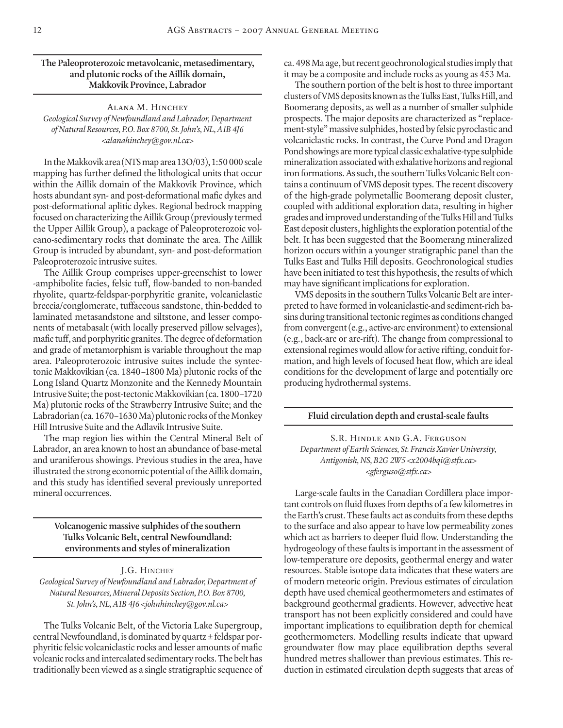**The Paleoproterozoic metavolcanic, metasedimentary, and plutonic rocks of the Aillik domain, Makkovik Province, Labrador** 

Alana M. Hinchey *Geological Survey of Newfoundland and Labrador, Department of Natural Resources, P.O. Box 8700, St. John's, NL, A1B 4J6 <alanahinchey@gov.nl.ca>*

In the Makkovik area (NTS map area 13O/03), 1:50 000 scale mapping has further defined the lithological units that occur within the Aillik domain of the Makkovik Province, which hosts abundant syn- and post-deformational mafic dykes and post-deformational aplitic dykes. Regional bedrock mapping focused on characterizing the Aillik Group (previously termed the Upper Aillik Group), a package of Paleoproterozoic volcano-sedimentary rocks that dominate the area. The Aillik Group is intruded by abundant, syn- and post-deformation Paleoproterozoic intrusive suites.

The Aillik Group comprises upper-greenschist to lower -amphibolite facies, felsic tuff, flow-banded to non-banded rhyolite, quartz-feldspar-porphyritic granite, volcaniclastic breccia/conglomerate, tuffaceous sandstone, thin-bedded to laminated metasandstone and siltstone, and lesser components of metabasalt (with locally preserved pillow selvages), mafic tuff, and porphyritic granites. The degree of deformation and grade of metamorphism is variable throughout the map area. Paleoproterozoic intrusive suites include the syntectonic Makkovikian (ca. 1840–1800 Ma) plutonic rocks of the Long Island Quartz Monzonite and the Kennedy Mountain Intrusive Suite; the post-tectonic Makkovikian (ca. 1800–1720 Ma) plutonic rocks of the Strawberry Intrusive Suite; and the Labradorian (ca. 1670–1630 Ma) plutonic rocks of the Monkey Hill Intrusive Suite and the Adlavik Intrusive Suite.

The map region lies within the Central Mineral Belt of Labrador, an area known to host an abundance of base-metal and uraniferous showings. Previous studies in the area, have illustrated the strong economic potential of the Aillik domain, and this study has identified several previously unreported mineral occurrences.

**Volcanogenic massive sulphides of the southern Tulks Volcanic Belt, central Newfoundland: environments and styles of mineralization**

J.G. HINCHEY *Geological Survey of Newfoundland and Labrador, Department of Natural Resources, Mineral Deposits Section, P.O. Box 8700, St. John's, NL, A1B 4J6 <johnhinchey@gov.nl.ca>*

The Tulks Volcanic Belt, of the Victoria Lake Supergroup, central Newfoundland, is dominated by quartz ± feldspar porphyritic felsic volcaniclastic rocks and lesser amounts of mafic volcanic rocks and intercalated sedimentary rocks. The belt has traditionally been viewed as a single stratigraphic sequence of ca. 498 Ma age, but recent geochronological studies imply that it may be a composite and include rocks as young as 453 Ma.

The southern portion of the belt is host to three important clusters of VMS deposits known as the Tulks East, Tulks Hill, and Boomerang deposits, as well as a number of smaller sulphide prospects. The major deposits are characterized as "replacement-style" massive sulphides, hosted by felsic pyroclastic and volcaniclastic rocks. In contrast, the Curve Pond and Dragon Pond showings are more typical classic exhalative-type sulphide mineralization associated with exhalative horizons and regional iron formations. As such, the southern Tulks Volcanic Belt contains a continuum of VMS deposit types. The recent discovery of the high-grade polymetallic Boomerang deposit cluster, coupled with additional exploration data, resulting in higher grades and improved understanding of the Tulks Hill and Tulks East deposit clusters, highlights the exploration potential of the belt. It has been suggested that the Boomerang mineralized horizon occurs within a younger stratigraphic panel than the Tulks East and Tulks Hill deposits. Geochronological studies have been initiated to test this hypothesis, the results of which may have significant implications for exploration.

VMS deposits in the southern Tulks Volcanic Belt are interpreted to have formed in volcaniclastic-and sediment-rich basins during transitional tectonic regimes as conditions changed from convergent (e.g., active-arc environment) to extensional (e.g., back-arc or arc-rift). The change from compressional to extensional regimes would allow for active rifting, conduit formation, and high levels of focused heat flow, which are ideal conditions for the development of large and potentially ore producing hydrothermal systems.

#### **Fluid circulation depth and crustal-scale faults**

S.R. Hindle and G.A. Ferguson *Department of Earth Sciences, St. Francis Xavier University, Antigonish, NS, B2G 2W5 <x2004bqi@stfx.ca> <gferguso@stfx.ca>*

Large-scale faults in the Canadian Cordillera place important controls on fluid fluxes from depths of a few kilometres in the Earth's crust. These faults act as conduits from these depths to the surface and also appear to have low permeability zones which act as barriers to deeper fluid flow. Understanding the hydrogeology of these faults is important in the assessment of low-temperature ore deposits, geothermal energy and water resources. Stable isotope data indicates that these waters are of modern meteoric origin. Previous estimates of circulation depth have used chemical geothermometers and estimates of background geothermal gradients. However, advective heat transport has not been explicitly considered and could have important implications to equilibration depth for chemical geothermometers. Modelling results indicate that upward groundwater flow may place equilibration depths several hundred metres shallower than previous estimates. This reduction in estimated circulation depth suggests that areas of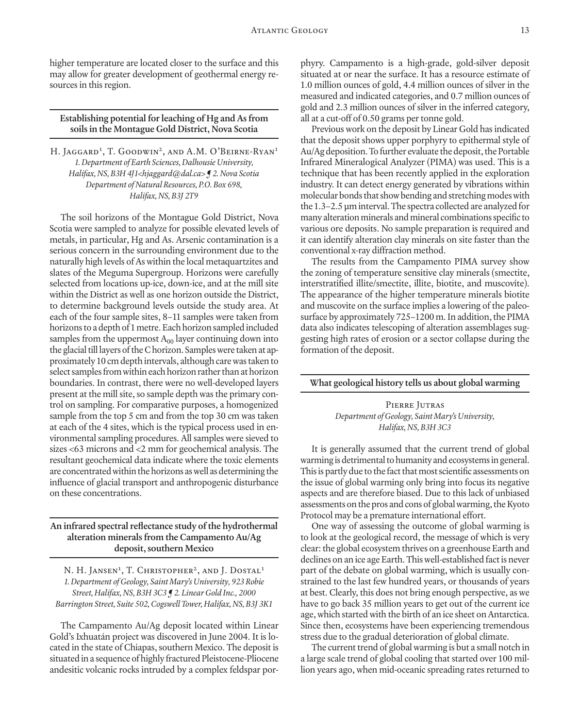higher temperature are located closer to the surface and this may allow for greater development of geothermal energy resources in this region.

**Establishing potential for leaching of Hg and As from soils in the Montague Gold District, Nova Scotia**

H. Jaggard<sup>1</sup>, T. Goodwin<sup>2</sup>, and A.M. O'Beirne-Ryan<sup>1</sup> *1. Department of Earth Sciences, Dalhousie University, Halifax, NS, B3H 4J1<hjaggard@dal.ca> ¶ 2. Nova Scotia Department of Natural Resources, P.O. Box 698, Halifax, NS, B3J 2T9*

The soil horizons of the Montague Gold District, Nova Scotia were sampled to analyze for possible elevated levels of metals, in particular, Hg and As. Arsenic contamination is a serious concern in the surrounding environment due to the naturally high levels of As within the local metaquartzites and slates of the Meguma Supergroup. Horizons were carefully selected from locations up-ice, down-ice, and at the mill site within the District as well as one horizon outside the District, to determine background levels outside the study area. At each of the four sample sites, 8–11 samples were taken from horizons to a depth of 1 metre. Each horizon sampled included samples from the uppermost  $A_{00}$  layer continuing down into the glacial till layers of the C horizon. Samples were taken at approximately 10 cm depth intervals, although care was taken to select samples from within each horizon rather than at horizon boundaries. In contrast, there were no well-developed layers present at the mill site, so sample depth was the primary control on sampling. For comparative purposes, a homogenized sample from the top 5 cm and from the top 30 cm was taken at each of the 4 sites, which is the typical process used in environmental sampling procedures. All samples were sieved to sizes <63 microns and <2 mm for geochemical analysis. The resultant geochemical data indicate where the toxic elements are concentrated within the horizons as well as determining the influence of glacial transport and anthropogenic disturbance on these concentrations.

#### **An infrared spectral reflectance study of the hydrothermal alteration minerals from the Campamento Au/Ag deposit, southern Mexico**

N. H. Jansen<sup>1</sup>, T. Christopher<sup>2</sup>, and J. Dostal<sup>1</sup> *1. Department of Geology, Saint Mary's University, 923 Robie Street, Halifax, NS, B3H 3C3 ¶ 2. Linear Gold Inc., 2000 Barrington Street, Suite 502, Cogswell Tower, Halifax, NS, B3J 3K1*

The Campamento Au/Ag deposit located within Linear Gold's Ixhuatán project was discovered in June 2004. It is located in the state of Chiapas, southern Mexico. The deposit is situated in a sequence of highly fractured Pleistocene-Pliocene andesitic volcanic rocks intruded by a complex feldspar porphyry. Campamento is a high-grade, gold-silver deposit situated at or near the surface. It has a resource estimate of 1.0 million ounces of gold, 4.4 million ounces of silver in the measured and indicated categories, and 0.7 million ounces of gold and 2.3 million ounces of silver in the inferred category, all at a cut-off of 0.50 grams per tonne gold.

Previous work on the deposit by Linear Gold has indicated that the deposit shows upper porphyry to epithermal style of Au/Ag deposition. To further evaluate the deposit, the Portable Infrared Mineralogical Analyzer (PIMA) was used. This is a technique that has been recently applied in the exploration industry. It can detect energy generated by vibrations within molecular bonds that show bending and stretching modes with the 1.3–2.5 µm interval. The spectra collected are analyzed for many alteration minerals and mineral combinations specific to various ore deposits. No sample preparation is required and it can identify alteration clay minerals on site faster than the conventional x-ray diffraction method.

The results from the Campamento PIMA survey show the zoning of temperature sensitive clay minerals (smectite, interstratified illite/smectite, illite, biotite, and muscovite). The appearance of the higher temperature minerals biotite and muscovite on the surface implies a lowering of the paleosurface by approximately 725–1200 m. In addition, the PIMA data also indicates telescoping of alteration assemblages suggesting high rates of erosion or a sector collapse during the formation of the deposit.

**What geological history tells us about global warming**

PIERRE JUTRAS *Department of Geology, Saint Mary's University, Halifax, NS, B3H 3C3*

It is generally assumed that the current trend of global warming is detrimental to humanity and ecosystems in general. This is partly due to the fact that most scientific assessments on the issue of global warming only bring into focus its negative aspects and are therefore biased. Due to this lack of unbiased assessments on the pros and cons of global warming, the Kyoto Protocol may be a premature international effort.

One way of assessing the outcome of global warming is to look at the geological record, the message of which is very clear: the global ecosystem thrives on a greenhouse Earth and declines on an ice age Earth. This well-established fact is never part of the debate on global warming, which is usually constrained to the last few hundred years, or thousands of years at best. Clearly, this does not bring enough perspective, as we have to go back 35 million years to get out of the current ice age, which started with the birth of an ice sheet on Antarctica. Since then, ecosystems have been experiencing tremendous stress due to the gradual deterioration of global climate.

The current trend of global warming is but a small notch in a large scale trend of global cooling that started over 100 million years ago, when mid-oceanic spreading rates returned to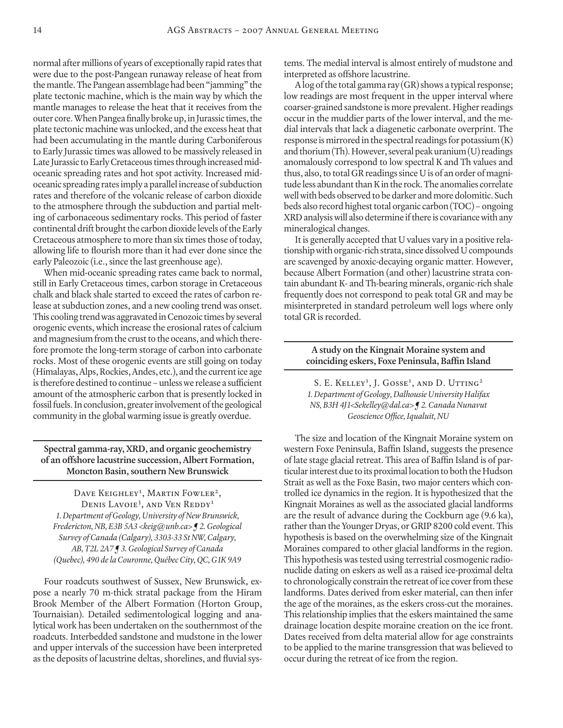normal after millions of years of exceptionally rapid rates that were due to the post-Pangean runaway release of heat from the mantle. The Pangean assemblage had been "jamming" the plate tectonic machine, which is the main way by which the mantle manages to release the heat that it receives from the outer core. When Pangea finally broke up, in Jurassic times, the plate tectonic machine was unlocked, and the excess heat that had been accumulating in the mantle during Carboniferous to Early Jurassic times was allowed to be massively released in Late Jurassic to Early Cretaceous times through increased midoceanic spreading rates and hot spot activity. Increased midoceanic spreading rates imply a parallel increase of subduction rates and therefore of the volcanic release of carbon dioxide to the atmosphere through the subduction and partial melting of carbonaceous sedimentary rocks. This period of faster continental drift brought the carbon dioxide levels of the Early Cretaceous atmosphere to more than six times those of today, allowing life to flourish more than it had ever done since the early Paleozoic (i.e., since the last greenhouse age).

When mid-oceanic spreading rates came back to normal, still in Early Cretaceous times, carbon storage in Cretaceous chalk and black shale started to exceed the rates of carbon release at subduction zones, and a new cooling trend was onset. This cooling trend was aggravated in Cenozoic times by several orogenic events, which increase the erosional rates of calcium and magnesium from the crust to the oceans, and which therefore promote the long-term storage of carbon into carbonate rocks. Most of these orogenic events are still going on today (Himalayas, Alps, Rockies, Andes, etc.), and the current ice age is therefore destined to continue – unless we release a sufficient amount of the atmospheric carbon that is presently locked in fossil fuels. In conclusion, greater involvement of the geological community in the global warming issue is greatly overdue.

**Spectral gamma-ray, XRD, and organic geochemistry of an offshore lacustrine succession, Albert Formation, Moncton Basin, southern New Brunswick**

DAVE KEIGHLEY<sup>1</sup>, MARTIN FOWLER<sup>2</sup>, Denis Lavoie<sup>3</sup>, and Ven Reddy<sup>1</sup> *1. Department of Geology, University of New Brunswick, Fredericton, NB, E3B 5A3 <keig@unb.ca> ¶ 2. Geological Survey of Canada (Calgary), 3303-33 St NW, Calgary, AB, T2L 2A7 ¶ 3. Geological Survey of Canada (Quebec), 490 de la Couronne, Québec City, QC, G1K 9A9*

Four roadcuts southwest of Sussex, New Brunswick, expose a nearly 70 m-thick stratal package from the Hiram Brook Member of the Albert Formation (Horton Group, Tournaisian). Detailed sedimentological logging and analytical work has been undertaken on the southernmost of the roadcuts. Interbedded sandstone and mudstone in the lower and upper intervals of the succession have been interpreted as the deposits of lacustrine deltas, shorelines, and fluvial sys-

tems. The medial interval is almost entirely of mudstone and interpreted as offshore lacustrine.

A log of the total gamma ray (GR) shows a typical response; low readings are most frequent in the upper interval where coarser-grained sandstone is more prevalent. Higher readings occur in the muddier parts of the lower interval, and the medial intervals that lack a diagenetic carbonate overprint. The response is mirrored in the spectral readings for potassium  $(K)$ and thorium (Th). However, several peak uranium (U) readings anomalously correspond to low spectral K and Th values and thus, also, to total GR readings since U is of an order of magnitude less abundant than K in the rock. The anomalies correlate well with beds observed to be darker and more dolomitic. Such beds also record highest total organic carbon (TOC) – ongoing XRD analysis will also determine if there is covariance with any mineralogical changes.

It is generally accepted that U values vary in a positive relationship with organic-rich strata, since dissolved U compounds are scavenged by anoxic-decaying organic matter. However, because Albert Formation (and other) lacustrine strata contain abundant K- and Th-bearing minerals, organic-rich shale frequently does not correspond to peak total GR and may be misinterpreted in standard petroleum well logs where only total GR is recorded.

#### **A study on the Kingnait Moraine system and coinciding eskers, Foxe Peninsula, Baffin Island**

S. E. KELLEY<sup>1</sup>, J. GOSSE<sup>1</sup>, AND D. UTTING<sup>2</sup> *1. Department of Geology, Dalhousie University Halifax NS, B3H 4J1<Sekelley@dal.ca> ¶ 2. Canada Nunavut Geoscience Office, Iqualuit, NU*

The size and location of the Kingnait Moraine system on western Foxe Peninsula, Baffin Island, suggests the presence of late stage glacial retreat. This area of Baffin Island is of particular interest due to its proximal location to both the Hudson Strait as well as the Foxe Basin, two major centers which controlled ice dynamics in the region. It is hypothesized that the Kingnait Moraines as well as the associated glacial landforms are the result of advance during the Cockburn age (9.6 ka), rather than the Younger Dryas, or GRIP 8200 cold event. This hypothesis is based on the overwhelming size of the Kingnait Moraines compared to other glacial landforms in the region. This hypothesis was tested using terrestrial cosmogenic radionuclide dating on eskers as well as a raised ice-proximal delta to chronologically constrain the retreat of ice cover from these landforms. Dates derived from esker material, can then infer the age of the moraines, as the eskers cross-cut the moraines. This relationship implies that the eskers maintained the same drainage location despite moraine creation on the ice front. Dates received from delta material allow for age constraints to be applied to the marine transgression that was believed to occur during the retreat of ice from the region.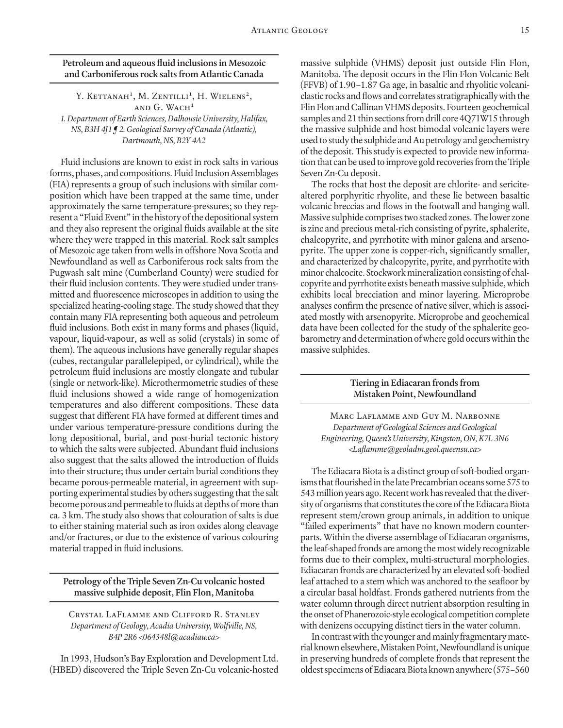**Petroleum and aqueous fluid inclusions in Mesozoic and Carboniferous rock salts from Atlantic Canada**

Y. KETTANAH<sup>1</sup>, M. ZENTILLI<sup>1</sup>, H. WIELENS<sup>2</sup>, and G. WACH<sup>1</sup>

*1. Department of Earth Sciences, Dalhousie University, Halifax, NS, B3H 4J1 ¶ 2. Geological Survey of Canada (Atlantic), Dartmouth, NS, B2Y 4A2*

Fluid inclusions are known to exist in rock salts in various forms, phases, and compositions. Fluid Inclusion Assemblages (FIA) represents a group of such inclusions with similar composition which have been trapped at the same time, under approximately the same temperature-pressures; so they represent a "Fluid Event" in the history of the depositional system and they also represent the original fluids available at the site where they were trapped in this material. Rock salt samples of Mesozoic age taken from wells in offshore Nova Scotia and Newfoundland as well as Carboniferous rock salts from the Pugwash salt mine (Cumberland County) were studied for their fluid inclusion contents. They were studied under transmitted and fluorescence microscopes in addition to using the specialized heating-cooling stage. The study showed that they contain many FIA representing both aqueous and petroleum fluid inclusions. Both exist in many forms and phases (liquid, vapour, liquid-vapour, as well as solid (crystals) in some of them). The aqueous inclusions have generally regular shapes (cubes, rectangular parallelepiped, or cylindrical), while the petroleum fluid inclusions are mostly elongate and tubular (single or network-like). Microthermometric studies of these fluid inclusions showed a wide range of homogenization temperatures and also different compositions. These data suggest that different FIA have formed at different times and under various temperature-pressure conditions during the long depositional, burial, and post-burial tectonic history to which the salts were subjected. Abundant fluid inclusions also suggest that the salts allowed the introduction of fluids into their structure; thus under certain burial conditions they became porous-permeable material, in agreement with supporting experimental studies by others suggesting that the salt become porous and permeable to fluids at depths of more than ca. 3 km. The study also shows that colouration of salts is due to either staining material such as iron oxides along cleavage and/or fractures, or due to the existence of various colouring material trapped in fluid inclusions.

**Petrology of the Triple Seven Zn-Cu volcanic hosted massive sulphide deposit, Flin Flon, Manitoba**

Crystal LaFlamme and Clifford R. Stanley *Department of Geology, Acadia University, Wolfville, NS, B4P 2R6 <064348l@acadiau.ca>*

In 1993, Hudson's Bay Exploration and Development Ltd. (HBED) discovered the Triple Seven Zn-Cu volcanic-hosted massive sulphide (VHMS) deposit just outside Flin Flon, Manitoba. The deposit occurs in the Flin Flon Volcanic Belt (FFVB) of 1.90–1.87 Ga age, in basaltic and rhyolitic volcaniclastic rocks and flows and correlates stratigraphically with the Flin Flon and Callinan VHMS deposits. Fourteen geochemical samples and 21 thin sections from drill core 4Q71W15 through the massive sulphide and host bimodal volcanic layers were used to study the sulphide and Au petrology and geochemistry of the deposit. This study is expected to provide new information that can be used to improve gold recoveries from the Triple Seven Zn-Cu deposit.

The rocks that host the deposit are chlorite- and sericitealtered porphyritic rhyolite, and these lie between basaltic volcanic breccias and flows in the footwall and hanging wall. Massive sulphide comprises two stacked zones. The lower zone is zinc and precious metal-rich consisting of pyrite, sphalerite, chalcopyrite, and pyrrhotite with minor galena and arsenopyrite. The upper zone is copper-rich, significantly smaller, and characterized by chalcopyrite, pyrite, and pyrrhotite with minor chalcocite. Stockwork mineralization consisting of chalcopyrite and pyrrhotite exists beneath massive sulphide, which exhibits local brecciation and minor layering. Microprobe analyses confirm the presence of native silver, which is associated mostly with arsenopyrite. Microprobe and geochemical data have been collected for the study of the sphalerite geobarometry and determination of where gold occurs within the massive sulphides.

#### **Tiering in Ediacaran fronds from Mistaken Point, Newfoundland**

Marc Laflamme and Guy M. Narbonne *Department of Geological Sciences and Geological Engineering, Queen's University, Kingston, ON, K7L 3N6 <Laflamme@geoladm.geol.queensu.ca>*

The Ediacara Biota is a distinct group of soft-bodied organisms that flourished in the late Precambrian oceans some 575 to 543 million years ago. Recent work has revealed that the diversity of organisms that constitutes the core of the Ediacara Biota represent stem/crown group animals, in addition to unique "failed experiments" that have no known modern counterparts. Within the diverse assemblage of Ediacaran organisms, the leaf-shaped fronds are among the most widely recognizable forms due to their complex, multi-structural morphologies. Ediacaran fronds are characterized by an elevated soft-bodied leaf attached to a stem which was anchored to the seafloor by a circular basal holdfast. Fronds gathered nutrients from the water column through direct nutrient absorption resulting in the onset of Phanerozoic-style ecological competition complete with denizens occupying distinct tiers in the water column.

In contrast with the younger and mainly fragmentary material known elsewhere, Mistaken Point, Newfoundland is unique in preserving hundreds of complete fronds that represent the oldest specimens of Ediacara Biota known anywhere (575–560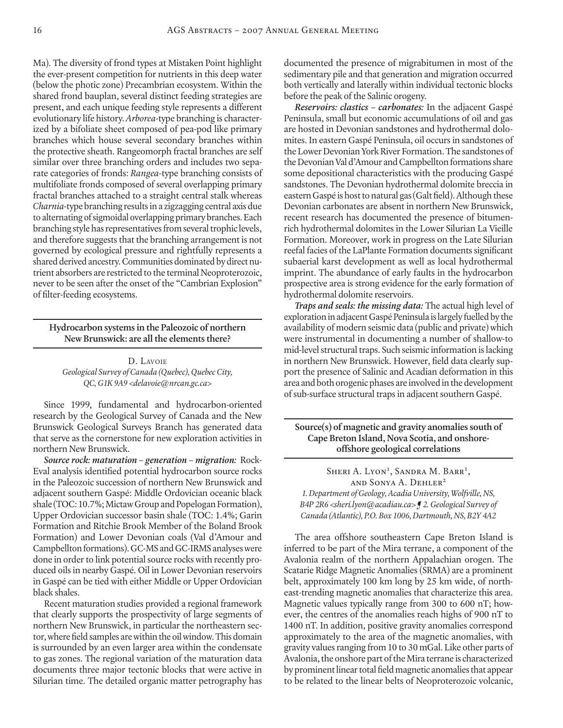Ma). The diversity of frond types at Mistaken Point highlight the ever-present competition for nutrients in this deep water (below the photic zone) Precambrian ecosystem. Within the shared frond bauplan, several distinct feeding strategies are present, and each unique feeding style represents a different evolutionary life history. *Arborea*-type branching is characterized by a bifoliate sheet composed of pea-pod like primary branches which house several secondary branches within the protective sheath. Rangeomorph fractal branches are self similar over three branching orders and includes two separate categories of fronds: *Rangea*-type branching consists of multifoliate fronds composed of several overlapping primary fractal branches attached to a straight central stalk whereas *Charnia*-type branching results in a zigzagging central axis due to alternating of sigmoidal overlapping primary branches. Each branching style has representatives from several trophic levels, and therefore suggests that the branching arrangement is not governed by ecological pressure and rightfully represents a shared derived ancestry. Communities dominated by direct nutrient absorbers are restricted to the terminal Neoproterozoic, never to be seen after the onset of the "Cambrian Explosion" of filter-feeding ecosystems.

#### **Hydrocarbon systems in the Paleozoic of northern New Brunswick: are all the elements there?**

#### D. LAVOIE *Geological Survey of Canada (Quebec), Quebec City, QC, G1K 9A9 <delavoie@nrcan.gc.ca>*

Since 1999, fundamental and hydrocarbon-oriented research by the Geological Survey of Canada and the New Brunswick Geological Surveys Branch has generated data that serve as the cornerstone for new exploration activities in northern New Brunswick.

*Source rock: maturation – generation – migration:* Rock-Eval analysis identified potential hydrocarbon source rocks in the Paleozoic succession of northern New Brunswick and adjacent southern Gaspé: Middle Ordovician oceanic black shale (TOC: 10.7%; Mictaw Group and Popelogan Formation), Upper Ordovician successor basin shale (TOC: 1.4%; Garin Formation and Ritchie Brook Member of the Boland Brook Formation) and Lower Devonian coals (Val d'Amour and Campbellton formations). GC-MS and GC-IRMS analyses were done in order to link potential source rocks with recently produced oils in nearby Gaspé. Oil in Lower Devonian reservoirs in Gaspé can be tied with either Middle or Upper Ordovician black shales.

Recent maturation studies provided a regional framework that clearly supports the prospectivity of large segments of northern New Brunswick, in particular the northeastern sector, where field samples are within the oil window. This domain is surrounded by an even larger area within the condensate to gas zones. The regional variation of the maturation data documents three major tectonic blocks that were active in Silurian time. The detailed organic matter petrography has

documented the presence of migrabitumen in most of the sedimentary pile and that generation and migration occurred both vertically and laterally within individual tectonic blocks before the peak of the Salinic orogeny.

*Reservoirs: clastics – carbonates:* In the adjacent Gaspé Peninsula, small but economic accumulations of oil and gas are hosted in Devonian sandstones and hydrothermal dolomites. In eastern Gaspé Peninsula, oil occurs in sandstones of the Lower Devonian York River Formation. The sandstones of the Devonian Val d'Amour and Campbellton formations share some depositional characteristics with the producing Gaspé sandstones. The Devonian hydrothermal dolomite breccia in eastern Gaspé is host to natural gas (Galt field). Although these Devonian carbonates are absent in northern New Brunswick, recent research has documented the presence of bitumenrich hydrothermal dolomites in the Lower Silurian La Vieille Formation. Moreover, work in progress on the Late Silurian reefal facies of the LaPlante Formation documents significant subaerial karst development as well as local hydrothermal imprint. The abundance of early faults in the hydrocarbon prospective area is strong evidence for the early formation of hydrothermal dolomite reservoirs.

*Traps and seals: the missing data:* The actual high level of exploration in adjacent Gaspé Peninsula is largely fuelled by the availability of modern seismic data (public and private) which were instrumental in documenting a number of shallow-to mid-level structural traps. Such seismic information is lacking in northern New Brunswick. However, field data clearly support the presence of Salinic and Acadian deformation in this area and both orogenic phases are involved in the development of sub-surface structural traps in adjacent southern Gaspé.

**Source(s) of magnetic and gravity anomalies south of Cape Breton Island, Nova Scotia, and onshoreoffshore geological correlations**

Sheri A. Lyon<sup>1</sup>, Sandra M. Barr<sup>1</sup>, and Sonya A. Dehler2 *1. Department of Geology, Acadia University, Wolfville, NS, B4P 2R6 <sheri.lyon@acadiau.ca> ¶ 2. Geological Survey of Canada (Atlantic), P.O. Box 1006, Dartmouth, NS, B2Y 4A2*

The area offshore southeastern Cape Breton Island is inferred to be part of the Mira terrane, a component of the Avalonia realm of the northern Appalachian orogen. The Scatarie Ridge Magnetic Anomalies (SRMA) are a prominent belt, approximately 100 km long by 25 km wide, of northeast-trending magnetic anomalies that characterize this area. Magnetic values typically range from 300 to 600 nT; however, the centres of the anomalies reach highs of 900 nT to 1400 nT. In addition, positive gravity anomalies correspond approximately to the area of the magnetic anomalies, with gravity values ranging from 10 to 30 mGal. Like other parts of Avalonia, the onshore part of the Mira terrane is characterized by prominent linear total field magnetic anomalies that appear to be related to the linear belts of Neoproterozoic volcanic,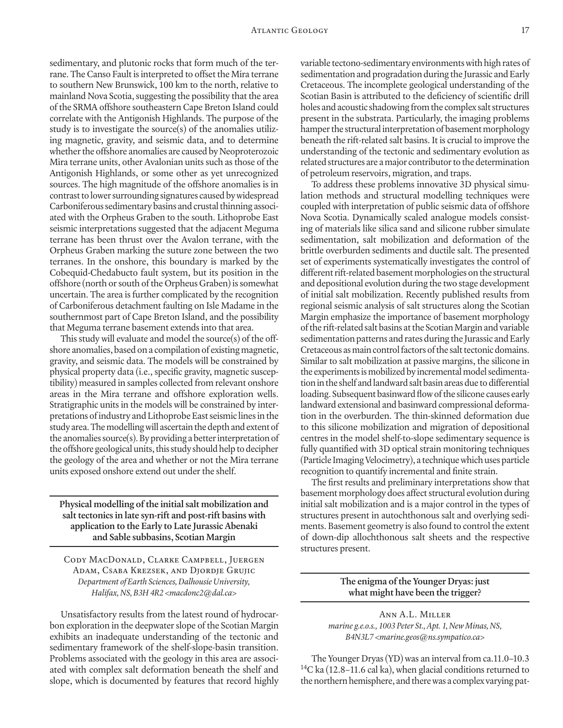sedimentary, and plutonic rocks that form much of the terrane. The Canso Fault is interpreted to offset the Mira terrane to southern New Brunswick, 100 km to the north, relative to mainland Nova Scotia, suggesting the possibility that the area of the SRMA offshore southeastern Cape Breton Island could correlate with the Antigonish Highlands. The purpose of the study is to investigate the source(s) of the anomalies utilizing magnetic, gravity, and seismic data, and to determine whether the offshore anomalies are caused by Neoproterozoic Mira terrane units, other Avalonian units such as those of the Antigonish Highlands, or some other as yet unrecognized sources. The high magnitude of the offshore anomalies is in contrast to lower surrounding signatures caused by widespread Carboniferous sedimentary basins and crustal thinning associated with the Orpheus Graben to the south. Lithoprobe East seismic interpretations suggested that the adjacent Meguma terrane has been thrust over the Avalon terrane, with the Orpheus Graben marking the suture zone between the two terranes. In the onshore, this boundary is marked by the Cobequid-Chedabucto fault system, but its position in the offshore (north or south of the Orpheus Graben) is somewhat uncertain. The area is further complicated by the recognition of Carboniferous detachment faulting on Isle Madame in the southernmost part of Cape Breton Island, and the possibility that Meguma terrane basement extends into that area.

This study will evaluate and model the source(s) of the offshore anomalies, based on a compilation of existing magnetic, gravity, and seismic data. The models will be constrained by physical property data (i.e., specific gravity, magnetic susceptibility) measured in samples collected from relevant onshore areas in the Mira terrane and offshore exploration wells. Stratigraphic units in the models will be constrained by interpretations of industry and Lithoprobe East seismic lines in the study area. The modelling will ascertain the depth and extent of the anomalies source(s). By providing a better interpretation of the offshore geological units, this study should help to decipher the geology of the area and whether or not the Mira terrane units exposed onshore extend out under the shelf.

**Physical modelling of the initial salt mobilization and salt tectonics in late syn-rift and post-rift basins with application to the Early to Late Jurassic Abenaki and Sable subbasins, Scotian Margin**

Cody MacDonald, Clarke Campbell, Juergen Adam, Csaba Krezsek, and Djordje Grujic *Department of Earth Sciences, Dalhousie University, Halifax, NS, B3H 4R2 <macdonc2@dal.ca>*

Unsatisfactory results from the latest round of hydrocarbon exploration in the deepwater slope of the Scotian Margin exhibits an inadequate understanding of the tectonic and sedimentary framework of the shelf-slope-basin transition. Problems associated with the geology in this area are associated with complex salt deformation beneath the shelf and slope, which is documented by features that record highly variable tectono-sedimentary environments with high rates of sedimentation and progradation during the Jurassic and Early Cretaceous. The incomplete geological understanding of the Scotian Basin is attributed to the deficiency of scientific drill holes and acoustic shadowing from the complex salt structures present in the substrata. Particularly, the imaging problems hamper the structural interpretation of basement morphology beneath the rift-related salt basins. It is crucial to improve the understanding of the tectonic and sedimentary evolution as related structures are a major contributor to the determination of petroleum reservoirs, migration, and traps.

To address these problems innovative 3D physical simulation methods and structural modelling techniques were coupled with interpretation of public seismic data of offshore Nova Scotia. Dynamically scaled analogue models consisting of materials like silica sand and silicone rubber simulate sedimentation, salt mobilization and deformation of the brittle overburden sediments and ductile salt. The presented set of experiments systematically investigates the control of different rift-related basement morphologies on the structural and depositional evolution during the two stage development of initial salt mobilization. Recently published results from regional seismic analysis of salt structures along the Scotian Margin emphasize the importance of basement morphology of the rift-related salt basins at the Scotian Margin and variable sedimentation patterns and rates during the Jurassic and Early Cretaceous as main control factors of the salt tectonic domains. Similar to salt mobilization at passive margins, the silicone in the experiments is mobilized by incremental model sedimentation in the shelf and landward salt basin areas due to differential loading. Subsequent basinward flow of the silicone causes early landward extensional and basinward compressional deformation in the overburden. The thin-skinned deformation due to this silicone mobilization and migration of depositional centres in the model shelf-to-slope sedimentary sequence is fully quantified with 3D optical strain monitoring techniques (Particle Imaging Velocimetry), a technique which uses particle recognition to quantify incremental and finite strain.

The first results and preliminary interpretations show that basement morphology does affect structural evolution during initial salt mobilization and is a major control in the types of structures present in autochthonous salt and overlying sediments. Basement geometry is also found to control the extent of down-dip allochthonous salt sheets and the respective structures present.

> **The enigma of the Younger Dryas: just what might have been the trigger?**

#### Ann A.L. Miller *marine g.e.o.s., 1003 Peter St., Apt. 1, New Minas, NS, B4N3L7 <marine.geos@ns.sympatico.ca>*

The Younger Dryas (YD) was an interval from ca.11.0–10.3 14C ka (12.8–11.6 cal ka), when glacial conditions returned to the northern hemisphere, and there was a complex varying pat-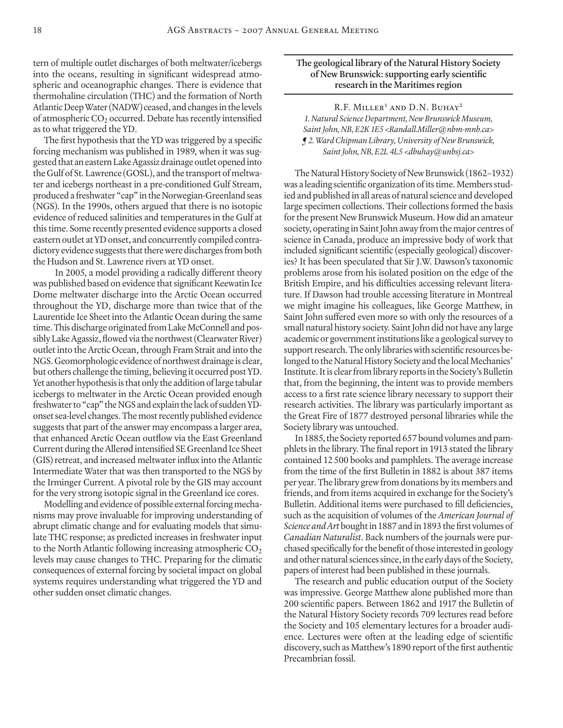tern of multiple outlet discharges of both meltwater/icebergs into the oceans, resulting in significant widespread atmospheric and oceanographic changes. There is evidence that thermohaline circulation (THC) and the formation of North Atlantic Deep Water (NADW) ceased, and changes in the levels of atmospheric CO<sub>2</sub> occurred. Debate has recently intensified as to what triggered the YD.

The first hypothesis that the YD was triggered by a specific forcing mechanism was published in 1989, when it was suggested that an eastern Lake Agassiz drainage outlet opened into the Gulf of St. Lawrence (GOSL), and the transport of meltwater and icebergs northeast in a pre-conditioned Gulf Stream, produced a freshwater "cap" in the Norwegian-Greenland seas (NGS). In the 1990s, others argued that there is no isotopic evidence of reduced salinities and temperatures in the Gulf at this time. Some recently presented evidence supports a closed eastern outlet at YD onset, and concurrently compiled contradictory evidence suggests that there were discharges from both the Hudson and St. Lawrence rivers at YD onset.

In 2005, a model providing a radically different theory was published based on evidence that significant Keewatin Ice Dome meltwater discharge into the Arctic Ocean occurred throughout the YD, discharge more than twice that of the Laurentide Ice Sheet into the Atlantic Ocean during the same time. This discharge originated from Lake McConnell and possibly Lake Agassiz, flowed via the northwest (Clearwater River) outlet into the Arctic Ocean, through Fram Strait and into the NGS. Geomorphologic evidence of northwest drainage is clear, but others challenge the timing, believing it occurred post YD. Yet another hypothesis is that only the addition of large tabular icebergs to meltwater in the Arctic Ocean provided enough freshwater to "cap" the NGS and explain the lack of sudden YDonset sea-level changes. The most recently published evidence suggests that part of the answer may encompass a larger area, that enhanced Arctic Ocean outflow via the East Greenland Current during the Allerød intensified SE Greenland Ice Sheet (GIS) retreat, and increased meltwater influx into the Atlantic Intermediate Water that was then transported to the NGS by the Irminger Current. A pivotal role by the GIS may account for the very strong isotopic signal in the Greenland ice cores.

Modelling and evidence of possible external forcing mechanisms may prove invaluable for improving understanding of abrupt climatic change and for evaluating models that simulate THC response; as predicted increases in freshwater input to the North Atlantic following increasing atmospheric  $CO<sub>2</sub>$ levels may cause changes to THC. Preparing for the climatic consequences of external forcing by societal impact on global systems requires understanding what triggered the YD and other sudden onset climatic changes.

**The geological library of the Natural History Society of New Brunswick: supporting early scientific research in the Maritimes region**

R.F. MILLER<sup>1</sup> AND D.N. BUHAY<sup>2</sup> *1. Natural Science Department, New Brunswick Museum, Saint John, NB, E2K 1E5 <Randall.Miller@nbm-mnb.ca> ¶ 2. Ward Chipman Library, University of New Brunswick, Saint John, NB, E2L 4L5 <dbuhay@unbsj.ca>*

The Natural History Society of New Brunswick (1862–1932) was a leading scientific organization of its time. Members studied and published in all areas of natural science and developed large specimen collections. Their collections formed the basis for the present New Brunswick Museum. How did an amateur society, operating in Saint John away from the major centres of science in Canada, produce an impressive body of work that included significant scientific (especially geological) discoveries? It has been speculated that Sir J.W. Dawson's taxonomic problems arose from his isolated position on the edge of the British Empire, and his difficulties accessing relevant literature. If Dawson had trouble accessing literature in Montreal we might imagine his colleagues, like George Matthew, in Saint John suffered even more so with only the resources of a small natural history society. Saint John did not have any large academic or government institutions like a geological survey to support research. The only libraries with scientific resources belonged to the Natural History Society and the local Mechanics' Institute. It is clear from library reports in the Society's Bulletin that, from the beginning, the intent was to provide members access to a first rate science library necessary to support their research activities. The library was particularly important as the Great Fire of 1877 destroyed personal libraries while the Society library was untouched.

In 1885, the Society reported 657 bound volumes and pamphlets in the library. The final report in 1913 stated the library contained 12 500 books and pamphlets. The average increase from the time of the first Bulletin in 1882 is about 387 items per year. The library grew from donations by its members and friends, and from items acquired in exchange for the Society's Bulletin. Additional items were purchased to fill deficiencies, such as the acquisition of volumes of the *American Journal of Science and Art* bought in 1887 and in 1893 the first volumes of *Canadian Naturalist*. Back numbers of the journals were purchased specifically for the benefit of those interested in geology and other natural sciences since, in the early days of the Society, papers of interest had been published in these journals.

The research and public education output of the Society was impressive. George Matthew alone published more than 200 scientific papers. Between 1862 and 1917 the Bulletin of the Natural History Society records 709 lectures read before the Society and 105 elementary lectures for a broader audience. Lectures were often at the leading edge of scientific discovery, such as Matthew's 1890 report of the first authentic Precambrian fossil.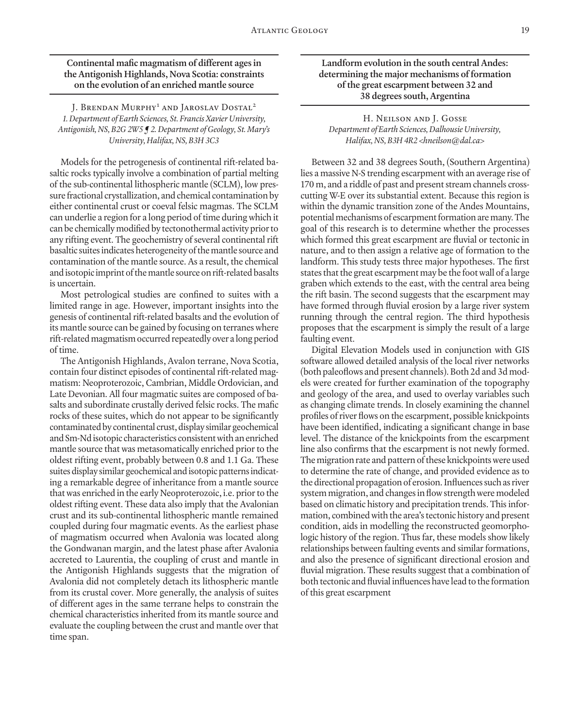# **Continental mafic magmatism of different ages in the Antigonish Highlands, Nova Scotia: constraints on the evolution of an enriched mantle source**

J. Brendan Murphy<sup>1</sup> and Jaroslav Dostal<sup>2</sup> *1. Department of Earth Sciences, St. Francis Xavier University, Antigonish, NS, B2G 2W5 ¶ 2. Department of Geology, St. Mary's University, Halifax, NS, B3H 3C3*

Models for the petrogenesis of continental rift-related basaltic rocks typically involve a combination of partial melting of the sub-continental lithospheric mantle (SCLM), low pressure fractional crystallization, and chemical contamination by either continental crust or coeval felsic magmas. The SCLM can underlie a region for a long period of time during which it can be chemically modified by tectonothermal activity prior to any rifting event. The geochemistry of several continental rift basaltic suites indicates heterogeneity of the mantle source and contamination of the mantle source. As a result, the chemical and isotopic imprint of the mantle source on rift-related basalts is uncertain.

Most petrological studies are confined to suites with a limited range in age. However, important insights into the genesis of continental rift-related basalts and the evolution of its mantle source can be gained by focusing on terranes where rift-related magmatism occurred repeatedly over a long period of time.

The Antigonish Highlands, Avalon terrane, Nova Scotia, contain four distinct episodes of continental rift-related magmatism: Neoproterozoic, Cambrian, Middle Ordovician, and Late Devonian. All four magmatic suites are composed of basalts and subordinate crustally derived felsic rocks. The mafic rocks of these suites, which do not appear to be significantly contaminated by continental crust, display similar geochemical and Sm-Nd isotopic characteristics consistent with an enriched mantle source that was metasomatically enriched prior to the oldest rifting event, probably between 0.8 and 1.1 Ga. These suites display similar geochemical and isotopic patterns indicating a remarkable degree of inheritance from a mantle source that was enriched in the early Neoproterozoic, i.e. prior to the oldest rifting event. These data also imply that the Avalonian crust and its sub-continental lithospheric mantle remained coupled during four magmatic events. As the earliest phase of magmatism occurred when Avalonia was located along the Gondwanan margin, and the latest phase after Avalonia accreted to Laurentia, the coupling of crust and mantle in the Antigonish Highlands suggests that the migration of Avalonia did not completely detach its lithospheric mantle from its crustal cover. More generally, the analysis of suites of different ages in the same terrane helps to constrain the chemical characteristics inherited from its mantle source and evaluate the coupling between the crust and mantle over that time span.

**Landform evolution in the south central Andes: determining the major mechanisms of formation of the great escarpment between 32 and 38 degrees south, Argentina**

H. Neilson and J. Gosse *Department of Earth Sciences, Dalhousie University, Halifax, NS, B3H 4R2 <hneilson@dal.ca>*

Between 32 and 38 degrees South, (Southern Argentina) lies a massive N-S trending escarpment with an average rise of 170 m, and a riddle of past and present stream channels crosscutting W-E over its substantial extent. Because this region is within the dynamic transition zone of the Andes Mountains, potential mechanisms of escarpment formation are many. The goal of this research is to determine whether the processes which formed this great escarpment are fluvial or tectonic in nature, and to then assign a relative age of formation to the landform. This study tests three major hypotheses. The first states that the great escarpment may be the foot wall of a large graben which extends to the east, with the central area being the rift basin. The second suggests that the escarpment may have formed through fluvial erosion by a large river system running through the central region. The third hypothesis proposes that the escarpment is simply the result of a large faulting event.

Digital Elevation Models used in conjunction with GIS software allowed detailed analysis of the local river networks (both paleoflows and present channels). Both 2d and 3d models were created for further examination of the topography and geology of the area, and used to overlay variables such as changing climate trends. In closely examining the channel profiles of river flows on the escarpment, possible knickpoints have been identified, indicating a significant change in base level. The distance of the knickpoints from the escarpment line also confirms that the escarpment is not newly formed. The migration rate and pattern of these knickpoints were used to determine the rate of change, and provided evidence as to the directional propagation of erosion. Influences such as river system migration, and changes in flow strength were modeled based on climatic history and precipitation trends. This information, combined with the area's tectonic history and present condition, aids in modelling the reconstructed geomorphologic history of the region. Thus far, these models show likely relationships between faulting events and similar formations, and also the presence of significant directional erosion and fluvial migration. These results suggest that a combination of both tectonic and fluvial influences have lead to the formation of this great escarpment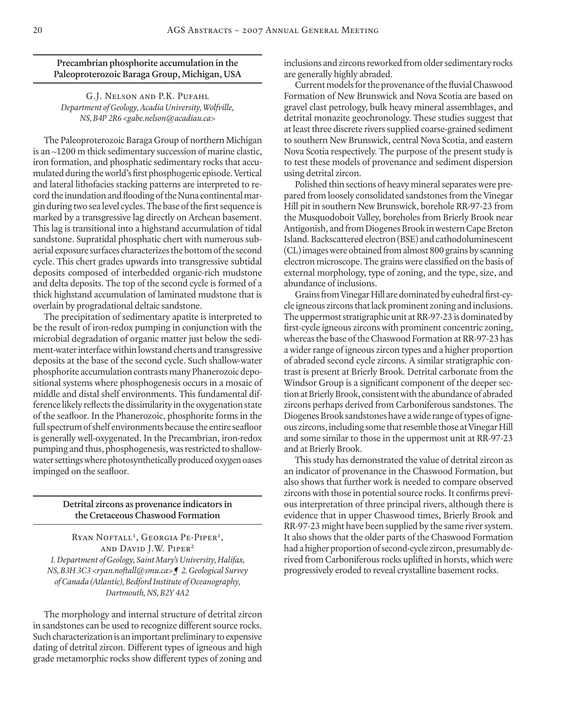# **Precambrian phosphorite accumulation in the Paleoproterozoic Baraga Group, Michigan, USA**

G.J. Nelson and P.K. Pufahl *Department of Geology, Acadia University, Wolfville, NS, B4P 2R6 <gabe.nelson@acadiau.ca>*

The Paleoproterozoic Baraga Group of northern Michigan is an ~1200 m thick sedimentary succession of marine clastic, iron formation, and phosphatic sedimentary rocks that accumulated during the world's first phosphogenic episode. Vertical and lateral lithofacies stacking patterns are interpreted to record the inundation and flooding of the Nuna continental margin during two sea level cycles. The base of the first sequence is marked by a transgressive lag directly on Archean basement. This lag is transitional into a highstand accumulation of tidal sandstone. Supratidal phosphatic chert with numerous subaerial exposure surfaces characterizes the bottom of the second cycle. This chert grades upwards into transgressive subtidal deposits composed of interbedded organic-rich mudstone and delta deposits. The top of the second cycle is formed of a thick highstand accumulation of laminated mudstone that is overlain by progradational deltaic sandstone.

The precipitation of sedimentary apatite is interpreted to be the result of iron-redox pumping in conjunction with the microbial degradation of organic matter just below the sediment-water interface within lowstand cherts and transgressive deposits at the base of the second cycle. Such shallow-water phosphorite accumulation contrasts many Phanerozoic depositional systems where phosphogenesis occurs in a mosaic of middle and distal shelf environments. This fundamental difference likely reflects the dissimilarity in the oxygenation state of the seafloor. In the Phanerozoic, phosphorite forms in the full spectrum of shelf environments because the entire seafloor is generally well-oxygenated. In the Precambrian, iron-redox pumping and thus, phosphogenesis, was restricted to shallowwater settings where photosynthetically produced oxygen oases impinged on the seafloor.

#### **Detrital zircons as provenance indicators in the Cretaceous Chaswood Formation**

RYAN NOFTALL<sup>1</sup>, GEORGIA PE-PIPER<sup>1</sup>, and David J.W. Piper2 *1. Department of Geology, Saint Mary's University, Halifax, NS, B3H 3C3 <ryan.noftall@smu.ca> ¶ 2. Geological Survey of Canada (Atlantic), Bedford Institute of Oceanography, Dartmouth, NS, B2Y 4A2*

The morphology and internal structure of detrital zircon in sandstones can be used to recognize different source rocks. Such characterization is an important preliminary to expensive dating of detrital zircon. Different types of igneous and high grade metamorphic rocks show different types of zoning and inclusions and zircons reworked from older sedimentary rocks are generally highly abraded.

Current models for the provenance of the fluvial Chaswood Formation of New Brunswick and Nova Scotia are based on gravel clast petrology, bulk heavy mineral assemblages, and detrital monazite geochronology. These studies suggest that at least three discrete rivers supplied coarse-grained sediment to southern New Brunswick, central Nova Scotia, and eastern Nova Scotia respectively. The purpose of the present study is to test these models of provenance and sediment dispersion using detrital zircon.

Polished thin sections of heavy mineral separates were prepared from loosely consolidated sandstones from the Vinegar Hill pit in southern New Brunswick, borehole RR-97-23 from the Musquodoboit Valley, boreholes from Brierly Brook near Antigonish, and from Diogenes Brook in western Cape Breton Island. Backscattered electron (BSE) and cathodoluminescent (CL) images were obtained from almost 800 grains by scanning electron microscope. The grains were classified on the basis of external morphology, type of zoning, and the type, size, and abundance of inclusions.

Grains from Vinegar Hill are dominated by euhedral first-cycle igneous zircons that lack prominent zoning and inclusions. The uppermost stratigraphic unit at RR-97-23 is dominated by first-cycle igneous zircons with prominent concentric zoning, whereas the base of the Chaswood Formation at RR-97-23 has a wider range of igneous zircon types and a higher proportion of abraded second cycle zircons. A similar stratigraphic contrast is present at Brierly Brook. Detrital carbonate from the Windsor Group is a significant component of the deeper section at Brierly Brook, consistent with the abundance of abraded zircons perhaps derived from Carboniferous sandstones. The Diogenes Brook sandstones have a wide range of types of igneous zircons, including some that resemble those at Vinegar Hill and some similar to those in the uppermost unit at RR-97-23 and at Brierly Brook.

This study has demonstrated the value of detrital zircon as an indicator of provenance in the Chaswood Formation, but also shows that further work is needed to compare observed zircons with those in potential source rocks. It confirms previous interpretation of three principal rivers, although there is evidence that in upper Chaswood times, Brierly Brook and RR-97-23 might have been supplied by the same river system. It also shows that the older parts of the Chaswood Formation had a higher proportion of second-cycle zircon, presumably derived from Carboniferous rocks uplifted in horsts, which were progressively eroded to reveal crystalline basement rocks.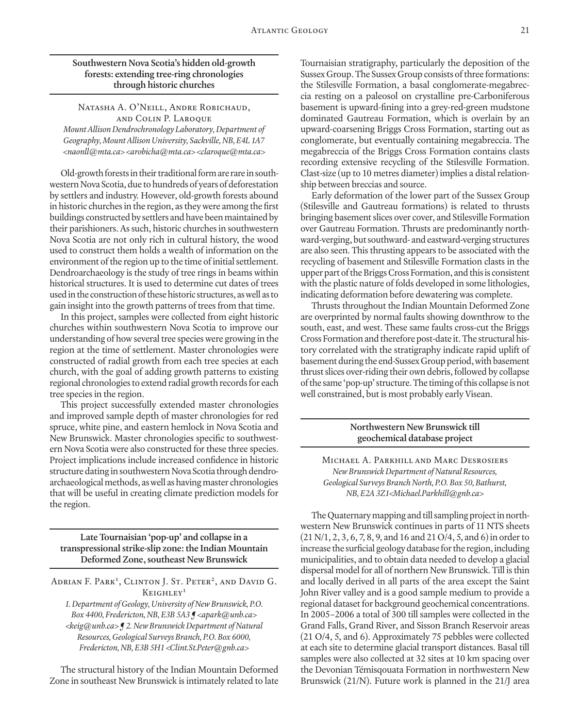# **Southwestern Nova Scotia's hidden old-growth forests: extending tree-ring chronologies through historic churches**

Natasha A. O'Neill, Andre Robichaud, and Colin P. Laroque *Mount Allison Dendrochronology Laboratory, Department of Geography, Mount Allison University, Sackville, NB, E4L 1A7 <naonll@mta.ca> <arobicha@mta.ca> <claroque@mta.ca>*

Old-growth forests in their traditional form are rare in southwestern Nova Scotia, due to hundreds of years of deforestation by settlers and industry. However, old-growth forests abound in historic churches in the region, as they were among the first buildings constructed by settlers and have been maintained by their parishioners. As such, historic churches in southwestern Nova Scotia are not only rich in cultural history, the wood used to construct them holds a wealth of information on the environment of the region up to the time of initial settlement. Dendroarchaeology is the study of tree rings in beams within historical structures. It is used to determine cut dates of trees used in the construction of these historic structures, as well as to gain insight into the growth patterns of trees from that time.

In this project, samples were collected from eight historic churches within southwestern Nova Scotia to improve our understanding of how several tree species were growing in the region at the time of settlement. Master chronologies were constructed of radial growth from each tree species at each church, with the goal of adding growth patterns to existing regional chronologies to extend radial growth records for each tree species in the region.

This project successfully extended master chronologies and improved sample depth of master chronologies for red spruce, white pine, and eastern hemlock in Nova Scotia and New Brunswick. Master chronologies specific to southwestern Nova Scotia were also constructed for these three species. Project implications include increased confidence in historic structure dating in southwestern Nova Scotia through dendroarchaeological methods, as well as having master chronologies that will be useful in creating climate prediction models for the region.

**Late Tournaisian 'pop-up' and collapse in a transpressional strike-slip zone: the Indian Mountain Deformed Zone, southeast New Brunswick**

ADRIAN F. PARK<sup>1</sup>, CLINTON J. ST. PETER<sup>2</sup>, AND DAVID G.  $K$ EIGHLEY<sup>1</sup>

*1. Department of Geology, University of New Brunswick, P.O. Box 4400, Fredericton, NB, E3B 5A3 ¶ <apark@unb.ca> <keig@unb.ca> ¶ 2. New Brunswick Department of Natural Resources, Geological Surveys Branch, P.O. Box 6000, Fredericton, NB, E3B 5H1 <Clint.St.Peter@gnb.ca>*

The structural history of the Indian Mountain Deformed Zone in southeast New Brunswick is intimately related to late

Tournaisian stratigraphy, particularly the deposition of the Sussex Group. The Sussex Group consists of three formations: the Stilesville Formation, a basal conglomerate-megabreccia resting on a paleosol on crystalline pre-Carboniferous basement is upward-fining into a grey-red-green mudstone dominated Gautreau Formation, which is overlain by an upward-coarsening Briggs Cross Formation, starting out as conglomerate, but eventually containing megabreccia. The megabreccia of the Briggs Cross Formation contains clasts recording extensive recycling of the Stilesville Formation. Clast-size (up to 10 metres diameter) implies a distal relationship between breccias and source.

Early deformation of the lower part of the Sussex Group (Stilesville and Gautreau formations) is related to thrusts bringing basement slices over cover, and Stilesville Formation over Gautreau Formation. Thrusts are predominantly northward-verging, but southward- and eastward-verging structures are also seen. This thrusting appears to be associated with the recycling of basement and Stilesville Formation clasts in the upper part of the Briggs Cross Formation, and this is consistent with the plastic nature of folds developed in some lithologies, indicating deformation before dewatering was complete.

Thrusts throughout the Indian Mountain Deformed Zone are overprinted by normal faults showing downthrow to the south, east, and west. These same faults cross-cut the Briggs Cross Formation and therefore post-date it. The structural history correlated with the stratigraphy indicate rapid uplift of basement during the end-Sussex Group period, with basement thrust slices over-riding their own debris, followed by collapse of the same 'pop-up' structure. The timing of this collapse is not well constrained, but is most probably early Visean.

# **Northwestern New Brunswick till geochemical database project**

Michael A. Parkhill and Marc Desrosiers *New Brunswick Department of Natural Resources, Geological Surveys Branch North, P.O. Box 50, Bathurst, NB, E2A 3Z1<Michael.Parkhill@gnb.ca>*

The Quaternary mapping and till sampling project in northwestern New Brunswick continues in parts of 11 NTS sheets (21 N/1, 2, 3, 6, 7, 8, 9, and 16 and 21 O/4, 5, and 6) in order to increase the surficial geology database for the region, including municipalities, and to obtain data needed to develop a glacial dispersal model for all of northern New Brunswick. Till is thin and locally derived in all parts of the area except the Saint John River valley and is a good sample medium to provide a regional dataset for background geochemical concentrations. In 2005–2006 a total of 300 till samples were collected in the Grand Falls, Grand River, and Sisson Branch Reservoir areas (21 O/4, 5, and 6). Approximately 75 pebbles were collected at each site to determine glacial transport distances. Basal till samples were also collected at 32 sites at 10 km spacing over the Devonian Témisqouata Formation in northwestern New Brunswick (21/N). Future work is planned in the 21/J area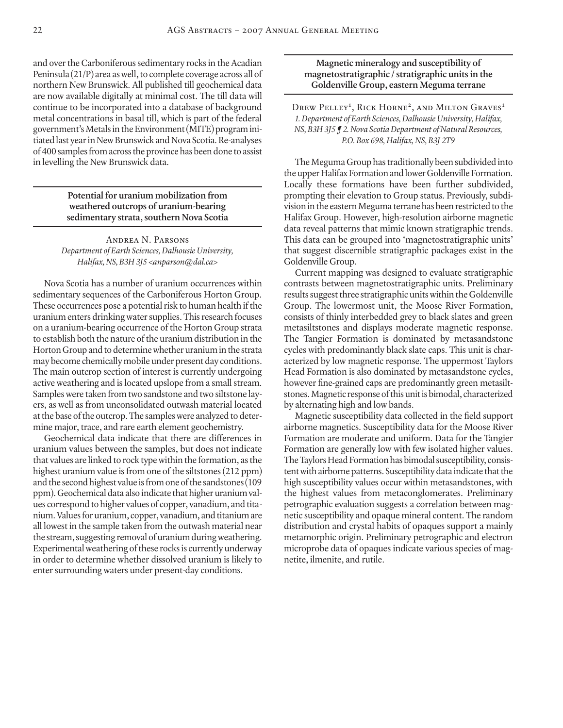and over the Carboniferous sedimentary rocks in the Acadian Peninsula (21/P) area as well, to complete coverage across all of northern New Brunswick. All published till geochemical data are now available digitally at minimal cost. The till data will continue to be incorporated into a database of background metal concentrations in basal till, which is part of the federal government's Metals in the Environment (MITE) program initiated last year in New Brunswick and Nova Scotia. Re-analyses of 400 samples from across the province has been done to assist in levelling the New Brunswick data.

# **Potential for uranium mobilization from weathered outcrops of uranium-bearing sedimentary strata, southern Nova Scotia**

Andrea N. Parsons *Department of Earth Sciences, Dalhousie University, Halifax, NS, B3H 3J5 <anparson@dal.ca>*

Nova Scotia has a number of uranium occurrences within sedimentary sequences of the Carboniferous Horton Group. These occurrences pose a potential risk to human health if the uranium enters drinking water supplies. This research focuses on a uranium-bearing occurrence of the Horton Group strata to establish both the nature of the uranium distribution in the Horton Group and to determine whether uranium in the strata may become chemically mobile under present day conditions. The main outcrop section of interest is currently undergoing active weathering and is located upslope from a small stream. Samples were taken from two sandstone and two siltstone layers, as well as from unconsolidated outwash material located at the base of the outcrop. The samples were analyzed to determine major, trace, and rare earth element geochemistry.

Geochemical data indicate that there are differences in uranium values between the samples, but does not indicate that values are linked to rock type within the formation, as the highest uranium value is from one of the siltstones (212 ppm) and the second highest value is from one of the sandstones (109 ppm). Geochemical data also indicate that higher uranium values correspond to higher values of copper, vanadium, and titanium. Values for uranium, copper, vanadium, and titanium are all lowest in the sample taken from the outwash material near the stream, suggesting removal of uranium during weathering. Experimental weathering of these rocks is currently underway in order to determine whether dissolved uranium is likely to enter surrounding waters under present-day conditions.

# **Magnetic mineralogy and susceptibility of magnetostratigraphic / stratigraphic units in the Goldenville Group, eastern Meguma terrane**

Drew Pelley<sup>1</sup>, Rick Horne<sup>2</sup>, and Milton Graves<sup>1</sup> *1. Department of Earth Sciences, Dalhousie University, Halifax, NS, B3H 3J5 ¶ 2. Nova Scotia Department of Natural Resources, P.O. Box 698, Halifax, NS, B3J 2T9*

The Meguma Group has traditionally been subdivided into the upper Halifax Formation and lower Goldenville Formation. Locally these formations have been further subdivided, prompting their elevation to Group status. Previously, subdivision in the eastern Meguma terrane has been restricted to the Halifax Group. However, high-resolution airborne magnetic data reveal patterns that mimic known stratigraphic trends. This data can be grouped into 'magnetostratigraphic units' that suggest discernible stratigraphic packages exist in the Goldenville Group.

Current mapping was designed to evaluate stratigraphic contrasts between magnetostratigraphic units. Preliminary results suggest three stratigraphic units within the Goldenville Group. The lowermost unit, the Moose River Formation, consists of thinly interbedded grey to black slates and green metasiltstones and displays moderate magnetic response. The Tangier Formation is dominated by metasandstone cycles with predominantly black slate caps. This unit is characterized by low magnetic response. The uppermost Taylors Head Formation is also dominated by metasandstone cycles, however fine-grained caps are predominantly green metasiltstones. Magnetic response of this unit is bimodal, characterized by alternating high and low bands.

Magnetic susceptibility data collected in the field support airborne magnetics. Susceptibility data for the Moose River Formation are moderate and uniform. Data for the Tangier Formation are generally low with few isolated higher values. The Taylors Head Formation has bimodal susceptibility, consistent with airborne patterns. Susceptibility data indicate that the high susceptibility values occur within metasandstones, with the highest values from metaconglomerates. Preliminary petrographic evaluation suggests a correlation between magnetic susceptibility and opaque mineral content. The random distribution and crystal habits of opaques support a mainly metamorphic origin. Preliminary petrographic and electron microprobe data of opaques indicate various species of magnetite, ilmenite, and rutile.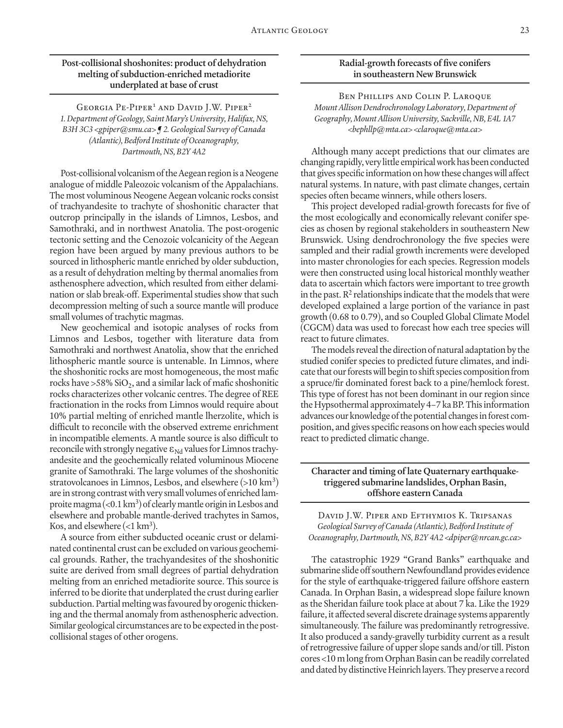# **Post-collisional shoshonites: product of dehydration melting of subduction-enriched metadiorite underplated at base of crust**

GEORGIA PE-PIPER<sup>1</sup> AND DAVID J.W. PIPER<sup>2</sup> *1. Department of Geology, Saint Mary's University, Halifax, NS, B3H 3C3 <gpiper@smu.ca> ¶ 2. Geological Survey of Canada (Atlantic), Bedford Institute of Oceanography, Dartmouth, NS, B2Y 4A2*

Post-collisional volcanism of the Aegean region is a Neogene analogue of middle Paleozoic volcanism of the Appalachians. The most voluminous Neogene Aegean volcanic rocks consist of trachyandesite to trachyte of shoshonitic character that outcrop principally in the islands of Limnos, Lesbos, and Samothraki, and in northwest Anatolia. The post-orogenic tectonic setting and the Cenozoic volcanicity of the Aegean region have been argued by many previous authors to be sourced in lithospheric mantle enriched by older subduction, as a result of dehydration melting by thermal anomalies from asthenosphere advection, which resulted from either delamination or slab break-off. Experimental studies show that such decompression melting of such a source mantle will produce small volumes of trachytic magmas.

New geochemical and isotopic analyses of rocks from Limnos and Lesbos, together with literature data from Samothraki and northwest Anatolia, show that the enriched lithospheric mantle source is untenable. In Limnos, where the shoshonitic rocks are most homogeneous, the most mafic rocks have  $>58\%$  SiO<sub>2</sub>, and a similar lack of mafic shoshonitic rocks characterizes other volcanic centres. The degree of REE fractionation in the rocks from Limnos would require about 10% partial melting of enriched mantle lherzolite, which is difficult to reconcile with the observed extreme enrichment in incompatible elements. A mantle source is also difficult to reconcile with strongly negative  $\varepsilon_{Nd}$  values for Limnos trachyandesite and the geochemically related voluminous Miocene granite of Samothraki. The large volumes of the shoshonitic stratovolcanoes in Limnos, Lesbos, and elsewhere  $(>10 \text{ km}^3)$ are in strong contrast with very small volumes of enriched lamproite magma  $( $0.1 \text{ km}^3$ )$  of clearly mantle origin in Lesbos and elsewhere and probable mantle-derived trachytes in Samos, Kos, and elsewhere  $\left( < 1 \text{ km}^3 \right)$ .

A source from either subducted oceanic crust or delaminated continental crust can be excluded on various geochemical grounds. Rather, the trachyandesites of the shoshonitic suite are derived from small degrees of partial dehydration melting from an enriched metadiorite source. This source is inferred to be diorite that underplated the crust during earlier subduction. Partial melting was favoured by orogenic thickening and the thermal anomaly from asthenospheric advection. Similar geological circumstances are to be expected in the postcollisional stages of other orogens.

# **Radial-growth forecasts of five conifers in southeastern New Brunswick**

Ben Phillips and Colin P. Laroque *Mount Allison Dendrochronology Laboratory, Department of Geography, Mount Allison University, Sackville, NB, E4L 1A7 <bephllp@mta.ca> <claroque@mta.ca>*

Although many accept predictions that our climates are changing rapidly, very little empirical work has been conducted that gives specific information on how these changes will affect natural systems. In nature, with past climate changes, certain species often became winners, while others losers.

This project developed radial-growth forecasts for five of the most ecologically and economically relevant conifer species as chosen by regional stakeholders in southeastern New Brunswick. Using dendrochronology the five species were sampled and their radial growth increments were developed into master chronologies for each species. Regression models were then constructed using local historical monthly weather data to ascertain which factors were important to tree growth in the past.  $R^2$  relationships indicate that the models that were developed explained a large portion of the variance in past growth (0.68 to 0.79), and so Coupled Global Climate Model (CGCM) data was used to forecast how each tree species will react to future climates.

The models reveal the direction of natural adaptation by the studied conifer species to predicted future climates, and indicate that our forests will begin to shift species composition from a spruce/fir dominated forest back to a pine/hemlock forest. This type of forest has not been dominant in our region since the Hypsothermal approximately 4–7 ka BP. This information advances our knowledge of the potential changes in forest composition, and gives specific reasons on how each species would react to predicted climatic change.

#### **Character and timing of late Quaternary earthquaketriggered submarine landslides, Orphan Basin, offshore eastern Canada**

David J.W. Piper and Efthymios K. Tripsanas *Geological Survey of Canada (Atlantic), Bedford Institute of Oceanography, Dartmouth, NS, B2Y 4A2 <dpiper@nrcan.gc.ca>*

The catastrophic 1929 "Grand Banks" earthquake and submarine slide off southern Newfoundland provides evidence for the style of earthquake-triggered failure offshore eastern Canada. In Orphan Basin, a widespread slope failure known as the Sheridan failure took place at about 7 ka. Like the 1929 failure, it affected several discrete drainage systems apparently simultaneously. The failure was predominantly retrogressive. It also produced a sandy-gravelly turbidity current as a result of retrogressive failure of upper slope sands and/or till. Piston cores <10 m long from Orphan Basin can be readily correlated and dated by distinctive Heinrich layers. They preserve a record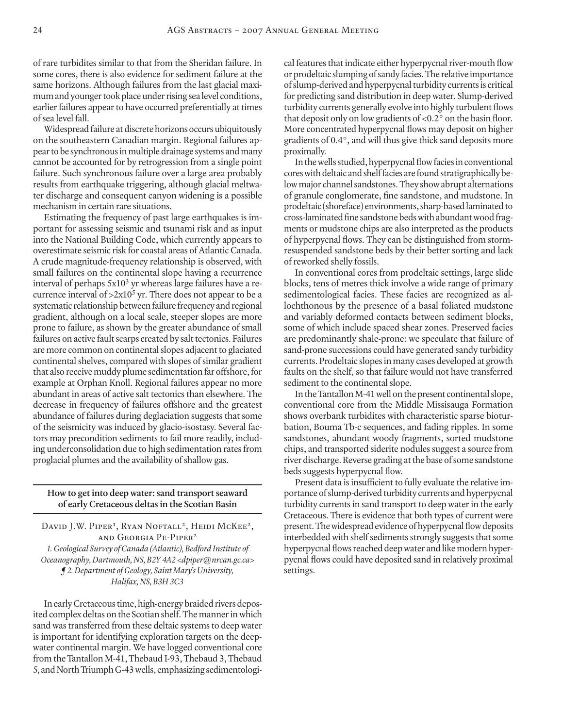of rare turbidites similar to that from the Sheridan failure. In some cores, there is also evidence for sediment failure at the same horizons. Although failures from the last glacial maximum and younger took place under rising sea level conditions, earlier failures appear to have occurred preferentially at times of sea level fall.

Widespread failure at discrete horizons occurs ubiquitously on the southeastern Canadian margin. Regional failures appear to be synchronous in multiple drainage systems and many cannot be accounted for by retrogression from a single point failure. Such synchronous failure over a large area probably results from earthquake triggering, although glacial meltwater discharge and consequent canyon widening is a possible mechanism in certain rare situations.

Estimating the frequency of past large earthquakes is important for assessing seismic and tsunami risk and as input into the National Building Code, which currently appears to overestimate seismic risk for coastal areas of Atlantic Canada. A crude magnitude-frequency relationship is observed, with small failures on the continental slope having a recurrence interval of perhaps  $5x10<sup>3</sup>$  yr whereas large failures have a recurrence interval of  $>2x10^5$  yr. There does not appear to be a systematic relationship between failure frequency and regional gradient, although on a local scale, steeper slopes are more prone to failure, as shown by the greater abundance of small failures on active fault scarps created by salt tectonics. Failures are more common on continental slopes adjacent to glaciated continental shelves, compared with slopes of similar gradient that also receive muddy plume sedimentation far offshore, for example at Orphan Knoll. Regional failures appear no more abundant in areas of active salt tectonics than elsewhere. The decrease in frequency of failures offshore and the greatest abundance of failures during deglaciation suggests that some of the seismicity was induced by glacio-isostasy. Several factors may precondition sediments to fail more readily, including underconsolidation due to high sedimentation rates from proglacial plumes and the availability of shallow gas.

#### **How to get into deep water: sand transport seaward of early Cretaceous deltas in the Scotian Basin**

DAVID J.W. PIPER<sup>1</sup>, RYAN NOFTALL<sup>2</sup>, HEIDI MCKEE<sup>2</sup>, and Georgia Pe-Piper2 *1. Geological Survey of Canada (Atlantic), Bedford Institute of Oceanography, Dartmouth, NS, B2Y 4A2 <dpiper@nrcan.gc.ca> ¶ 2. Department of Geology, Saint Mary's University, Halifax, NS, B3H 3C3*

In early Cretaceous time, high-energy braided rivers deposited complex deltas on the Scotian shelf. The manner in which sand was transferred from these deltaic systems to deep water is important for identifying exploration targets on the deepwater continental margin. We have logged conventional core from the Tantallon M-41, Thebaud I-93, Thebaud 3, Thebaud 5, and North Triumph G-43 wells, emphasizing sedimentological features that indicate either hyperpycnal river-mouth flow or prodeltaic slumping of sandy facies. The relative importance of slump-derived and hyperpycnal turbidity currents is critical for predicting sand distribution in deep water. Slump-derived turbidity currents generally evolve into highly turbulent flows that deposit only on low gradients of <0.2° on the basin floor. More concentrated hyperpycnal flows may deposit on higher gradients of 0.4°, and will thus give thick sand deposits more proximally.

In the wells studied, hyperpycnal flow facies in conventional cores with deltaic and shelf facies are found stratigraphically below major channel sandstones. They show abrupt alternations of granule conglomerate, fine sandstone, and mudstone. In prodeltaic (shoreface) environments, sharp-based laminated to cross-laminated fine sandstone beds with abundant wood fragments or mudstone chips are also interpreted as the products of hyperpycnal flows. They can be distinguished from stormresuspended sandstone beds by their better sorting and lack of reworked shelly fossils.

In conventional cores from prodeltaic settings, large slide blocks, tens of metres thick involve a wide range of primary sedimentological facies. These facies are recognized as allochthonous by the presence of a basal foliated mudstone and variably deformed contacts between sediment blocks, some of which include spaced shear zones. Preserved facies are predominantly shale-prone: we speculate that failure of sand-prone successions could have generated sandy turbidity currents. Prodeltaic slopes in many cases developed at growth faults on the shelf, so that failure would not have transferred sediment to the continental slope.

In the Tantallon M-41 well on the present continental slope, conventional core from the Middle Missisauga Formation shows overbank turbidites with characteristic sparse bioturbation, Bouma Tb-c sequences, and fading ripples. In some sandstones, abundant woody fragments, sorted mudstone chips, and transported siderite nodules suggest a source from river discharge. Reverse grading at the base of some sandstone beds suggests hyperpycnal flow.

Present data is insufficient to fully evaluate the relative importance of slump-derived turbidity currents and hyperpycnal turbidity currents in sand transport to deep water in the early Cretaceous. There is evidence that both types of current were present. The widespread evidence of hyperpycnal flow deposits interbedded with shelf sediments strongly suggests that some hyperpycnal flows reached deep water and like modern hyperpycnal flows could have deposited sand in relatively proximal settings.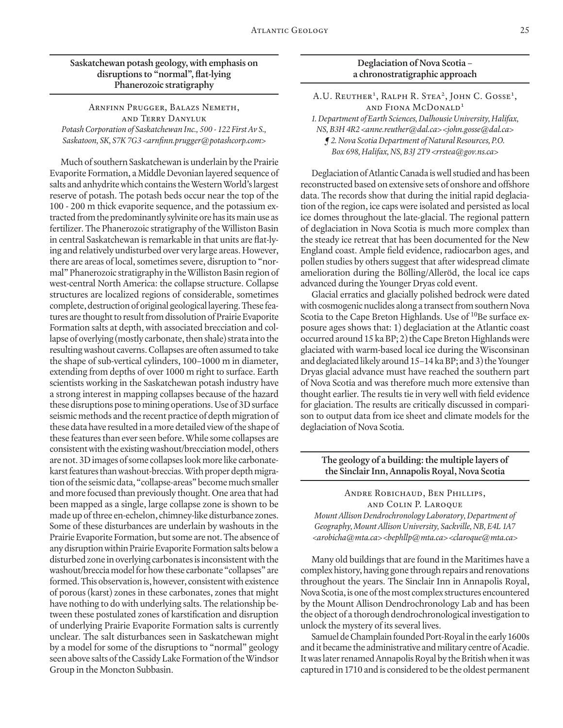# **Saskatchewan potash geology, with emphasis on disruptions to "normal", flat-lying Phanerozoic stratigraphy**

Arnfinn Prugger, Balazs Nemeth, and Terry Danyluk *Potash Corporation of Saskatchewan Inc., 500 - 122 First Av S., Saskatoon, SK, S7K 7G3 <arnfinn.prugger@potashcorp.com>*

Much of southern Saskatchewan is underlain by the Prairie Evaporite Formation, a Middle Devonian layered sequence of salts and anhydrite which contains the Western World's largest reserve of potash. The potash beds occur near the top of the 100 - 200 m thick evaporite sequence, and the potassium extracted from the predominantly sylvinite ore has its main use as fertilizer. The Phanerozoic stratigraphy of the Williston Basin in central Saskatchewan is remarkable in that units are flat-lying and relatively undisturbed over very large areas. However, there are areas of local, sometimes severe, disruption to "normal" Phanerozoic stratigraphy in the Williston Basin region of west-central North America: the collapse structure. Collapse structures are localized regions of considerable, sometimes complete, destruction of original geological layering. These features are thought to result from dissolution of Prairie Evaporite Formation salts at depth, with associated brecciation and collapse of overlying (mostly carbonate, then shale) strata into the resulting washout caverns. Collapses are often assumed to take the shape of sub-vertical cylinders, 100–1000 m in diameter, extending from depths of over 1000 m right to surface. Earth scientists working in the Saskatchewan potash industry have a strong interest in mapping collapses because of the hazard these disruptions pose to mining operations. Use of 3D surface seismic methods and the recent practice of depth migration of these data have resulted in a more detailed view of the shape of these features than ever seen before. While some collapses are consistent with the existing washout/brecciation model, others are not. 3D images of some collapses look more like carbonatekarst features than washout-breccias. With proper depth migration of the seismic data, "collapse-areas" become much smaller and more focused than previously thought. One area that had been mapped as a single, large collapse zone is shown to be made up of three en-echelon, chimney-like disturbance zones. Some of these disturbances are underlain by washouts in the Prairie Evaporite Formation, but some are not. The absence of any disruption within Prairie Evaporite Formation salts below a disturbed zone in overlying carbonates is inconsistent with the washout/breccia model for how these carbonate "collapses" are formed. This observation is, however, consistent with existence of porous (karst) zones in these carbonates, zones that might have nothing to do with underlying salts. The relationship between these postulated zones of karstification and disruption of underlying Prairie Evaporite Formation salts is currently unclear. The salt disturbances seen in Saskatchewan might by a model for some of the disruptions to "normal" geology seen above salts of the Cassidy Lake Formation of the Windsor Group in the Moncton Subbasin.

# **Deglaciation of Nova Scotia – a chronostratigraphic approach**

A.U. REUTHER<sup>1</sup>, RALPH R. STEA<sup>2</sup>, JOHN C. GOSSE<sup>1</sup>, and Fiona McDonald1 *1. Department of Earth Sciences, Dalhousie University, Halifax, NS, B3H 4R2 <anne.reuther@dal.ca> <john.gosse@dal.ca> ¶ 2. Nova Scotia Department of Natural Resources, P.O. Box 698, Halifax, NS, B3J 2T9 <rrstea@gov.ns.ca>*

Deglaciation of Atlantic Canada is well studied and has been reconstructed based on extensive sets of onshore and offshore data. The records show that during the initial rapid deglaciation of the region, ice caps were isolated and persisted as local ice domes throughout the late-glacial. The regional pattern of deglaciation in Nova Scotia is much more complex than the steady ice retreat that has been documented for the New England coast. Ample field evidence, radiocarbon ages, and pollen studies by others suggest that after widespread climate amelioration during the Bölling/Alleröd, the local ice caps advanced during the Younger Dryas cold event.

Glacial erratics and glacially polished bedrock were dated with cosmogenic nuclides along a transect from southern Nova Scotia to the Cape Breton Highlands. Use of <sup>10</sup>Be surface exposure ages shows that: 1) deglaciation at the Atlantic coast occurred around 15 ka BP; 2) the Cape Breton Highlands were glaciated with warm-based local ice during the Wisconsinan and deglaciated likely around 15–14 ka BP; and 3) the Younger Dryas glacial advance must have reached the southern part of Nova Scotia and was therefore much more extensive than thought earlier. The results tie in very well with field evidence for glaciation. The results are critically discussed in comparison to output data from ice sheet and climate models for the deglaciation of Nova Scotia.

# **The geology of a building: the multiple layers of the Sinclair Inn, Annapolis Royal, Nova Scotia**

Andre Robichaud, Ben Phillips, and Colin P. Laroque *Mount Allison Dendrochronology Laboratory, Department of Geography, Mount Allison University, Sackville, NB, E4L 1A7 <arobicha@mta.ca> <bephllp@mta.ca> <claroque@mta.ca>*

Many old buildings that are found in the Maritimes have a complex history, having gone through repairs and renovations throughout the years. The Sinclair Inn in Annapolis Royal, Nova Scotia, is one of the most complex structures encountered by the Mount Allison Dendrochronology Lab and has been the object of a thorough dendrochronological investigation to unlock the mystery of its several lives.

Samuel de Champlain founded Port-Royal in the early 1600s and it became the administrative and military centre of Acadie. It was later renamed Annapolis Royal by the British when it was captured in 1710 and is considered to be the oldest permanent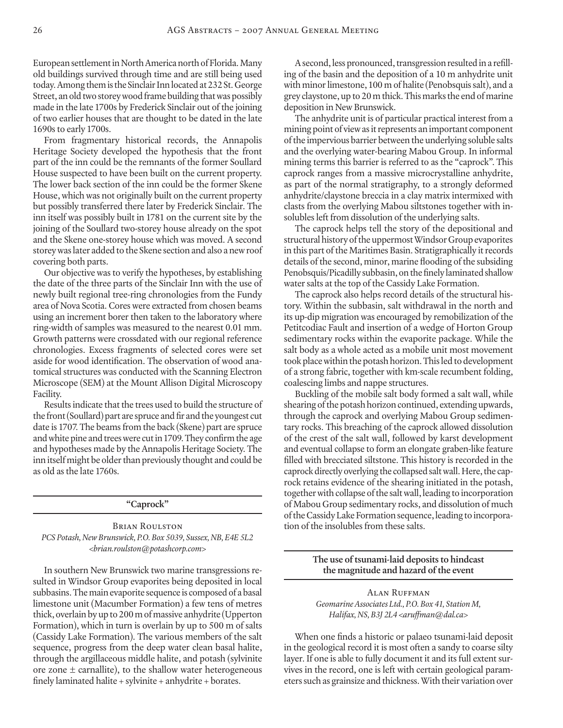European settlement in North America north of Florida. Many old buildings survived through time and are still being used today. Among them is the Sinclair Inn located at 232 St. George Street, an old two storey wood frame building that was possibly made in the late 1700s by Frederick Sinclair out of the joining of two earlier houses that are thought to be dated in the late 1690s to early 1700s.

From fragmentary historical records, the Annapolis Heritage Society developed the hypothesis that the front part of the inn could be the remnants of the former Soullard House suspected to have been built on the current property. The lower back section of the inn could be the former Skene House, which was not originally built on the current property but possibly transferred there later by Frederick Sinclair. The inn itself was possibly built in 1781 on the current site by the joining of the Soullard two-storey house already on the spot and the Skene one-storey house which was moved. A second storey was later added to the Skene section and also a new roof covering both parts.

Our objective was to verify the hypotheses, by establishing the date of the three parts of the Sinclair Inn with the use of newly built regional tree-ring chronologies from the Fundy area of Nova Scotia. Cores were extracted from chosen beams using an increment borer then taken to the laboratory where ring-width of samples was measured to the nearest 0.01 mm. Growth patterns were crossdated with our regional reference chronologies. Excess fragments of selected cores were set aside for wood identification. The observation of wood anatomical structures was conducted with the Scanning Electron Microscope (SEM) at the Mount Allison Digital Microscopy Facility.

Results indicate that the trees used to build the structure of the front (Soullard) part are spruce and fir and the youngest cut date is 1707. The beams from the back (Skene) part are spruce and white pine and trees were cut in 1709. They confirm the age and hypotheses made by the Annapolis Heritage Society. The inn itself might be older than previously thought and could be as old as the late 1760s.

**"Caprock"**

Brian Roulston *PCS Potash, New Brunswick, P.O. Box 5039, Sussex, NB, E4E 5L2 <brian.roulston@potashcorp.com>*

In southern New Brunswick two marine transgressions resulted in Windsor Group evaporites being deposited in local subbasins. The main evaporite sequence is composed of a basal limestone unit (Macumber Formation) a few tens of metres thick, overlain by up to 200 m of massive anhydrite (Upperton Formation), which in turn is overlain by up to 500 m of salts (Cassidy Lake Formation). The various members of the salt sequence, progress from the deep water clean basal halite, through the argillaceous middle halite, and potash (sylvinite ore zone  $\pm$  carnallite), to the shallow water heterogeneous finely laminated halite + sylvinite + anhydrite + borates.

A second, less pronounced, transgression resulted in a refilling of the basin and the deposition of a 10 m anhydrite unit with minor limestone, 100 m of halite (Penobsquis salt), and a grey claystone, up to 20 m thick. This marks the end of marine deposition in New Brunswick.

The anhydrite unit is of particular practical interest from a mining point of view as it represents an important component of the impervious barrier between the underlying soluble salts and the overlying water-bearing Mabou Group. In informal mining terms this barrier is referred to as the "caprock". This caprock ranges from a massive microcrystalline anhydrite, as part of the normal stratigraphy, to a strongly deformed anhydrite/claystone breccia in a clay matrix intermixed with clasts from the overlying Mabou siltstones together with insolubles left from dissolution of the underlying salts.

The caprock helps tell the story of the depositional and structural history of the uppermost Windsor Group evaporites in this part of the Maritimes Basin. Stratigraphically it records details of the second, minor, marine flooding of the subsiding Penobsquis/Picadilly subbasin, on the finely laminated shallow water salts at the top of the Cassidy Lake Formation.

The caprock also helps record details of the structural history. Within the subbasin, salt withdrawal in the north and its up-dip migration was encouraged by remobilization of the Petitcodiac Fault and insertion of a wedge of Horton Group sedimentary rocks within the evaporite package. While the salt body as a whole acted as a mobile unit most movement took place within the potash horizon. This led to development of a strong fabric, together with km-scale recumbent folding, coalescing limbs and nappe structures.

Buckling of the mobile salt body formed a salt wall, while shearing of the potash horizon continued, extending upwards, through the caprock and overlying Mabou Group sedimentary rocks. This breaching of the caprock allowed dissolution of the crest of the salt wall, followed by karst development and eventual collapse to form an elongate graben-like feature filled with brecciated siltstone. This history is recorded in the caprock directly overlying the collapsed salt wall. Here, the caprock retains evidence of the shearing initiated in the potash, together with collapse of the salt wall, leading to incorporation of Mabou Group sedimentary rocks, and dissolution of much of the Cassidy Lake Formation sequence, leading to incorporation of the insolubles from these salts.

> **The use of tsunami-laid deposits to hindcast the magnitude and hazard of the event**

Alan Ruffman *Geomarine Associates Ltd., P.O. Box 41, Station M, Halifax, NS, B3J 2L4 <aruffman@dal.ca>*

When one finds a historic or palaeo tsunami-laid deposit in the geological record it is most often a sandy to coarse silty layer. If one is able to fully document it and its full extent survives in the record, one is left with certain geological parameters such as grainsize and thickness. With their variation over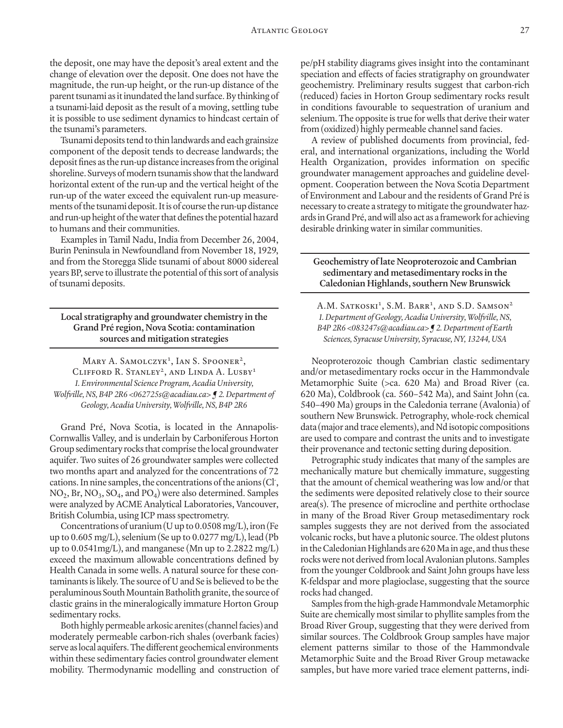the deposit, one may have the deposit's areal extent and the change of elevation over the deposit. One does not have the magnitude, the run-up height, or the run-up distance of the parent tsunami as it inundated the land surface. By thinking of a tsunami-laid deposit as the result of a moving, settling tube it is possible to use sediment dynamics to hindcast certain of the tsunami's parameters.

Tsunami deposits tend to thin landwards and each grainsize component of the deposit tends to decrease landwards; the deposit fines as the run-up distance increases from the original shoreline. Surveys of modern tsunamis show that the landward horizontal extent of the run-up and the vertical height of the run-up of the water exceed the equivalent run-up measurements of the tsunami deposit. It is of course the run-up distance and run-up height of the water that defines the potential hazard to humans and their communities.

Examples in Tamil Nadu, India from December 26, 2004, Burin Peninsula in Newfoundland from November 18, 1929, and from the Storegga Slide tsunami of about 8000 sidereal years BP, serve to illustrate the potential of this sort of analysis of tsunami deposits.

# **Local stratigraphy and groundwater chemistry in the Grand Pré region, Nova Scotia: contamination sources and mitigation strategies**

MARY A. SAMOLCZYK<sup>1</sup>, IAN S. SPOONER<sup>2</sup>, CLIFFORD R. STANLEY<sup>2</sup>, AND LINDA A. LUSBY<sup>1</sup> *1. Environmental Science Program, Acadia University, Wolfville, NS, B4P 2R6 <062725s@acadiau.ca> ¶ 2. Department of Geology, Acadia University, Wolfville, NS, B4P 2R6*

Grand Pré, Nova Scotia, is located in the Annapolis-Cornwallis Valley, and is underlain by Carboniferous Horton Group sedimentary rocks that comprise the local groundwater aquifer. Two suites of 26 groundwater samples were collected two months apart and analyzed for the concentrations of 72 cations. In nine samples, the concentrations of the anions (Cl- ,  $NO<sub>2</sub>, Br, NO<sub>3</sub>, SO<sub>4</sub>, and PO<sub>4</sub>$  were also determined. Samples were analyzed by ACME Analytical Laboratories, Vancouver, British Columbia, using ICP mass spectrometry.

Concentrations of uranium (U up to  $0.0508$  mg/L), iron (Fe up to 0.605 mg/L), selenium (Se up to 0.0277 mg/L), lead (Pb up to 0.0541mg/L), and manganese (Mn up to 2.2822 mg/L) exceed the maximum allowable concentrations defined by Health Canada in some wells. A natural source for these contaminants is likely. The source of U and Se is believed to be the peraluminous South Mountain Batholith granite, the source of clastic grains in the mineralogically immature Horton Group sedimentary rocks.

Both highly permeable arkosic arenites (channel facies) and moderately permeable carbon-rich shales (overbank facies) serve as local aquifers. The different geochemical environments within these sedimentary facies control groundwater element mobility. Thermodynamic modelling and construction of pe/pH stability diagrams gives insight into the contaminant speciation and effects of facies stratigraphy on groundwater geochemistry. Preliminary results suggest that carbon-rich (reduced) facies in Horton Group sedimentary rocks result in conditions favourable to sequestration of uranium and selenium. The opposite is true for wells that derive their water from (oxidized) highly permeable channel sand facies.

A review of published documents from provincial, federal, and international organizations, including the World Health Organization, provides information on specific groundwater management approaches and guideline development. Cooperation between the Nova Scotia Department of Environment and Labour and the residents of Grand Pré is necessary to create a strategy to mitigate the groundwater hazards in Grand Pré, and will also act as a framework for achieving desirable drinking water in similar communities.

#### **Geochemistry of late Neoproterozoic and Cambrian sedimentary and metasedimentary rocks in the Caledonian Highlands, southern New Brunswick**

A.M. Satkoski<sup>1</sup>, S.M. Barr<sup>1</sup>, and S.D. Samson<sup>2</sup> *1. Department of Geology, Acadia University, Wolfville, NS, B4P 2R6 <083247s@acadiau.ca> ¶ 2. Department of Earth Sciences, Syracuse University, Syracuse, NY, 13244, USA*

Neoproterozoic though Cambrian clastic sedimentary and/or metasedimentary rocks occur in the Hammondvale Metamorphic Suite (>ca. 620 Ma) and Broad River (ca. 620 Ma), Coldbrook (ca. 560–542 Ma), and Saint John (ca. 540–490 Ma) groups in the Caledonia terrane (Avalonia) of southern New Brunswick. Petrography, whole-rock chemical data (major and trace elements), and Nd isotopic compositions are used to compare and contrast the units and to investigate their provenance and tectonic setting during deposition.

Petrographic study indicates that many of the samples are mechanically mature but chemically immature, suggesting that the amount of chemical weathering was low and/or that the sediments were deposited relatively close to their source area(s). The presence of microcline and perthite orthoclase in many of the Broad River Group metasedimentary rock samples suggests they are not derived from the associated volcanic rocks, but have a plutonic source. The oldest plutons in the Caledonian Highlands are 620 Ma in age, and thus these rocks were not derived from local Avalonian plutons. Samples from the younger Coldbrook and Saint John groups have less K-feldspar and more plagioclase, suggesting that the source rocks had changed.

Samples from the high-grade Hammondvale Metamorphic Suite are chemically most similar to phyllite samples from the Broad River Group, suggesting that they were derived from similar sources. The Coldbrook Group samples have major element patterns similar to those of the Hammondvale Metamorphic Suite and the Broad River Group metawacke samples, but have more varied trace element patterns, indi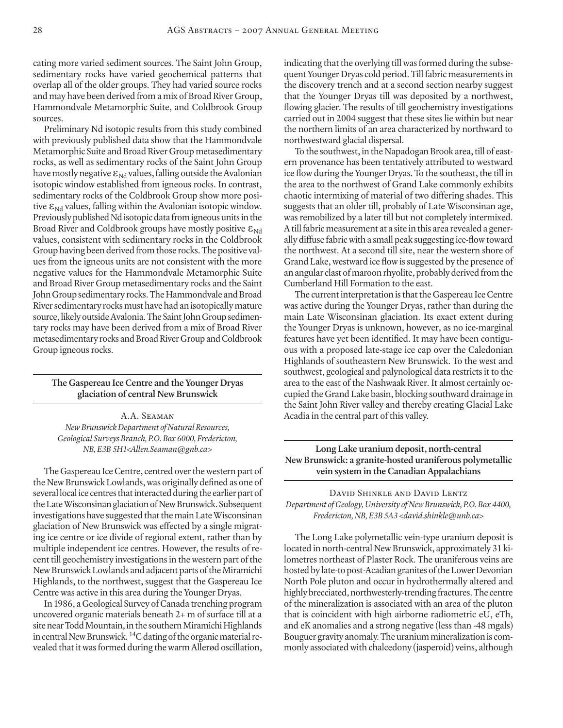cating more varied sediment sources. The Saint John Group, sedimentary rocks have varied geochemical patterns that overlap all of the older groups. They had varied source rocks and may have been derived from a mix of Broad River Group, Hammondvale Metamorphic Suite, and Coldbrook Group sources.

Preliminary Nd isotopic results from this study combined with previously published data show that the Hammondvale Metamorphic Suite and Broad River Group metasedimentary rocks, as well as sedimentary rocks of the Saint John Group have mostly negative  $\varepsilon_{Nd}$  values, falling outside the Avalonian isotopic window established from igneous rocks. In contrast, sedimentary rocks of the Coldbrook Group show more positive  $\varepsilon_{Nd}$  values, falling within the Avalonian isotopic window. Previously published Nd isotopic data from igneous units in the Broad River and Coldbrook groups have mostly positive  $\varepsilon_{\text{Nd}}$ values, consistent with sedimentary rocks in the Coldbrook Group having been derived from those rocks. The positive values from the igneous units are not consistent with the more negative values for the Hammondvale Metamorphic Suite and Broad River Group metasedimentary rocks and the Saint John Group sedimentary rocks. The Hammondvale and Broad River sedimentary rocks must have had an isotopically mature source, likely outside Avalonia. The Saint John Group sedimentary rocks may have been derived from a mix of Broad River metasedimentary rocks and Broad River Group and Coldbrook Group igneous rocks.

#### **The Gaspereau Ice Centre and the Younger Dryas glaciation of central New Brunswick**

A.A. Seaman *New Brunswick Department of Natural Resources, Geological Surveys Branch, P.O. Box 6000, Fredericton, NB, E3B 5H1<Allen.Seaman@gnb.ca>*

The Gaspereau Ice Centre, centred over the western part of the New Brunswick Lowlands, was originally defined as one of several local ice centres that interacted during the earlier part of the Late Wisconsinan glaciation of New Brunswick. Subsequent investigations have suggested that the main Late Wisconsinan glaciation of New Brunswick was effected by a single migrating ice centre or ice divide of regional extent, rather than by multiple independent ice centres. However, the results of recent till geochemistry investigations in the western part of the New Brunswick Lowlands and adjacent parts of the Miramichi Highlands, to the northwest, suggest that the Gaspereau Ice Centre was active in this area during the Younger Dryas.

In 1986, a Geological Survey of Canada trenching program uncovered organic materials beneath 2+ m of surface till at a site near Todd Mountain, in the southern Miramichi Highlands in central New Brunswick. 14C dating of the organic material revealed that it was formed during the warm Allerød oscillation, indicating that the overlying till was formed during the subsequent Younger Dryas cold period. Till fabric measurements in the discovery trench and at a second section nearby suggest that the Younger Dryas till was deposited by a northwest, flowing glacier. The results of till geochemistry investigations carried out in 2004 suggest that these sites lie within but near the northern limits of an area characterized by northward to northwestward glacial dispersal.

To the southwest, in the Napadogan Brook area, till of eastern provenance has been tentatively attributed to westward ice flow during the Younger Dryas. To the southeast, the till in the area to the northwest of Grand Lake commonly exhibits chaotic intermixing of material of two differing shades. This suggests that an older till, probably of Late Wisconsinan age, was remobilized by a later till but not completely intermixed. A till fabric measurement at a site in this area revealed a generally diffuse fabric with a small peak suggesting ice-flow toward the northwest. At a second till site, near the western shore of Grand Lake, westward ice flow is suggested by the presence of an angular clast of maroon rhyolite, probably derived from the Cumberland Hill Formation to the east.

The current interpretation is that the Gaspereau Ice Centre was active during the Younger Dryas, rather than during the main Late Wisconsinan glaciation. Its exact extent during the Younger Dryas is unknown, however, as no ice-marginal features have yet been identified. It may have been contiguous with a proposed late-stage ice cap over the Caledonian Highlands of southeastern New Brunswick. To the west and southwest, geological and palynological data restricts it to the area to the east of the Nashwaak River. It almost certainly occupied the Grand Lake basin, blocking southward drainage in the Saint John River valley and thereby creating Glacial Lake Acadia in the central part of this valley.

**Long Lake uranium deposit, north-central New Brunswick: a granite-hosted uraniferous polymetallic vein system in the Canadian Appalachians**

David Shinkle and David Lentz *Department of Geology, University of New Brunswick, P.O. Box 4400, Fredericton, NB, E3B 5A3 <david.shinkle@unb.ca>*

The Long Lake polymetallic vein-type uranium deposit is located in north-central New Brunswick, approximately 31 kilometres northeast of Plaster Rock. The uraniferous veins are hosted by late-to post-Acadian granites of the Lower Devonian North Pole pluton and occur in hydrothermally altered and highly brecciated, northwesterly-trending fractures. The centre of the mineralization is associated with an area of the pluton that is coincident with high airborne radiometric eU, eTh, and eK anomalies and a strong negative (less than -48 mgals) Bouguer gravity anomaly. The uranium mineralization is commonly associated with chalcedony (jasperoid) veins, although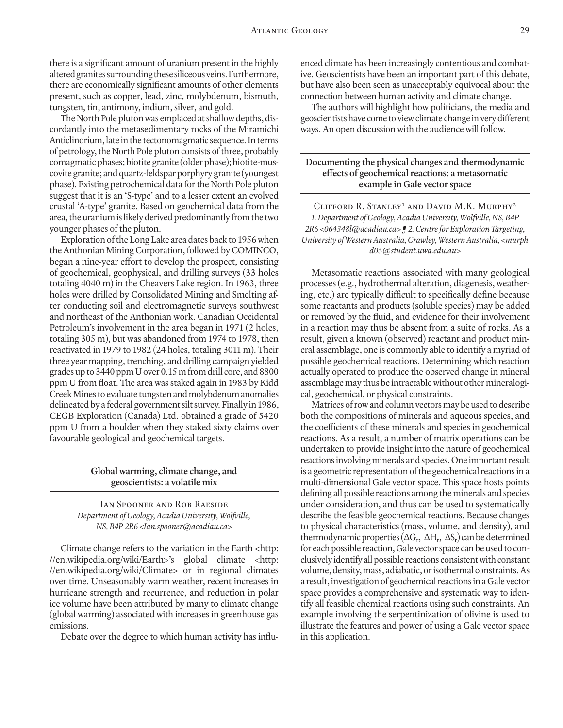there is a significant amount of uranium present in the highly altered granites surrounding these siliceous veins. Furthermore, there are economically significant amounts of other elements present, such as copper, lead, zinc, molybdenum, bismuth, tungsten, tin, antimony, indium, silver, and gold.

The North Pole pluton was emplaced at shallow depths, discordantly into the metasedimentary rocks of the Miramichi Anticlinorium, late in the tectonomagmatic sequence. In terms of petrology, the North Pole pluton consists of three, probably comagmatic phases; biotite granite (older phase); biotite-muscovite granite; and quartz-feldspar porphyry granite (youngest phase). Existing petrochemical data for the North Pole pluton suggest that it is an 'S-type' and to a lesser extent an evolved crustal 'A-type' granite. Based on geochemical data from the area, the uranium is likely derived predominantly from the two younger phases of the pluton.

Exploration of the Long Lake area dates back to 1956 when the Anthonian Mining Corporation, followed by COMINCO, began a nine-year effort to develop the prospect, consisting of geochemical, geophysical, and drilling surveys (33 holes totaling 4040 m) in the Cheavers Lake region. In 1963, three holes were drilled by Consolidated Mining and Smelting after conducting soil and electromagnetic surveys southwest and northeast of the Anthonian work. Canadian Occidental Petroleum's involvement in the area began in 1971 (2 holes, totaling 305 m), but was abandoned from 1974 to 1978, then reactivated in 1979 to 1982 (24 holes, totaling 3011 m). Their three year mapping, trenching, and drilling campaign yielded grades up to 3440 ppm U over 0.15 m from drill core, and 8800 ppm U from float. The area was staked again in 1983 by Kidd Creek Mines to evaluate tungsten and molybdenum anomalies delineated by a federal government silt survey. Finally in 1986, CEGB Exploration (Canada) Ltd. obtained a grade of 5420 ppm U from a boulder when they staked sixty claims over favourable geological and geochemical targets.

# **Global warming, climate change, and geoscientists: a volatile mix**

#### Ian Spooner and Rob Raeside *Department of Geology, Acadia University, Wolfville, NS, B4P 2R6 <Ian.spooner@acadiau.ca>*

Climate change refers to the variation in the Earth <http: //en.wikipedia.org/wiki/Earth>'s global climate <http: //en.wikipedia.org/wiki/Climate> or in regional climates over time. Unseasonably warm weather, recent increases in hurricane strength and recurrence, and reduction in polar ice volume have been attributed by many to climate change (global warming) associated with increases in greenhouse gas emissions.

Debate over the degree to which human activity has influ-

enced climate has been increasingly contentious and combative. Geoscientists have been an important part of this debate, but have also been seen as unacceptably equivocal about the connection between human activity and climate change.

The authors will highlight how politicians, the media and geoscientists have come to view climate change in very different ways. An open discussion with the audience will follow.

#### **Documenting the physical changes and thermodynamic effects of geochemical reactions: a metasomatic example in Gale vector space**

CLIFFORD R. STANLEY<sup>1</sup> AND DAVID M.K. MURPHY<sup>2</sup> *1. Department of Geology, Acadia University, Wolfville, NS, B4P 2R6 <064348l@acadiau.ca> ¶ 2. Centre for Exploration Targeting, University of Western Australia, Crawley, Western Australia, <murph d05@student.uwa.edu.au>*

Metasomatic reactions associated with many geological processes (e.g., hydrothermal alteration, diagenesis, weathering, etc.) are typically difficult to specifically define because some reactants and products (soluble species) may be added or removed by the fluid, and evidence for their involvement in a reaction may thus be absent from a suite of rocks. As a result, given a known (observed) reactant and product mineral assemblage, one is commonly able to identify a myriad of possible geochemical reactions. Determining which reaction actually operated to produce the observed change in mineral assemblage may thus be intractable without other mineralogical, geochemical, or physical constraints.

Matrices of row and column vectors may be used to describe both the compositions of minerals and aqueous species, and the coefficients of these minerals and species in geochemical reactions. As a result, a number of matrix operations can be undertaken to provide insight into the nature of geochemical reactions involving minerals and species. One important result is a geometric representation of the geochemical reactions in a multi-dimensional Gale vector space. This space hosts points defining all possible reactions among the minerals and species under consideration, and thus can be used to systematically describe the feasible geochemical reactions. Because changes to physical characteristics (mass, volume, and density), and thermodynamic properties ( $\Delta G_r$ ,  $\Delta H_r$ ,  $\Delta S_r$ ) can be determined for each possible reaction, Gale vector space can be used to conclusively identify all possible reactions consistent with constant volume, density, mass, adiabatic, or isothermal constraints. As a result, investigation of geochemical reactions in a Gale vector space provides a comprehensive and systematic way to identify all feasible chemical reactions using such constraints. An example involving the serpentinization of olivine is used to illustrate the features and power of using a Gale vector space in this application.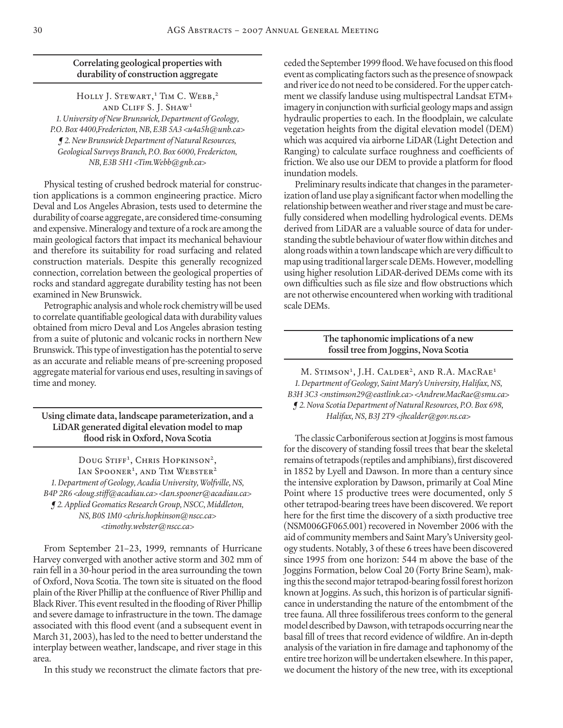# **Correlating geological properties with durability of construction aggregate**

HOLLY J. STEWART,<sup>1</sup> TIM C. WEBB,<sup>2</sup> and Cliff S. J. Shaw1 *1. University of New Brunswick, Department of Geology, P.O. Box 4400,Fredericton, NB, E3B 5A3 <u4a5h@unb.ca> ¶ 2. New Brunswick Department of Natural Resources, Geological Surveys Branch, P.O. Box 6000, Fredericton, NB, E3B 5H1 <Tim.Webb@gnb.ca>*

Physical testing of crushed bedrock material for construction applications is a common engineering practice. Micro Deval and Los Angeles Abrasion, tests used to determine the durability of coarse aggregate, are considered time-consuming and expensive. Mineralogy and texture of a rock are among the main geological factors that impact its mechanical behaviour and therefore its suitability for road surfacing and related construction materials. Despite this generally recognized connection, correlation between the geological properties of rocks and standard aggregate durability testing has not been examined in New Brunswick.

Petrographic analysis and whole rock chemistry will be used to correlate quantifiable geological data with durability values obtained from micro Deval and Los Angeles abrasion testing from a suite of plutonic and volcanic rocks in northern New Brunswick. This type of investigation has the potential to serve as an accurate and reliable means of pre-screening proposed aggregate material for various end uses, resulting in savings of time and money.

**Using climate data, landscape parameterization, and a LiDAR generated digital elevation model to map flood risk in Oxford, Nova Scotia**

Doug Stiff<sup>1</sup>, Chris Hopkinson<sup>2</sup>, IAN SPOONER<sup>1</sup>, AND TIM WEBSTER<sup>2</sup> *1. Department of Geology, Acadia University, Wolfville, NS, B4P 2R6 <doug.stiff@acadiau.ca> <Ian.spooner@acadiau.ca> ¶ 2. Applied Geomatics Research Group, NSCC, Middleton, NS, B0S 1M0 <chris.hopkinson@nscc.ca> <timothy.webster@nscc.ca>*

From September 21–23, 1999, remnants of Hurricane Harvey converged with another active storm and 302 mm of rain fell in a 30-hour period in the area surrounding the town of Oxford, Nova Scotia. The town site is situated on the flood plain of the River Phillip at the confluence of River Phillip and Black River. This event resulted in the flooding of River Phillip and severe damage to infrastructure in the town. The damage associated with this flood event (and a subsequent event in March 31, 2003), has led to the need to better understand the interplay between weather, landscape, and river stage in this area.

In this study we reconstruct the climate factors that pre-

ceded the September 1999 flood. We have focused on this flood event as complicating factors such as the presence of snowpack and river ice do not need to be considered. For the upper catchment we classify landuse using multispectral Landsat ETM+ imagery in conjunction with surficial geology maps and assign hydraulic properties to each. In the floodplain, we calculate vegetation heights from the digital elevation model (DEM) which was acquired via airborne LiDAR (Light Detection and Ranging) to calculate surface roughness and coefficients of friction. We also use our DEM to provide a platform for flood inundation models.

Preliminary results indicate that changes in the parameterization of land use play a significant factor when modelling the relationship between weather and river stage and must be carefully considered when modelling hydrological events. DEMs derived from LiDAR are a valuable source of data for understanding the subtle behaviour of water flow within ditches and along roads within a town landscape which are very difficult to map using traditional larger scale DEMs. However, modelling using higher resolution LiDAR-derived DEMs come with its own difficulties such as file size and flow obstructions which are not otherwise encountered when working with traditional scale DEMs.

# **The taphonomic implications of a new fossil tree from Joggins, Nova Scotia**

M. Stimson<sup>1</sup>, J.H. Calder<sup>2</sup>, and R.A. MacRae<sup>1</sup> *1. Department of Geology, Saint Mary's University, Halifax, NS, B3H 3C3 <mstimson29@eastlink.ca> <Andrew.MacRae@smu.ca> ¶ 2. Nova Scotia Department of Natural Resources, P.O. Box 698, Halifax, NS, B3J 2T9 <jhcalder@gov.ns.ca>*

The classic Carboniferous section at Joggins is most famous for the discovery of standing fossil trees that bear the skeletal remains of tetrapods (reptiles and amphibians), first discovered in 1852 by Lyell and Dawson. In more than a century since the intensive exploration by Dawson, primarily at Coal Mine Point where 15 productive trees were documented, only 5 other tetrapod-bearing trees have been discovered. We report here for the first time the discovery of a sixth productive tree (NSM006GF065.001) recovered in November 2006 with the aid of community members and Saint Mary's University geology students. Notably, 3 of these 6 trees have been discovered since 1995 from one horizon: 544 m above the base of the Joggins Formation, below Coal 20 (Forty Brine Seam), making this the second major tetrapod-bearing fossil forest horizon known at Joggins. As such, this horizon is of particular significance in understanding the nature of the entombment of the tree fauna. All three fossiliferous trees conform to the general model described by Dawson, with tetrapods occurring near the basal fill of trees that record evidence of wildfire. An in-depth analysis of the variation in fire damage and taphonomy of the entire tree horizon will be undertaken elsewhere. In this paper, we document the history of the new tree, with its exceptional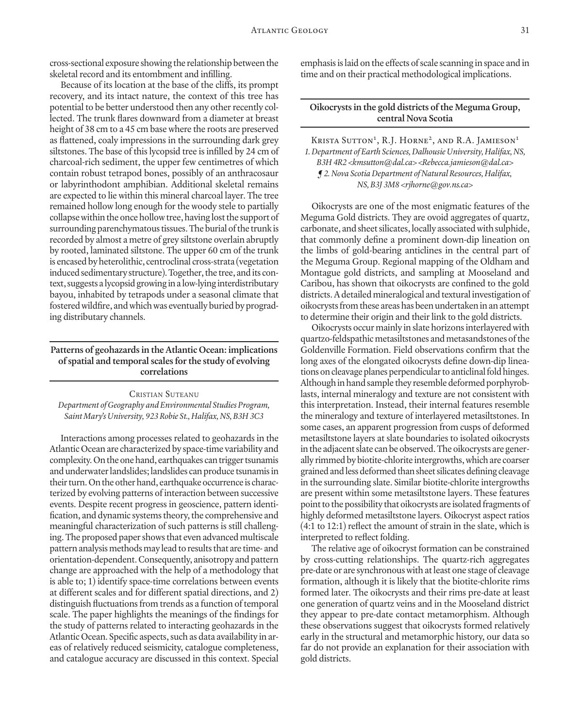cross-sectional exposure showing the relationship between the skeletal record and its entombment and infilling.

Because of its location at the base of the cliffs, its prompt recovery, and its intact nature, the context of this tree has potential to be better understood then any other recently collected. The trunk flares downward from a diameter at breast height of 38 cm to a 45 cm base where the roots are preserved as flattened, coaly impressions in the surrounding dark grey siltstones. The base of this lycopsid tree is infilled by 24 cm of charcoal-rich sediment, the upper few centimetres of which contain robust tetrapod bones, possibly of an anthracosaur or labyrinthodont amphibian. Additional skeletal remains are expected to lie within this mineral charcoal layer. The tree remained hollow long enough for the woody stele to partially collapse within the once hollow tree, having lost the support of surrounding parenchymatous tissues. The burial of the trunk is recorded by almost a metre of grey siltstone overlain abruptly by rooted, laminated siltstone. The upper 60 cm of the trunk is encased by heterolithic, centroclinal cross-strata (vegetation induced sedimentary structure). Together, the tree, and its context, suggests a lycopsid growing in a low-lying interdistributary bayou, inhabited by tetrapods under a seasonal climate that fostered wildfire, and which was eventually buried by prograding distributary channels.

#### **Patterns of geohazards in the Atlantic Ocean: implications of spatial and temporal scales for the study of evolving correlations**

CRISTIAN SUTEANU *Department of Geography and Environmental Studies Program, Saint Mary's University, 923 Robie St., Halifax, NS, B3H 3C3*

Interactions among processes related to geohazards in the Atlantic Ocean are characterized by space-time variability and complexity. On the one hand, earthquakes can trigger tsunamis and underwater landslides; landslides can produce tsunamis in their turn. On the other hand, earthquake occurrence is characterized by evolving patterns of interaction between successive events. Despite recent progress in geoscience, pattern identification, and dynamic systems theory, the comprehensive and meaningful characterization of such patterns is still challenging. The proposed paper shows that even advanced multiscale pattern analysis methods may lead to results that are time- and orientation-dependent. Consequently, anisotropy and pattern change are approached with the help of a methodology that is able to; 1) identify space-time correlations between events at different scales and for different spatial directions, and 2) distinguish fluctuations from trends as a function of temporal scale. The paper highlights the meanings of the findings for the study of patterns related to interacting geohazards in the Atlantic Ocean. Specific aspects, such as data availability in areas of relatively reduced seismicity, catalogue completeness, and catalogue accuracy are discussed in this context. Special emphasis is laid on the effects of scale scanning in space and in time and on their practical methodological implications.

# **Oikocrysts in the gold districts of the Meguma Group, central Nova Scotia**

Krista Sutton<sup>1</sup>, R.J. Horne<sup>2</sup>, and R.A. Jamieson<sup>1</sup> *1. Department of Earth Sciences, Dalhousie University, Halifax, NS, B3H 4R2 <kmsutton@dal.ca> <Rebecca.jamieson@dal.ca> ¶ 2. Nova Scotia Department of Natural Resources, Halifax, NS, B3J 3M8 <rjhorne@gov.ns.ca>*

Oikocrysts are one of the most enigmatic features of the Meguma Gold districts. They are ovoid aggregates of quartz, carbonate, and sheet silicates, locally associated with sulphide, that commonly define a prominent down-dip lineation on the limbs of gold-bearing anticlines in the central part of the Meguma Group. Regional mapping of the Oldham and Montague gold districts, and sampling at Mooseland and Caribou, has shown that oikocrysts are confined to the gold districts. A detailed mineralogical and textural investigation of oikocrysts from these areas has been undertaken in an attempt to determine their origin and their link to the gold districts.

Oikocrysts occur mainly in slate horizons interlayered with quartzo-feldspathic metasiltstones and metasandstones of the Goldenville Formation. Field observations confirm that the long axes of the elongated oikocrysts define down-dip lineations on cleavage planes perpendicular to anticlinal fold hinges. Although in hand sample they resemble deformed porphyroblasts, internal mineralogy and texture are not consistent with this interpretation. Instead, their internal features resemble the mineralogy and texture of interlayered metasiltstones. In some cases, an apparent progression from cusps of deformed metasiltstone layers at slate boundaries to isolated oikocrysts in the adjacent slate can be observed. The oikocrysts are generally rimmed by biotite-chlorite intergrowths, which are coarser grained and less deformed than sheet silicates defining cleavage in the surrounding slate. Similar biotite-chlorite intergrowths are present within some metasiltstone layers. These features point to the possibility that oikocrysts are isolated fragments of highly deformed metasiltstone layers. Oikocryst aspect ratios (4:1 to 12:1) reflect the amount of strain in the slate, which is interpreted to reflect folding.

The relative age of oikocryst formation can be constrained by cross-cutting relationships. The quartz-rich aggregates pre-date or are synchronous with at least one stage of cleavage formation, although it is likely that the biotite-chlorite rims formed later. The oikocrysts and their rims pre-date at least one generation of quartz veins and in the Mooseland district they appear to pre-date contact metamorphism. Although these observations suggest that oikocrysts formed relatively early in the structural and metamorphic history, our data so far do not provide an explanation for their association with gold districts.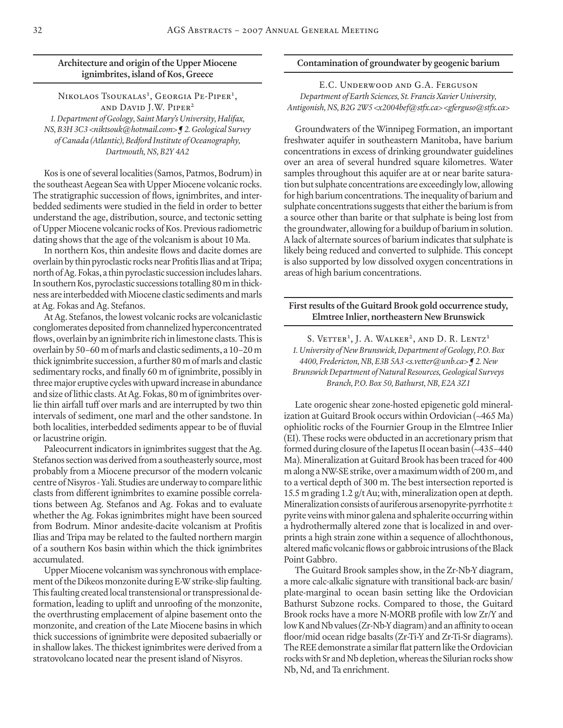## **Architecture and origin of the Upper Miocene ignimbrites, island of Kos, Greece**

Nikolaos Tsoukalas<sup>1</sup>, Georgia Pe-Piper<sup>1</sup>, and David J.W. Piper2 *1. Department of Geology, Saint Mary's University, Halifax, NS, B3H 3C3 <niktsouk@hotmail.com> ¶ 2. Geological Survey of Canada (Atlantic), Bedford Institute of Oceanography, Dartmouth, NS, B2Y 4A2*

Kos is one of several localities (Samos, Patmos, Bodrum) in the southeast Aegean Sea with Upper Miocene volcanic rocks. The stratigraphic succession of flows, ignimbrites, and interbedded sediments were studied in the field in order to better understand the age, distribution, source, and tectonic setting of Upper Miocene volcanic rocks of Kos. Previous radiometric dating shows that the age of the volcanism is about 10 Ma.

In northern Kos, thin andesite flows and dacite domes are overlain by thin pyroclastic rocks near Profitis Ilias and at Tripa; north of Ag. Fokas, a thin pyroclastic succession includes lahars. In southern Kos, pyroclastic successions totalling 80 m in thickness are interbedded with Miocene clastic sediments and marls at Ag. Fokas and Ag. Stefanos.

At Ag. Stefanos, the lowest volcanic rocks are volcaniclastic conglomerates deposited from channelized hyperconcentrated flows, overlain by an ignimbrite rich in limestone clasts. This is overlain by 50–60 m of marls and clastic sediments, a 10–20 m thick ignimbrite succession, a further 80 m of marls and clastic sedimentary rocks, and finally 60 m of ignimbrite, possibly in three major eruptive cycles with upward increase in abundance and size of lithic clasts. At Ag. Fokas, 80 m of ignimbrites overlie thin airfall tuff over marls and are interrupted by two thin intervals of sediment, one marl and the other sandstone. In both localities, interbedded sediments appear to be of fluvial or lacustrine origin.

Paleocurrent indicators in ignimbrites suggest that the Ag. Stefanos section was derived from a southeasterly source, most probably from a Miocene precursor of the modern volcanic centre of Nisyros - Yali. Studies are underway to compare lithic clasts from different ignimbrites to examine possible correlations between Ag. Stefanos and Ag. Fokas and to evaluate whether the Ag. Fokas ignimbrites might have been sourced from Bodrum. Minor andesite-dacite volcanism at Profitis Ilias and Tripa may be related to the faulted northern margin of a southern Kos basin within which the thick ignimbrites accumulated.

Upper Miocene volcanism was synchronous with emplacement of the Dikeos monzonite during E-W strike-slip faulting. This faulting created local transtensional or transpressional deformation, leading to uplift and unroofing of the monzonite, the overthrusting emplacement of alpine basement onto the monzonite, and creation of the Late Miocene basins in which thick successions of ignimbrite were deposited subaerially or in shallow lakes. The thickest ignimbrites were derived from a stratovolcano located near the present island of Nisyros.

#### **Contamination of groundwater by geogenic barium**

E.C. Underwood and G.A. Ferguson *Department of Earth Sciences, St. Francis Xavier University, Antigonish, NS, B2G 2W5 <x2004bef@stfx.ca> <gferguso@stfx.ca>*

Groundwaters of the Winnipeg Formation, an important freshwater aquifer in southeastern Manitoba, have barium concentrations in excess of drinking groundwater guidelines over an area of several hundred square kilometres. Water samples throughout this aquifer are at or near barite saturation but sulphate concentrations are exceedingly low, allowing for high barium concentrations. The inequality of barium and sulphate concentrations suggests that either the barium is from a source other than barite or that sulphate is being lost from the groundwater, allowing for a buildup of barium in solution. A lack of alternate sources of barium indicates that sulphate is likely being reduced and converted to sulphide. This concept is also supported by low dissolved oxygen concentrations in areas of high barium concentrations.

# **First results of the Guitard Brook gold occurrence study, Elmtree Inlier, northeastern New Brunswick**

S. VETTER<sup>1</sup>, J. A. WALKER<sup>2</sup>, AND D. R. LENTZ<sup>1</sup> *1. University of New Brunswick, Department of Geology, P.O. Box 4400, Fredericton, NB, E3B 5A3 <s.vetter@unb.ca> ¶ 2. New Brunswick Department of Natural Resources, Geological Surveys Branch, P.O. Box 50, Bathurst, NB, E2A 3Z1*

Late orogenic shear zone-hosted epigenetic gold mineralization at Guitard Brook occurs within Ordovician (~465 Ma) ophiolitic rocks of the Fournier Group in the Elmtree Inlier (EI). These rocks were obducted in an accretionary prism that formed during closure of the Iapetus II ocean basin (~435–440 Ma). Mineralization at Guitard Brook has been traced for 400 m along a NW-SE strike, over a maximum width of 200 m, and to a vertical depth of 300 m. The best intersection reported is 15.5 m grading 1.2 g/t Au; with, mineralization open at depth. Mineralization consists of auriferous arsenopyrite-pyrrhotite ± pyrite veins with minor galena and sphalerite occurring within a hydrothermally altered zone that is localized in and overprints a high strain zone within a sequence of allochthonous, altered mafic volcanic flows or gabbroic intrusions of the Black Point Gabbro.

The Guitard Brook samples show, in the Zr-Nb-Y diagram, a more calc-alkalic signature with transitional back-arc basin/ plate-marginal to ocean basin setting like the Ordovician Bathurst Subzone rocks. Compared to those, the Guitard Brook rocks have a more N-MORB profile with low Zr/Y and low K and Nb values (Zr-Nb-Y diagram) and an affinity to ocean floor/mid ocean ridge basalts (Zr-Ti-Y and Zr-Ti-Sr diagrams). The REE demonstrate a similar flat pattern like the Ordovician rocks with Sr and Nb depletion, whereas the Silurian rocks show Nb, Nd, and Ta enrichment.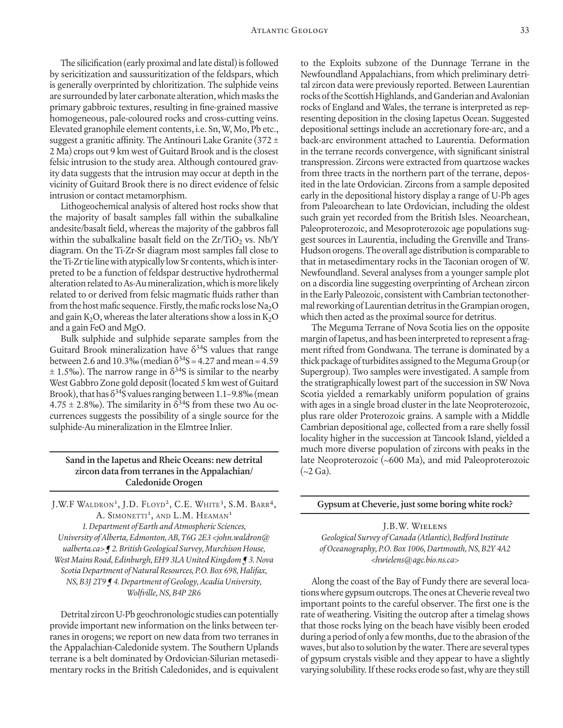The silicification (early proximal and late distal) is followed by sericitization and saussuritization of the feldspars, which is generally overprinted by chloritization. The sulphide veins are surrounded by later carbonate alteration, which masks the primary gabbroic textures, resulting in fine-grained massive homogeneous, pale-coloured rocks and cross-cutting veins. Elevated granophile element contents, i.e. Sn, W, Mo, Pb etc., suggest a granitic affinity. The Antinouri Lake Granite (372  $\pm$ 2 Ma) crops out 9 km west of Guitard Brook and is the closest felsic intrusion to the study area. Although contoured gravity data suggests that the intrusion may occur at depth in the vicinity of Guitard Brook there is no direct evidence of felsic intrusion or contact metamorphism.

Lithogeochemical analysis of altered host rocks show that the majority of basalt samples fall within the subalkaline andesite/basalt field, whereas the majority of the gabbros fall within the subalkaline basalt field on the  $Zr/TiO<sub>2</sub>$  vs. Nb/Y diagram. On the Ti-Zr-Sr diagram most samples fall close to the Ti-Zr tie line with atypically low Sr contents, which is interpreted to be a function of feldspar destructive hydrothermal alteration related to As-Au mineralization, which is more likely related to or derived from felsic magmatic fluids rather than from the host mafic sequence. Firstly, the mafic rocks lose  $Na<sub>2</sub>O$ and gain  $K_2O$ , whereas the later alterations show a loss in  $K_2O$ and a gain FeO and MgO.

Bulk sulphide and sulphide separate samples from the Guitard Brook mineralization have  $\delta^{34}S$  values that range between 2.6 and 10.3‰ (median  $\delta^{34}S = 4.27$  and mean = 4.59  $\pm$  1.5‰). The narrow range in  $\delta^{34}S$  is similar to the nearby West Gabbro Zone gold deposit (located 5 km west of Guitard Brook), that has  $\delta^{34}$ S values ranging between 1.1-9.8‰ (mean  $4.75 \pm 2.8\%$ ). The similarity in  $\delta^{34}$ S from these two Au occurrences suggests the possibility of a single source for the sulphide-Au mineralization in the Elmtree Inlier.

# **Sand in the Iapetus and Rheic Oceans: new detrital zircon data from terranes in the Appalachian/ Caledonide Orogen**

J.W.F WALDRON<sup>1</sup>, J.D. Floyd<sup>2</sup>, C.E. White<sup>3</sup>, S.M. Barr<sup>4</sup>, A. SIMONETTI<sup>1</sup>, AND L.M. HEAMAN<sup>1</sup> *1. Department of Earth and Atmospheric Sciences, University of Alberta, Edmonton, AB, T6G 2E3 <john.waldron@ ualberta.ca> ¶ 2. British Geological Survey, Murchison House, West Mains Road, Edinburgh, EH9 3LA United Kingdom ¶ 3. Nova Scotia Department of Natural Resources, P.O. Box 698, Halifax, NS, B3J 2T9 ¶ 4. Department of Geology, Acadia University, Wolfville, NS, B4P 2R6*

Detrital zircon U-Pb geochronologic studies can potentially provide important new information on the links between terranes in orogens; we report on new data from two terranes in the Appalachian-Caledonide system. The Southern Uplands terrane is a belt dominated by Ordovician-Silurian metasedimentary rocks in the British Caledonides, and is equivalent to the Exploits subzone of the Dunnage Terrane in the Newfoundland Appalachians, from which preliminary detrital zircon data were previously reported. Between Laurentian rocks of the Scottish Highlands, and Ganderian and Avalonian rocks of England and Wales, the terrane is interpreted as representing deposition in the closing Iapetus Ocean. Suggested depositional settings include an accretionary fore-arc, and a back-arc environment attached to Laurentia. Deformation in the terrane records convergence, with significant sinistral transpression. Zircons were extracted from quartzose wackes from three tracts in the northern part of the terrane, deposited in the late Ordovician. Zircons from a sample deposited early in the depositional history display a range of U-Pb ages from Paleoarchean to late Ordovician, including the oldest such grain yet recorded from the British Isles. Neoarchean, Paleoproterozoic, and Mesoproterozoic age populations suggest sources in Laurentia, including the Grenville and Trans-Hudson orogens. The overall age distribution is comparable to that in metasedimentary rocks in the Taconian orogen of W. Newfoundland. Several analyses from a younger sample plot on a discordia line suggesting overprinting of Archean zircon in the Early Paleozoic, consistent with Cambrian tectonothermal reworking of Laurentian detritus in the Grampian orogen, which then acted as the proximal source for detritus.

The Meguma Terrane of Nova Scotia lies on the opposite margin of Iapetus, and has been interpreted to represent a fragment rifted from Gondwana. The terrane is dominated by a thick package of turbidites assigned to the Meguma Group (or Supergroup). Two samples were investigated. A sample from the stratigraphically lowest part of the succession in SW Nova Scotia yielded a remarkably uniform population of grains with ages in a single broad cluster in the late Neoproterozoic, plus rare older Proterozoic grains. A sample with a Middle Cambrian depositional age, collected from a rare shelly fossil locality higher in the succession at Tancook Island, yielded a much more diverse population of zircons with peaks in the late Neoproterozoic (~600 Ma), and mid Paleoproterozoic  $(\sim 2$  Ga).

#### **Gypsum at Cheverie, just some boring white rock?**

# J.B.W. Wielens *Geological Survey of Canada (Atlantic), Bedford Institute of Oceanography, P.O. Box 1006, Dartmouth, NS, B2Y 4A2 <hwielens@agc.bio.ns.ca>*

Along the coast of the Bay of Fundy there are several locations where gypsum outcrops. The ones at Cheverie reveal two important points to the careful observer. The first one is the rate of weathering. Visiting the outcrop after a timelag shows that those rocks lying on the beach have visibly been eroded during a period of only a few months, due to the abrasion of the waves, but also to solution by the water. There are several types of gypsum crystals visible and they appear to have a slightly varying solubility. If these rocks erode so fast, why are they still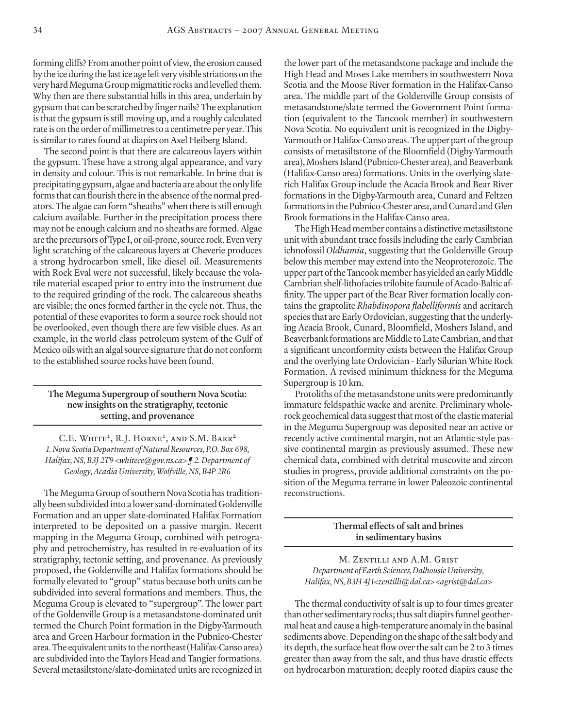forming cliffs? From another point of view, the erosion caused by the ice during the last ice age left very visible striations on the very hard Meguma Group migmatitic rocks and levelled them. Why then are there substantial hills in this area, underlain by gypsum that can be scratched by finger nails? The explanation is that the gypsum is still moving up, and a roughly calculated rate is on the order of millimetres to a centimetre per year. This is similar to rates found at diapirs on Axel Heiberg Island.

The second point is that there are calcareous layers within the gypsum. These have a strong algal appearance, and vary in density and colour. This is not remarkable. In brine that is precipitating gypsum, algae and bacteria are about the only life forms that can flourish there in the absence of the normal predators. The algae can form "sheaths" when there is still enough calcium available. Further in the precipitation process there may not be enough calcium and no sheaths are formed. Algae are the precursors of Type I, or oil-prone, source rock. Even very light scratching of the calcareous layers at Cheverie produces a strong hydrocarbon smell, like diesel oil. Measurements with Rock Eval were not successful, likely because the volatile material escaped prior to entry into the instrument due to the required grinding of the rock. The calcareous sheaths are visible; the ones formed farther in the cycle not. Thus, the potential of these evaporites to form a source rock should not be overlooked, even though there are few visible clues. As an example, in the world class petroleum system of the Gulf of Mexico oils with an algal source signature that do not conform to the established source rocks have been found.

# **The Meguma Supergroup of southern Nova Scotia: new insights on the stratigraphy, tectonic setting, and provenance**

C.E. WHITE<sup>1</sup>, R.J. HORNE<sup>1</sup>, AND S.M. BARR<sup>2</sup> *1. Nova Scotia Department of Natural Resources, P.O. Box 698, Halifax, NS, B3J 2T9 <whitece@gov.ns.ca> ¶ 2. Department of Geology, Acadia University, Wolfville, NS, B4P 2R6*

The Meguma Group of southern Nova Scotia has traditionally been subdivided into a lower sand-dominated Goldenville Formation and an upper slate-dominated Halifax Formation interpreted to be deposited on a passive margin. Recent mapping in the Meguma Group, combined with petrography and petrochemistry, has resulted in re-evaluation of its stratigraphy, tectonic setting, and provenance. As previously proposed, the Goldenville and Halifax formations should be formally elevated to "group" status because both units can be subdivided into several formations and members. Thus, the Meguma Group is elevated to "supergroup". The lower part of the Goldenville Group is a metasandstone-dominated unit termed the Church Point formation in the Digby-Yarmouth area and Green Harbour formation in the Pubnico-Chester area. The equivalent units to the northeast (Halifax-Canso area) are subdivided into the Taylors Head and Tangier formations. Several metasiltstone/slate-dominated units are recognized in

the lower part of the metasandstone package and include the High Head and Moses Lake members in southwestern Nova Scotia and the Moose River formation in the Halifax-Canso area. The middle part of the Goldenville Group consists of metasandstone/slate termed the Government Point formation (equivalent to the Tancook member) in southwestern Nova Scotia. No equivalent unit is recognized in the Digby-Yarmouth or Halifax-Canso areas. The upper part of the group consists of metasiltstone of the Bloomfield (Digby-Yarmouth area), Moshers Island (Pubnico-Chester area), and Beaverbank (Halifax-Canso area) formations. Units in the overlying slaterich Halifax Group include the Acacia Brook and Bear River formations in the Digby-Yarmouth area, Cunard and Feltzen formations in the Pubnico-Chester area, and Cunard and Glen Brook formations in the Halifax-Canso area.

The High Head member contains a distinctive metasiltstone unit with abundant trace fossils including the early Cambrian ichnofossil *Oldhamia*, suggesting that the Goldenville Group below this member may extend into the Neoproterozoic. The upper part of the Tancook member has yielded an early Middle Cambrian shelf-lithofacies trilobite faunule of Acado-Baltic affinity. The upper part of the Bear River formation locally contains the graptolite *Rhabdinopora flabelliformis* and acritarch species that are Early Ordovician, suggesting that the underlying Acacia Brook, Cunard, Bloomfield, Moshers Island, and Beaverbank formations are Middle to Late Cambrian, and that a significant unconformity exists between the Halifax Group and the overlying late Ordovician - Early Silurian White Rock Formation. A revised minimum thickness for the Meguma Supergroup is 10 km.

Protoliths of the metasandstone units were predominantly immature feldspathic wacke and arenite. Preliminary wholerock geochemical data suggest that most of the clastic material in the Meguma Supergroup was deposited near an active or recently active continental margin, not an Atlantic-style passive continental margin as previously assumed. These new chemical data, combined with detrital muscovite and zircon studies in progress, provide additional constraints on the position of the Meguma terrane in lower Paleozoic continental reconstructions.

# **Thermal effects of salt and brines in sedimentary basins**

M. Zentilli and A.M. Grist *Department of Earth Sciences,Dalhousie University, Halifax, NS, B3H 4J1<zentilli@dal.ca> <agrist@dal.ca>*

The thermal conductivity of salt is up to four times greater than other sedimentary rocks; thus salt diapirs funnel geothermal heat and cause a high-temperature anomaly in the basinal sediments above. Depending on the shape of the salt body and its depth, the surface heat flow over the salt can be 2 to 3 times greater than away from the salt, and thus have drastic effects on hydrocarbon maturation; deeply rooted diapirs cause the